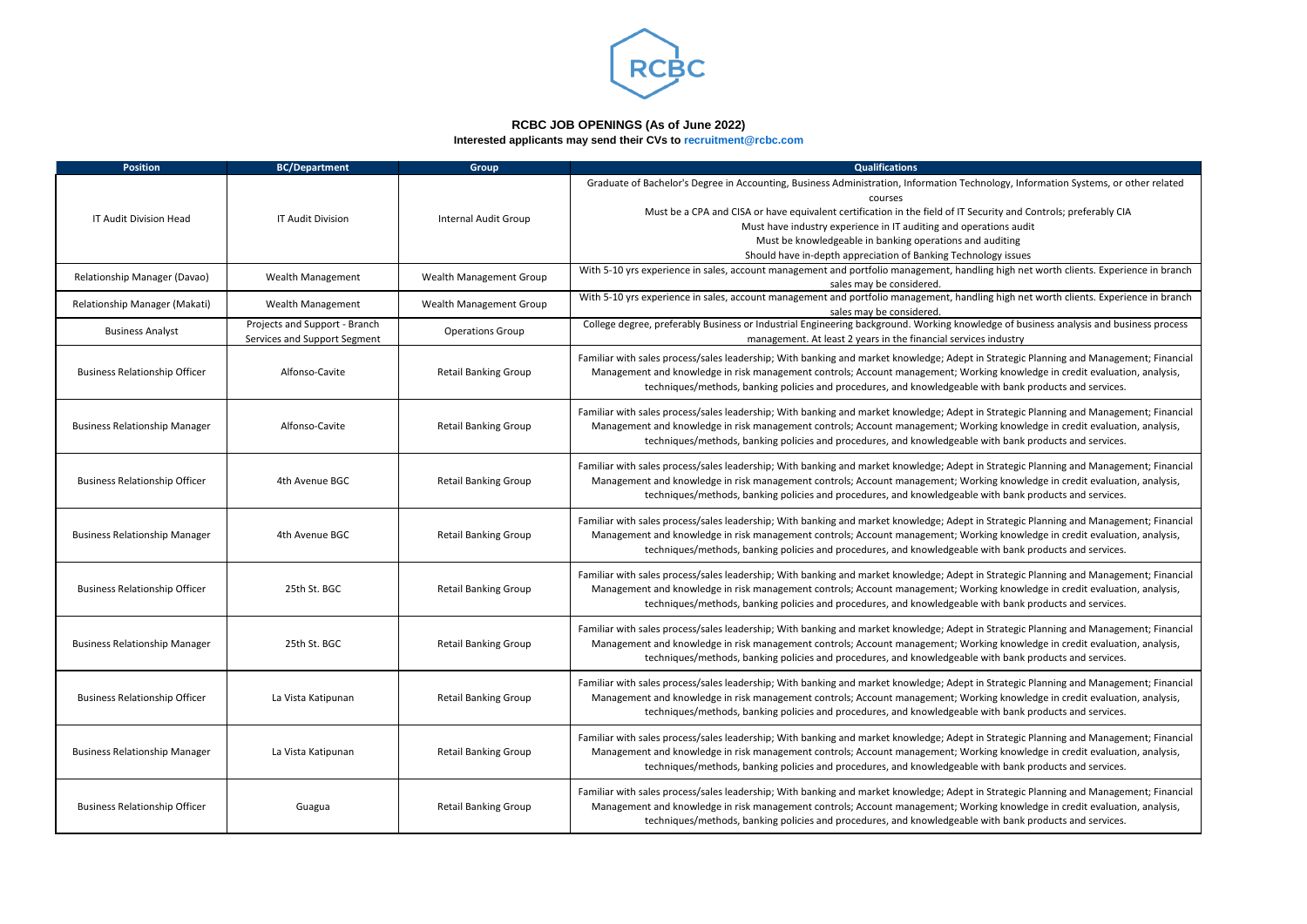| <b>Position</b>                      | <b>BC/Department</b>          | <b>Group</b>                | <b>Qualifications</b>                                                                                                                                    |
|--------------------------------------|-------------------------------|-----------------------------|----------------------------------------------------------------------------------------------------------------------------------------------------------|
|                                      |                               |                             | Graduate of Bachelor's Degree in Accounting, Business Administration, Information Tech                                                                   |
|                                      |                               |                             | courses                                                                                                                                                  |
| IT Audit Division Head               | IT Audit Division             | Internal Audit Group        | Must be a CPA and CISA or have equivalent certification in the field of IT Sec                                                                           |
|                                      |                               |                             | Must have industry experience in IT auditing and oper                                                                                                    |
|                                      |                               |                             | Must be knowledgeable in banking operations and                                                                                                          |
|                                      |                               |                             | Should have in-depth appreciation of Banking Techno                                                                                                      |
| Relationship Manager (Davao)         | Wealth Management             | Wealth Management Group     | With 5-10 yrs experience in sales, account management and portfolio management, handli<br>sales may be considered.                                       |
|                                      |                               |                             | With 5-10 yrs experience in sales, account management and portfolio management, handli                                                                   |
| Relationship Manager (Makati)        | Wealth Management             | Wealth Management Group     | sales may be considered.                                                                                                                                 |
| <b>Business Analyst</b>              | Projects and Support - Branch | <b>Operations Group</b>     | College degree, preferably Business or Industrial Engineering background. Working knowl                                                                  |
|                                      | Services and Support Segment  |                             | management. At least 2 years in the financial service                                                                                                    |
|                                      |                               |                             | Familiar with sales process/sales leadership; With banking and market knowledge; Adept ir                                                                |
| <b>Business Relationship Officer</b> | Alfonso-Cavite                | <b>Retail Banking Group</b> | Management and knowledge in risk management controls; Account management; Work                                                                           |
|                                      |                               |                             | techniques/methods, banking policies and procedures, and knowledgeable                                                                                   |
|                                      |                               |                             |                                                                                                                                                          |
|                                      |                               |                             | Familiar with sales process/sales leadership; With banking and market knowledge; Adept ir                                                                |
| <b>Business Relationship Manager</b> | Alfonso-Cavite                | <b>Retail Banking Group</b> | Management and knowledge in risk management controls; Account management; Worl<br>techniques/methods, banking policies and procedures, and knowledgeable |
|                                      |                               |                             |                                                                                                                                                          |
|                                      |                               |                             | Familiar with sales process/sales leadership; With banking and market knowledge; Adept ir                                                                |
| <b>Business Relationship Officer</b> | 4th Avenue BGC                | <b>Retail Banking Group</b> | Management and knowledge in risk management controls; Account management; Worl                                                                           |
|                                      |                               |                             | techniques/methods, banking policies and procedures, and knowledgeable                                                                                   |
|                                      |                               |                             | Familiar with sales process/sales leadership; With banking and market knowledge; Adept ir                                                                |
| <b>Business Relationship Manager</b> | 4th Avenue BGC                | <b>Retail Banking Group</b> | Management and knowledge in risk management controls; Account management; Work                                                                           |
|                                      |                               |                             | techniques/methods, banking policies and procedures, and knowledgeable                                                                                   |
|                                      |                               |                             |                                                                                                                                                          |
|                                      |                               |                             | Familiar with sales process/sales leadership; With banking and market knowledge; Adept ir                                                                |
| <b>Business Relationship Officer</b> | 25th St. BGC                  | <b>Retail Banking Group</b> | Management and knowledge in risk management controls; Account management; Work                                                                           |
|                                      |                               |                             | techniques/methods, banking policies and procedures, and knowledgeable                                                                                   |
|                                      |                               |                             | Familiar with sales process/sales leadership; With banking and market knowledge; Adept ir                                                                |
| <b>Business Relationship Manager</b> | 25th St. BGC                  | <b>Retail Banking Group</b> | Management and knowledge in risk management controls; Account management; Work                                                                           |
|                                      |                               |                             | techniques/methods, banking policies and procedures, and knowledgeable                                                                                   |
|                                      |                               |                             |                                                                                                                                                          |
|                                      |                               |                             | Familiar with sales process/sales leadership; With banking and market knowledge; Adept ir                                                                |
| <b>Business Relationship Officer</b> | La Vista Katipunan            | <b>Retail Banking Group</b> | Management and knowledge in risk management controls; Account management; Worl                                                                           |
|                                      |                               |                             | techniques/methods, banking policies and procedures, and knowledgeable                                                                                   |
|                                      |                               |                             | Familiar with sales process/sales leadership; With banking and market knowledge; Adept ir                                                                |
| <b>Business Relationship Manager</b> | La Vista Katipunan            | <b>Retail Banking Group</b> | Management and knowledge in risk management controls; Account management; Work                                                                           |
|                                      |                               |                             | techniques/methods, banking policies and procedures, and knowledgeable                                                                                   |
|                                      |                               |                             |                                                                                                                                                          |
|                                      |                               |                             | Familiar with sales process/sales leadership; With banking and market knowledge; Adept ir                                                                |
| <b>Business Relationship Officer</b> | Guagua                        | <b>Retail Banking Group</b> | Management and knowledge in risk management controls; Account management; Work                                                                           |
|                                      |                               |                             | techniques/methods, banking policies and procedures, and knowledgeable                                                                                   |

Inology, Information Systems, or other related

curity and Controls; preferably CIA

rations audit

l auditing

ology issues

ling high net worth clients. Experience in branch

ling high net worth clients. Experience in branch

ledge of business analysis and business process es industry

n Strategic Planning and Management; Financial king knowledge in credit evaluation, analysis, with bank products and services.

n Strategic Planning and Management; Financial king knowledge in credit evaluation, analysis, with bank products and services.

n Strategic Planning and Management; Financial king knowledge in credit evaluation, analysis, with bank products and services.

n Strategic Planning and Management; Financial king knowledge in credit evaluation, analysis, with bank products and services.

n Strategic Planning and Management; Financial king knowledge in credit evaluation, analysis, with bank products and services.

n Strategic Planning and Management; Financial king knowledge in credit evaluation, analysis, with bank products and services.

n Strategic Planning and Management; Financial king knowledge in credit evaluation, analysis, with bank products and services.

n Strategic Planning and Management; Financial king knowledge in credit evaluation, analysis, with bank products and services.

n Strategic Planning and Management; Financial king knowledge in credit evaluation, analysis, with bank products and services.



## **RCBC JOB OPENINGS (As of June 2022)**

**Interested applicants may send their CVs to recruitment@rcbc.com**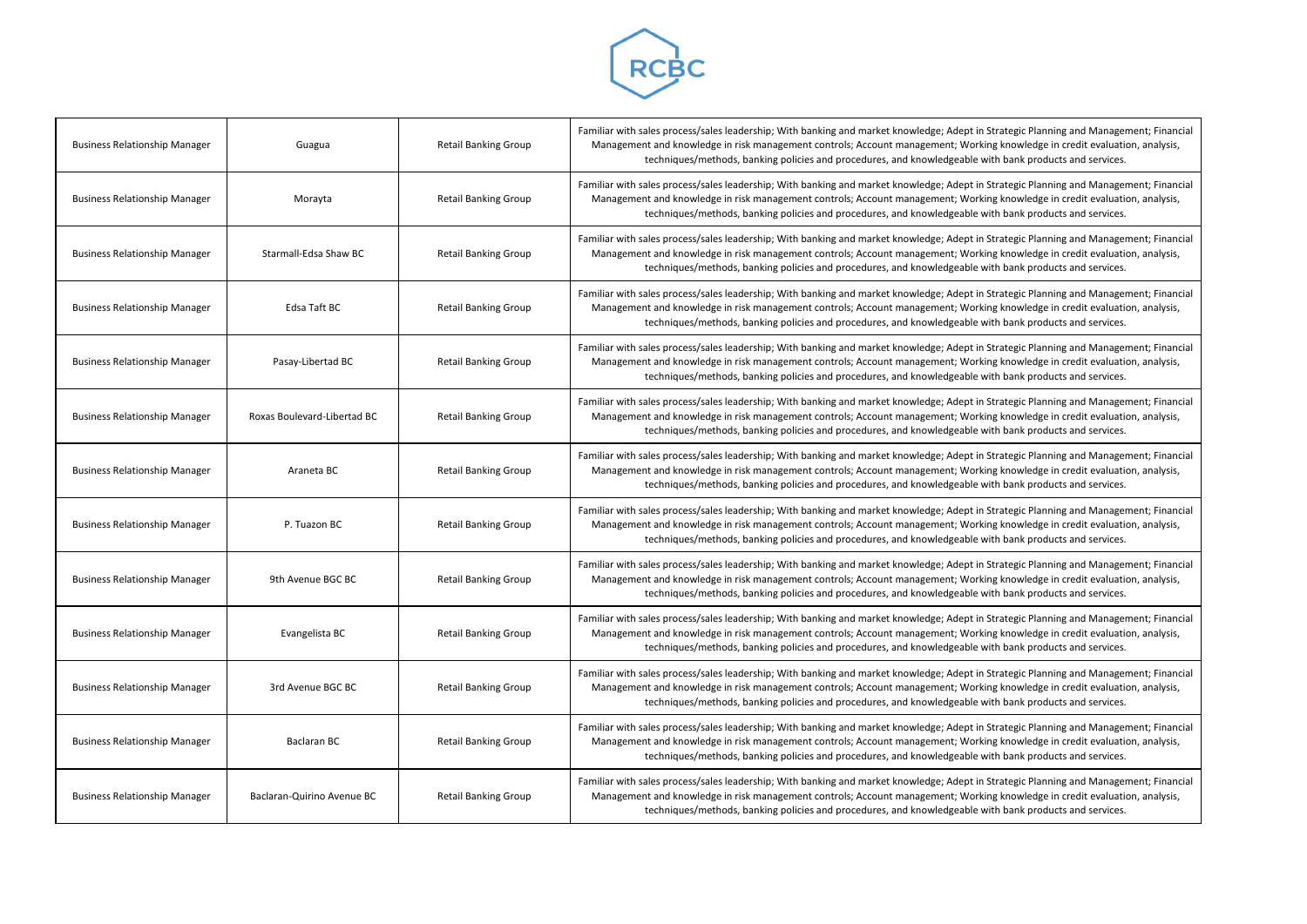

| <b>Business Relationship Manager</b> | Guagua                      | <b>Retail Banking Group</b> | Familiar with sales process/sales leadership; With banking and market knowledge; Adept in !<br>Management and knowledge in risk management controls; Account management; Worki<br>techniques/methods, banking policies and procedures, and knowledgeable w  |
|--------------------------------------|-----------------------------|-----------------------------|-------------------------------------------------------------------------------------------------------------------------------------------------------------------------------------------------------------------------------------------------------------|
| <b>Business Relationship Manager</b> | Morayta                     | <b>Retail Banking Group</b> | Familiar with sales process/sales leadership; With banking and market knowledge; Adept in !<br>Management and knowledge in risk management controls; Account management; Worki<br>techniques/methods, banking policies and procedures, and knowledgeable w  |
| <b>Business Relationship Manager</b> | Starmall-Edsa Shaw BC       | <b>Retail Banking Group</b> | Familiar with sales process/sales leadership; With banking and market knowledge; Adept in !<br>Management and knowledge in risk management controls; Account management; Workin<br>techniques/methods, banking policies and procedures, and knowledgeable w |
| <b>Business Relationship Manager</b> | Edsa Taft BC                | <b>Retail Banking Group</b> | Familiar with sales process/sales leadership; With banking and market knowledge; Adept in !<br>Management and knowledge in risk management controls; Account management; Worki<br>techniques/methods, banking policies and procedures, and knowledgeable w  |
| <b>Business Relationship Manager</b> | Pasay-Libertad BC           | <b>Retail Banking Group</b> | Familiar with sales process/sales leadership; With banking and market knowledge; Adept in !<br>Management and knowledge in risk management controls; Account management; Worki<br>techniques/methods, banking policies and procedures, and knowledgeable w  |
| <b>Business Relationship Manager</b> | Roxas Boulevard-Libertad BC | <b>Retail Banking Group</b> | Familiar with sales process/sales leadership; With banking and market knowledge; Adept in !<br>Management and knowledge in risk management controls; Account management; Worki<br>techniques/methods, banking policies and procedures, and knowledgeable w  |
| <b>Business Relationship Manager</b> | Araneta BC                  | <b>Retail Banking Group</b> | Familiar with sales process/sales leadership; With banking and market knowledge; Adept in !<br>Management and knowledge in risk management controls; Account management; Worki<br>techniques/methods, banking policies and procedures, and knowledgeable w  |
| <b>Business Relationship Manager</b> | P. Tuazon BC                | <b>Retail Banking Group</b> | Familiar with sales process/sales leadership; With banking and market knowledge; Adept in !<br>Management and knowledge in risk management controls; Account management; Worki<br>techniques/methods, banking policies and procedures, and knowledgeable w  |
| <b>Business Relationship Manager</b> | 9th Avenue BGC BC           | <b>Retail Banking Group</b> | Familiar with sales process/sales leadership; With banking and market knowledge; Adept in !<br>Management and knowledge in risk management controls; Account management; Workin<br>techniques/methods, banking policies and procedures, and knowledgeable w |
| <b>Business Relationship Manager</b> | Evangelista BC              | <b>Retail Banking Group</b> | Familiar with sales process/sales leadership; With banking and market knowledge; Adept in !<br>Management and knowledge in risk management controls; Account management; Workin<br>techniques/methods, banking policies and procedures, and knowledgeable w |
| <b>Business Relationship Manager</b> | 3rd Avenue BGC BC           | <b>Retail Banking Group</b> | Familiar with sales process/sales leadership; With banking and market knowledge; Adept in !<br>Management and knowledge in risk management controls; Account management; Workin<br>techniques/methods, banking policies and procedures, and knowledgeable w |
| <b>Business Relationship Manager</b> | Baclaran BC                 | <b>Retail Banking Group</b> | Familiar with sales process/sales leadership; With banking and market knowledge; Adept in !<br>Management and knowledge in risk management controls; Account management; Worki<br>techniques/methods, banking policies and procedures, and knowledgeable w  |
| <b>Business Relationship Manager</b> | Baclaran-Quirino Avenue BC  | <b>Retail Banking Group</b> | Familiar with sales process/sales leadership; With banking and market knowledge; Adept in !<br>Management and knowledge in risk management controls; Account management; Worki<br>techniques/methods, banking policies and procedures, and knowledgeable w  |

Strategic Planning and Management; Financial ng knowledge in credit evaluation, analysis, ith bank products and services.

Strategic Planning and Management; Financial ng knowledge in credit evaluation, analysis, ith bank products and services.

Strategic Planning and Management; Financial ng knowledge in credit evaluation, analysis, ith bank products and services.

Strategic Planning and Management; Financial ng knowledge in credit evaluation, analysis, ith bank products and services.

Strategic Planning and Management; Financial ng knowledge in credit evaluation, analysis, ith bank products and services.

Strategic Planning and Management; Financial ng knowledge in credit evaluation, analysis, ith bank products and services.

Strategic Planning and Management; Financial ng knowledge in credit evaluation, analysis, ith bank products and services.

Strategic Planning and Management; Financial ng knowledge in credit evaluation, analysis, ith bank products and services.

Strategic Planning and Management; Financial ng knowledge in credit evaluation, analysis, ith bank products and services.

Strategic Planning and Management; Financial ng knowledge in credit evaluation, analysis, ith bank products and services.

Strategic Planning and Management; Financial ng knowledge in credit evaluation, analysis, ith bank products and services.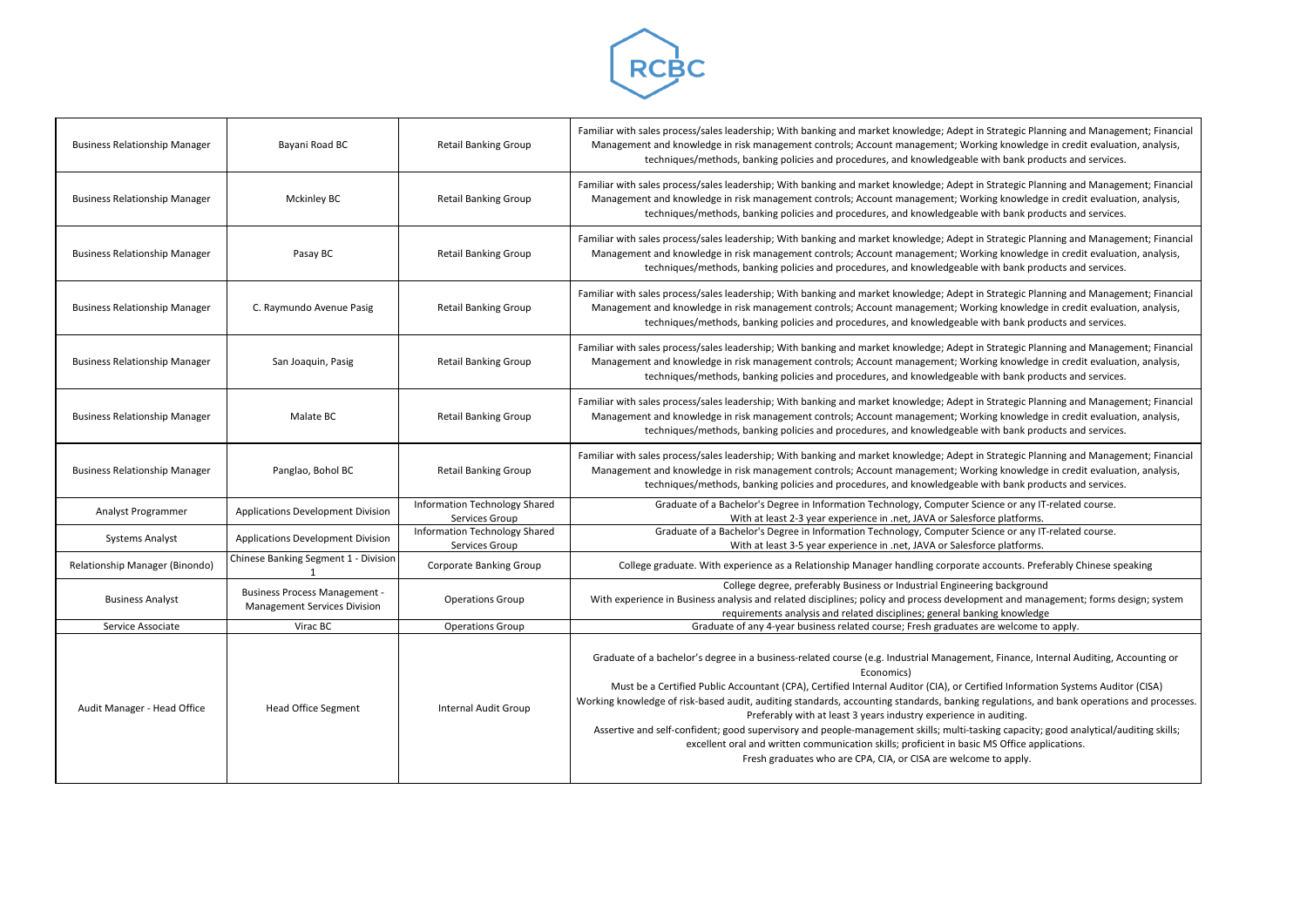

| <b>Business Relationship Manager</b> | Bayani Road BC                                                              | <b>Retail Banking Group</b>                     | Familiar with sales process/sales leadership; With banking and market knowledge; Adept in Strategic Planning ar<br>Management and knowledge in risk management controls; Account management; Working knowledge in cree<br>techniques/methods, banking policies and procedures, and knowledgeable with bank products ar                                                                                                                                                                                                                                                                                                                                                                                               |
|--------------------------------------|-----------------------------------------------------------------------------|-------------------------------------------------|----------------------------------------------------------------------------------------------------------------------------------------------------------------------------------------------------------------------------------------------------------------------------------------------------------------------------------------------------------------------------------------------------------------------------------------------------------------------------------------------------------------------------------------------------------------------------------------------------------------------------------------------------------------------------------------------------------------------|
| <b>Business Relationship Manager</b> | <b>Mckinley BC</b>                                                          | <b>Retail Banking Group</b>                     | Familiar with sales process/sales leadership; With banking and market knowledge; Adept in Strategic Planning ar<br>Management and knowledge in risk management controls; Account management; Working knowledge in cred<br>techniques/methods, banking policies and procedures, and knowledgeable with bank products ar                                                                                                                                                                                                                                                                                                                                                                                               |
| <b>Business Relationship Manager</b> | Pasay BC                                                                    | <b>Retail Banking Group</b>                     | Familiar with sales process/sales leadership; With banking and market knowledge; Adept in Strategic Planning ar<br>Management and knowledge in risk management controls; Account management; Working knowledge in cree<br>techniques/methods, banking policies and procedures, and knowledgeable with bank products ar                                                                                                                                                                                                                                                                                                                                                                                               |
| <b>Business Relationship Manager</b> | C. Raymundo Avenue Pasig                                                    | <b>Retail Banking Group</b>                     | Familiar with sales process/sales leadership; With banking and market knowledge; Adept in Strategic Planning ar<br>Management and knowledge in risk management controls; Account management; Working knowledge in cred<br>techniques/methods, banking policies and procedures, and knowledgeable with bank products ar                                                                                                                                                                                                                                                                                                                                                                                               |
| <b>Business Relationship Manager</b> | San Joaquin, Pasig                                                          | <b>Retail Banking Group</b>                     | Familiar with sales process/sales leadership; With banking and market knowledge; Adept in Strategic Planning ar<br>Management and knowledge in risk management controls; Account management; Working knowledge in cred<br>techniques/methods, banking policies and procedures, and knowledgeable with bank products are                                                                                                                                                                                                                                                                                                                                                                                              |
| <b>Business Relationship Manager</b> | Malate BC                                                                   | <b>Retail Banking Group</b>                     | Familiar with sales process/sales leadership; With banking and market knowledge; Adept in Strategic Planning ar<br>Management and knowledge in risk management controls; Account management; Working knowledge in cree<br>techniques/methods, banking policies and procedures, and knowledgeable with bank products ar                                                                                                                                                                                                                                                                                                                                                                                               |
| <b>Business Relationship Manager</b> | Panglao, Bohol BC                                                           | <b>Retail Banking Group</b>                     | Familiar with sales process/sales leadership; With banking and market knowledge; Adept in Strategic Planning ar<br>Management and knowledge in risk management controls; Account management; Working knowledge in cred<br>techniques/methods, banking policies and procedures, and knowledgeable with bank products ar                                                                                                                                                                                                                                                                                                                                                                                               |
| Analyst Programmer                   | Applications Development Division                                           | Information Technology Shared<br>Services Group | Graduate of a Bachelor's Degree in Information Technology, Computer Science or any IT-related<br>With at least 2-3 year experience in .net, JAVA or Salesforce platforms.                                                                                                                                                                                                                                                                                                                                                                                                                                                                                                                                            |
| <b>Systems Analyst</b>               | Applications Development Division                                           | Information Technology Shared<br>Services Group | Graduate of a Bachelor's Degree in Information Technology, Computer Science or any IT-related<br>With at least 3-5 year experience in .net, JAVA or Salesforce platforms.                                                                                                                                                                                                                                                                                                                                                                                                                                                                                                                                            |
| Relationship Manager (Binondo)       | Chinese Banking Segment 1 - Division                                        | Corporate Banking Group                         | College graduate. With experience as a Relationship Manager handling corporate accounts. Preferably (                                                                                                                                                                                                                                                                                                                                                                                                                                                                                                                                                                                                                |
| <b>Business Analyst</b>              | <b>Business Process Management -</b><br><b>Management Services Division</b> | <b>Operations Group</b>                         | College degree, preferably Business or Industrial Engineering background<br>With experience in Business analysis and related disciplines; policy and process development and managemer<br>requirements analysis and related disciplines; general banking knowledge                                                                                                                                                                                                                                                                                                                                                                                                                                                   |
| Service Associate                    | Virac BC                                                                    | <b>Operations Group</b>                         | Graduate of any 4-year business related course; Fresh graduates are welcome to apply.                                                                                                                                                                                                                                                                                                                                                                                                                                                                                                                                                                                                                                |
| Audit Manager - Head Office          | <b>Head Office Segment</b>                                                  | Internal Audit Group                            | Graduate of a bachelor's degree in a business-related course (e.g. Industrial Management, Finance, Internal A<br>Economics)<br>Must be a Certified Public Accountant (CPA), Certified Internal Auditor (CIA), or Certified Information Syst<br>Working knowledge of risk-based audit, auditing standards, accounting standards, banking regulations, and bank<br>Preferably with at least 3 years industry experience in auditing.<br>Assertive and self-confident; good supervisory and people-management skills; multi-tasking capacity; good are<br>excellent oral and written communication skills; proficient in basic MS Office application<br>Fresh graduates who are CPA, CIA, or CISA are welcome to apply. |

Strategic Planning and Management; Financial ng knowledge in credit evaluation, analysis, ith bank products and services.

Strategic Planning and Management; Financial ng knowledge in credit evaluation, analysis, ith bank products and services.

Strategic Planning and Management; Financial ng knowledge in credit evaluation, analysis, ith bank products and services.

Strategic Planning and Management; Financial ng knowledge in credit evaluation, analysis, ith bank products and services.

Strategic Planning and Management; Financial ng knowledge in credit evaluation, analysis, ith bank products and services.

Strategic Planning and Management; Financial ng knowledge in credit evaluation, analysis, ith bank products and services.

ence or any IT-related course.

ence or any IT-related course.

ccounts. Preferably Chinese speaking

g background ent and management; forms design; system ing knowledge

it, Finance, Internal Auditing, Accounting or

fied Information Systems Auditor (CISA) egulations, and bank operations and processes. auditing.

ing capacity; good analytical/auditing skills; MS Office applications. e to apply.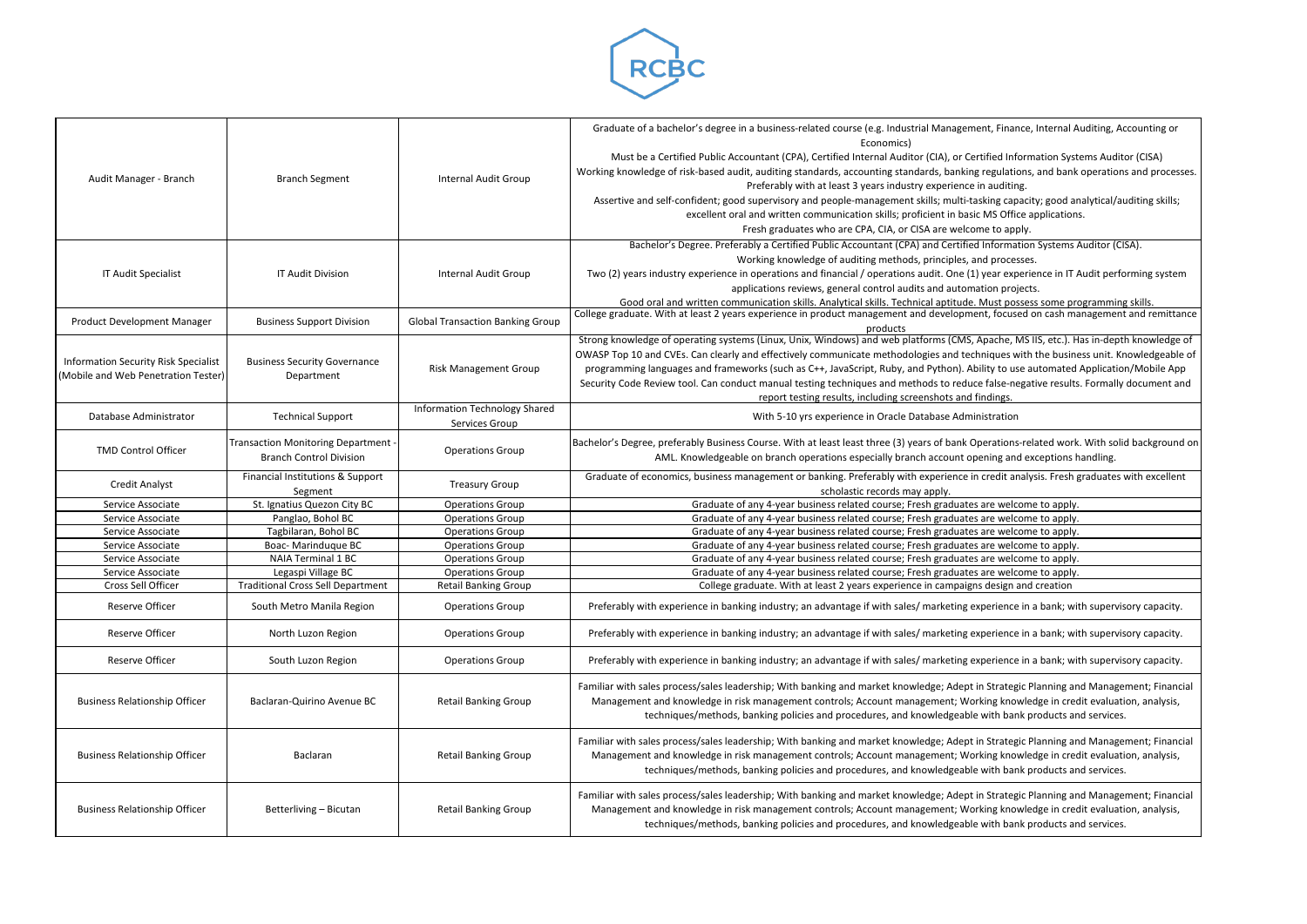

| Audit Manager - Branch                                                             | <b>Branch Segment</b>                                                      | Internal Audit Group                                   | Graduate of a bachelor's degree in a business-related course (e.g. Industrial Management, Finance, Internal Auditing, Accounting or<br>Economics)<br>Must be a Certified Public Accountant (CPA), Certified Internal Auditor (CIA), or Certified Information Systems Auditor (CISA)<br>Working knowledge of risk-based audit, auditing standards, accounting standards, banking regulations, and bank operations and processes.<br>Preferably with at least 3 years industry experience in auditing.<br>Assertive and self-confident; good supervisory and people-management skills; multi-tasking capacity; good analytical/auditing skills;<br>excellent oral and written communication skills; proficient in basic MS Office applications.<br>Fresh graduates who are CPA, CIA, or CISA are welcome to apply. |
|------------------------------------------------------------------------------------|----------------------------------------------------------------------------|--------------------------------------------------------|------------------------------------------------------------------------------------------------------------------------------------------------------------------------------------------------------------------------------------------------------------------------------------------------------------------------------------------------------------------------------------------------------------------------------------------------------------------------------------------------------------------------------------------------------------------------------------------------------------------------------------------------------------------------------------------------------------------------------------------------------------------------------------------------------------------|
| IT Audit Specialist                                                                | <b>IT Audit Division</b>                                                   | <b>Internal Audit Group</b>                            | Bachelor's Degree. Preferably a Certified Public Accountant (CPA) and Certified Information Systems Auditor (CISA).<br>Working knowledge of auditing methods, principles, and processes.<br>Two (2) years industry experience in operations and financial / operations audit. One (1) year experience in IT Audit performing system<br>applications reviews, general control audits and automation projects.<br>Good oral and written communication skills. Analytical skills. Technical aptitude. Must possess some programming skills.                                                                                                                                                                                                                                                                         |
| Product Development Manager                                                        | <b>Business Support Division</b>                                           | <b>Global Transaction Banking Group</b>                | College graduate. With at least 2 years experience in product management and development, focused on cash management and remittance<br>products                                                                                                                                                                                                                                                                                                                                                                                                                                                                                                                                                                                                                                                                  |
| <b>Information Security Risk Specialist</b><br>(Mobile and Web Penetration Tester) | <b>Business Security Governance</b><br>Department                          | <b>Risk Management Group</b>                           | Strong knowledge of operating systems (Linux, Unix, Windows) and web platforms (CMS, Apache, MS IIS, etc.). Has in-depth knowledge of<br>OWASP Top 10 and CVEs. Can clearly and effectively communicate methodologies and techniques with the business unit. Knowledgeable of<br>programming languages and frameworks (such as C++, JavaScript, Ruby, and Python). Ability to use automated Application/Mobile App<br>Security Code Review tool. Can conduct manual testing techniques and methods to reduce false-negative results. Formally document and<br>report testing results, including screenshots and findings.                                                                                                                                                                                        |
| Database Administrator                                                             | <b>Technical Support</b>                                                   | <b>Information Technology Shared</b><br>Services Group | With 5-10 yrs experience in Oracle Database Administration                                                                                                                                                                                                                                                                                                                                                                                                                                                                                                                                                                                                                                                                                                                                                       |
| <b>TMD Control Officer</b>                                                         | <b>Transaction Monitoring Department</b><br><b>Branch Control Division</b> | <b>Operations Group</b>                                | Bachelor's Degree, preferably Business Course. With at least least three (3) years of bank Operations-related work. With solid background on<br>AML. Knowledgeable on branch operations especially branch account opening and exceptions handling.                                                                                                                                                                                                                                                                                                                                                                                                                                                                                                                                                               |
| <b>Credit Analyst</b>                                                              | Financial Institutions & Support<br>Segment                                | <b>Treasury Group</b>                                  | Graduate of economics, business management or banking. Preferably with experience in credit analysis. Fresh graduates with excellent<br>scholastic records may apply.                                                                                                                                                                                                                                                                                                                                                                                                                                                                                                                                                                                                                                            |
| Service Associate                                                                  | St. Ignatius Quezon City BC                                                | <b>Operations Group</b>                                | Graduate of any 4-year business related course; Fresh graduates are welcome to apply.                                                                                                                                                                                                                                                                                                                                                                                                                                                                                                                                                                                                                                                                                                                            |
| Service Associate                                                                  | Panglao, Bohol BC                                                          | <b>Operations Group</b>                                | Graduate of any 4-year business related course; Fresh graduates are welcome to apply.                                                                                                                                                                                                                                                                                                                                                                                                                                                                                                                                                                                                                                                                                                                            |
| Service Associate                                                                  | Tagbilaran, Bohol BC                                                       | <b>Operations Group</b>                                | Graduate of any 4-year business related course; Fresh graduates are welcome to apply.                                                                                                                                                                                                                                                                                                                                                                                                                                                                                                                                                                                                                                                                                                                            |
| Service Associate                                                                  | Boac- Marinduque BC                                                        | <b>Operations Group</b>                                | Graduate of any 4-year business related course; Fresh graduates are welcome to apply.                                                                                                                                                                                                                                                                                                                                                                                                                                                                                                                                                                                                                                                                                                                            |
| Service Associate                                                                  | <b>NAIA Terminal 1 BC</b>                                                  | <b>Operations Group</b>                                | Graduate of any 4-year business related course; Fresh graduates are welcome to apply.                                                                                                                                                                                                                                                                                                                                                                                                                                                                                                                                                                                                                                                                                                                            |
| Service Associate                                                                  | Legaspi Village BC                                                         | <b>Operations Group</b>                                | Graduate of any 4-year business related course; Fresh graduates are welcome to apply.                                                                                                                                                                                                                                                                                                                                                                                                                                                                                                                                                                                                                                                                                                                            |
| Cross Sell Officer                                                                 | <b>Traditional Cross Sell Department</b>                                   | <b>Retail Banking Group</b>                            | College graduate. With at least 2 years experience in campaigns design and creation                                                                                                                                                                                                                                                                                                                                                                                                                                                                                                                                                                                                                                                                                                                              |
| Reserve Officer                                                                    | South Metro Manila Region                                                  | <b>Operations Group</b>                                | Preferably with experience in banking industry; an advantage if with sales/ marketing experience in a bank; with supervisory capacity.                                                                                                                                                                                                                                                                                                                                                                                                                                                                                                                                                                                                                                                                           |
| Reserve Officer                                                                    | North Luzon Region                                                         | <b>Operations Group</b>                                | Preferably with experience in banking industry; an advantage if with sales/ marketing experience in a bank; with supervisory capacity.                                                                                                                                                                                                                                                                                                                                                                                                                                                                                                                                                                                                                                                                           |
| Reserve Officer                                                                    | South Luzon Region                                                         | <b>Operations Group</b>                                | Preferably with experience in banking industry; an advantage if with sales/ marketing experience in a bank; with supervisory capacity.                                                                                                                                                                                                                                                                                                                                                                                                                                                                                                                                                                                                                                                                           |
| <b>Business Relationship Officer</b>                                               | Baclaran-Quirino Avenue BC                                                 | <b>Retail Banking Group</b>                            | Familiar with sales process/sales leadership; With banking and market knowledge; Adept in Strategic Planning and Management; Financial<br>Management and knowledge in risk management controls; Account management; Working knowledge in credit evaluation, analysis,<br>techniques/methods, banking policies and procedures, and knowledgeable with bank products and services.                                                                                                                                                                                                                                                                                                                                                                                                                                 |
| <b>Business Relationship Officer</b>                                               | Baclaran                                                                   | <b>Retail Banking Group</b>                            | Familiar with sales process/sales leadership; With banking and market knowledge; Adept in Strategic Planning and Management; Financial<br>Management and knowledge in risk management controls; Account management; Working knowledge in credit evaluation, analysis,<br>techniques/methods, banking policies and procedures, and knowledgeable with bank products and services.                                                                                                                                                                                                                                                                                                                                                                                                                                 |
| <b>Business Relationship Officer</b>                                               | Betterliving - Bicutan                                                     | <b>Retail Banking Group</b>                            | Familiar with sales process/sales leadership; With banking and market knowledge; Adept in Strategic Planning and Management; Financial<br>Management and knowledge in risk management controls; Account management; Working knowledge in credit evaluation, analysis,<br>techniques/methods, banking policies and procedures, and knowledgeable with bank products and services.                                                                                                                                                                                                                                                                                                                                                                                                                                 |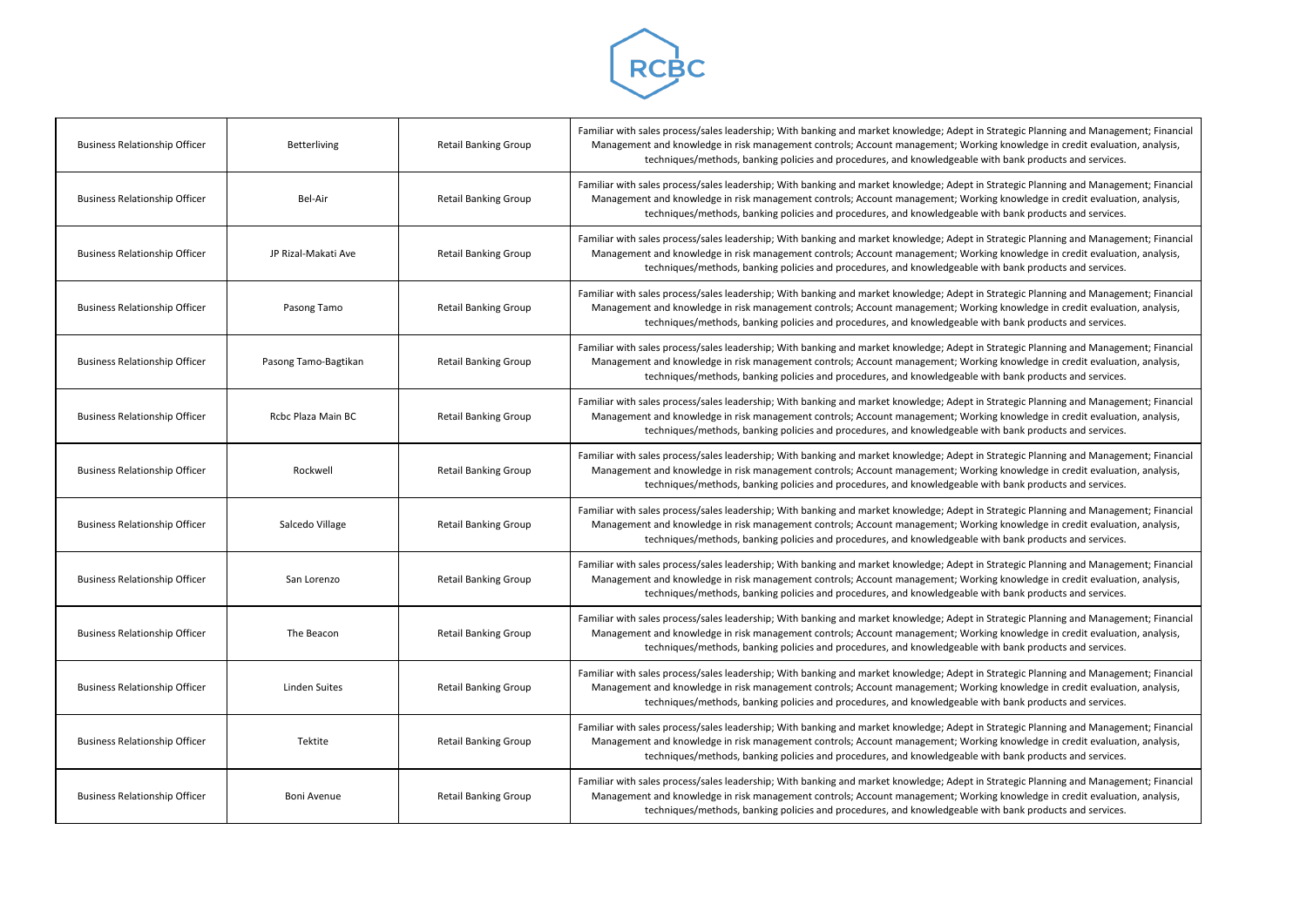

| <b>Business Relationship Officer</b> | Betterliving         | <b>Retail Banking Group</b> | Familiar with sales process/sales leadership; With banking and market knowledge; Adept in !<br>Management and knowledge in risk management controls; Account management; Workin<br>techniques/methods, banking policies and procedures, and knowledgeable w |
|--------------------------------------|----------------------|-----------------------------|-------------------------------------------------------------------------------------------------------------------------------------------------------------------------------------------------------------------------------------------------------------|
| <b>Business Relationship Officer</b> | Bel-Air              | <b>Retail Banking Group</b> | Familiar with sales process/sales leadership; With banking and market knowledge; Adept in !<br>Management and knowledge in risk management controls; Account management; Worki<br>techniques/methods, banking policies and procedures, and knowledgeable w  |
| <b>Business Relationship Officer</b> | JP Rizal-Makati Ave  | <b>Retail Banking Group</b> | Familiar with sales process/sales leadership; With banking and market knowledge; Adept in !<br>Management and knowledge in risk management controls; Account management; Worki<br>techniques/methods, banking policies and procedures, and knowledgeable w  |
| <b>Business Relationship Officer</b> | Pasong Tamo          | <b>Retail Banking Group</b> | Familiar with sales process/sales leadership; With banking and market knowledge; Adept in !<br>Management and knowledge in risk management controls; Account management; Worki<br>techniques/methods, banking policies and procedures, and knowledgeable w  |
| <b>Business Relationship Officer</b> | Pasong Tamo-Bagtikan | <b>Retail Banking Group</b> | Familiar with sales process/sales leadership; With banking and market knowledge; Adept in !<br>Management and knowledge in risk management controls; Account management; Worki<br>techniques/methods, banking policies and procedures, and knowledgeable w  |
| <b>Business Relationship Officer</b> | Rcbc Plaza Main BC   | <b>Retail Banking Group</b> | Familiar with sales process/sales leadership; With banking and market knowledge; Adept in !<br>Management and knowledge in risk management controls; Account management; Worki<br>techniques/methods, banking policies and procedures, and knowledgeable w  |
| <b>Business Relationship Officer</b> | Rockwell             | <b>Retail Banking Group</b> | Familiar with sales process/sales leadership; With banking and market knowledge; Adept in !<br>Management and knowledge in risk management controls; Account management; Worki<br>techniques/methods, banking policies and procedures, and knowledgeable w  |
| <b>Business Relationship Officer</b> | Salcedo Village      | <b>Retail Banking Group</b> | Familiar with sales process/sales leadership; With banking and market knowledge; Adept in !<br>Management and knowledge in risk management controls; Account management; Worki<br>techniques/methods, banking policies and procedures, and knowledgeable w  |
| <b>Business Relationship Officer</b> | San Lorenzo          | <b>Retail Banking Group</b> | Familiar with sales process/sales leadership; With banking and market knowledge; Adept in !<br>Management and knowledge in risk management controls; Account management; Worki<br>techniques/methods, banking policies and procedures, and knowledgeable w  |
| <b>Business Relationship Officer</b> | The Beacon           | <b>Retail Banking Group</b> | Familiar with sales process/sales leadership; With banking and market knowledge; Adept in !<br>Management and knowledge in risk management controls; Account management; Workin<br>techniques/methods, banking policies and procedures, and knowledgeable w |
| <b>Business Relationship Officer</b> | Linden Suites        | <b>Retail Banking Group</b> | Familiar with sales process/sales leadership; With banking and market knowledge; Adept in !<br>Management and knowledge in risk management controls; Account management; Worki<br>techniques/methods, banking policies and procedures, and knowledgeable w  |
| <b>Business Relationship Officer</b> | Tektite              | <b>Retail Banking Group</b> | Familiar with sales process/sales leadership; With banking and market knowledge; Adept in !<br>Management and knowledge in risk management controls; Account management; Worki<br>techniques/methods, banking policies and procedures, and knowledgeable w  |
| <b>Business Relationship Officer</b> | Boni Avenue          | <b>Retail Banking Group</b> | Familiar with sales process/sales leadership; With banking and market knowledge; Adept in !<br>Management and knowledge in risk management controls; Account management; Worki<br>techniques/methods, banking policies and procedures, and knowledgeable w  |

Strategic Planning and Management; Financial ng knowledge in credit evaluation, analysis, ith bank products and services.

Strategic Planning and Management; Financial ng knowledge in credit evaluation, analysis, ith bank products and services.

Strategic Planning and Management; Financial ng knowledge in credit evaluation, analysis, ith bank products and services.

Strategic Planning and Management; Financial ng knowledge in credit evaluation, analysis, ith bank products and services.

Strategic Planning and Management; Financial ng knowledge in credit evaluation, analysis, ith bank products and services.

Strategic Planning and Management; Financial ng knowledge in credit evaluation, analysis, ith bank products and services.

Strategic Planning and Management; Financial ng knowledge in credit evaluation, analysis, ith bank products and services.

Strategic Planning and Management; Financial ng knowledge in credit evaluation, analysis, ith bank products and services.

Strategic Planning and Management; Financial ng knowledge in credit evaluation, analysis, ith bank products and services.

Strategic Planning and Management; Financial ng knowledge in credit evaluation, analysis, ith bank products and services.

Strategic Planning and Management; Financial ng knowledge in credit evaluation, analysis, ith bank products and services.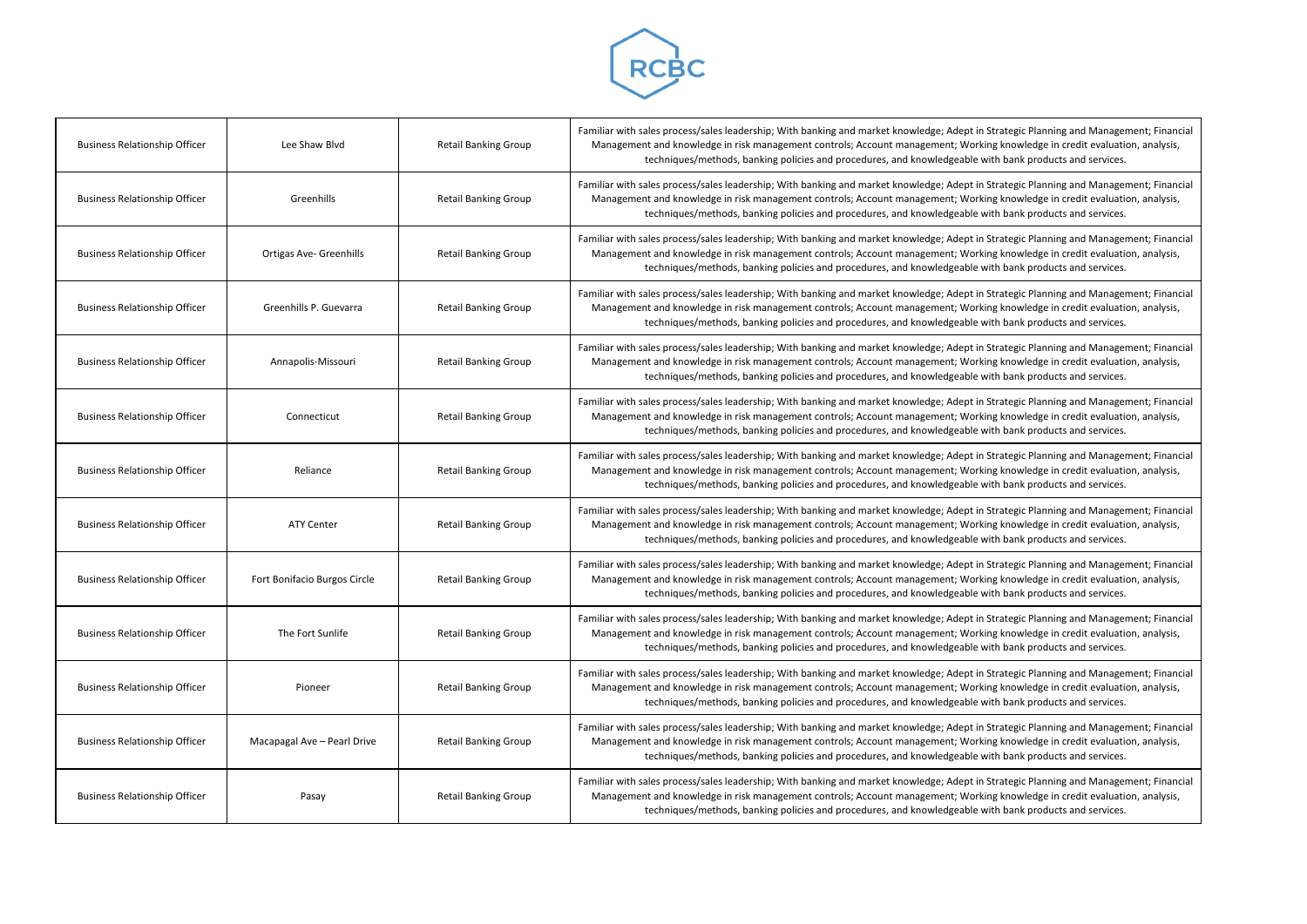

| <b>Business Relationship Officer</b> | Lee Shaw Blvd                  | <b>Retail Banking Group</b> | Familiar with sales process/sales leadership; With banking and market knowledge; Adept in !<br>Management and knowledge in risk management controls; Account management; Worki<br>techniques/methods, banking policies and procedures, and knowledgeable w |
|--------------------------------------|--------------------------------|-----------------------------|------------------------------------------------------------------------------------------------------------------------------------------------------------------------------------------------------------------------------------------------------------|
| <b>Business Relationship Officer</b> | Greenhills                     | <b>Retail Banking Group</b> | Familiar with sales process/sales leadership; With banking and market knowledge; Adept in !<br>Management and knowledge in risk management controls; Account management; Worki<br>techniques/methods, banking policies and procedures, and knowledgeable w |
| <b>Business Relationship Officer</b> | <b>Ortigas Ave- Greenhills</b> | <b>Retail Banking Group</b> | Familiar with sales process/sales leadership; With banking and market knowledge; Adept in !<br>Management and knowledge in risk management controls; Account management; Worki<br>techniques/methods, banking policies and procedures, and knowledgeable w |
| <b>Business Relationship Officer</b> | Greenhills P. Guevarra         | <b>Retail Banking Group</b> | Familiar with sales process/sales leadership; With banking and market knowledge; Adept in !<br>Management and knowledge in risk management controls; Account management; Worki<br>techniques/methods, banking policies and procedures, and knowledgeable w |
| <b>Business Relationship Officer</b> | Annapolis-Missouri             | <b>Retail Banking Group</b> | Familiar with sales process/sales leadership; With banking and market knowledge; Adept in !<br>Management and knowledge in risk management controls; Account management; Worki<br>techniques/methods, banking policies and procedures, and knowledgeable w |
| <b>Business Relationship Officer</b> | Connecticut                    | <b>Retail Banking Group</b> | Familiar with sales process/sales leadership; With banking and market knowledge; Adept in !<br>Management and knowledge in risk management controls; Account management; Worki<br>techniques/methods, banking policies and procedures, and knowledgeable w |
| <b>Business Relationship Officer</b> | Reliance                       | <b>Retail Banking Group</b> | Familiar with sales process/sales leadership; With banking and market knowledge; Adept in !<br>Management and knowledge in risk management controls; Account management; Worki<br>techniques/methods, banking policies and procedures, and knowledgeable w |
| <b>Business Relationship Officer</b> | <b>ATY Center</b>              | <b>Retail Banking Group</b> | Familiar with sales process/sales leadership; With banking and market knowledge; Adept in !<br>Management and knowledge in risk management controls; Account management; Worki<br>techniques/methods, banking policies and procedures, and knowledgeable w |
| <b>Business Relationship Officer</b> | Fort Bonifacio Burgos Circle   | <b>Retail Banking Group</b> | Familiar with sales process/sales leadership; With banking and market knowledge; Adept in !<br>Management and knowledge in risk management controls; Account management; Worki<br>techniques/methods, banking policies and procedures, and knowledgeable w |
| <b>Business Relationship Officer</b> | The Fort Sunlife               | <b>Retail Banking Group</b> | Familiar with sales process/sales leadership; With banking and market knowledge; Adept in !<br>Management and knowledge in risk management controls; Account management; Worki<br>techniques/methods, banking policies and procedures, and knowledgeable w |
| <b>Business Relationship Officer</b> | Pioneer                        | <b>Retail Banking Group</b> | Familiar with sales process/sales leadership; With banking and market knowledge; Adept in !<br>Management and knowledge in risk management controls; Account management; Worki<br>techniques/methods, banking policies and procedures, and knowledgeable w |
| <b>Business Relationship Officer</b> | Macapagal Ave - Pearl Drive    | <b>Retail Banking Group</b> | Familiar with sales process/sales leadership; With banking and market knowledge; Adept in !<br>Management and knowledge in risk management controls; Account management; Worki<br>techniques/methods, banking policies and procedures, and knowledgeable w |
| <b>Business Relationship Officer</b> | Pasay                          | <b>Retail Banking Group</b> | Familiar with sales process/sales leadership; With banking and market knowledge; Adept in !<br>Management and knowledge in risk management controls; Account management; Worki<br>techniques/methods, banking policies and procedures, and knowledgeable w |

Strategic Planning and Management; Financial ng knowledge in credit evaluation, analysis, ith bank products and services.

Strategic Planning and Management; Financial ng knowledge in credit evaluation, analysis, ith bank products and services.

Strategic Planning and Management; Financial ng knowledge in credit evaluation, analysis, ith bank products and services.

Strategic Planning and Management; Financial ng knowledge in credit evaluation, analysis, ith bank products and services.

Strategic Planning and Management; Financial ng knowledge in credit evaluation, analysis, ith bank products and services.

Strategic Planning and Management; Financial ng knowledge in credit evaluation, analysis, ith bank products and services.

Strategic Planning and Management; Financial ng knowledge in credit evaluation, analysis, ith bank products and services.

Strategic Planning and Management; Financial ng knowledge in credit evaluation, analysis, ith bank products and services.

Strategic Planning and Management; Financial ng knowledge in credit evaluation, analysis, ith bank products and services.

Strategic Planning and Management; Financial ng knowledge in credit evaluation, analysis, ith bank products and services.

Strategic Planning and Management; Financial ng knowledge in credit evaluation, analysis, ith bank products and services.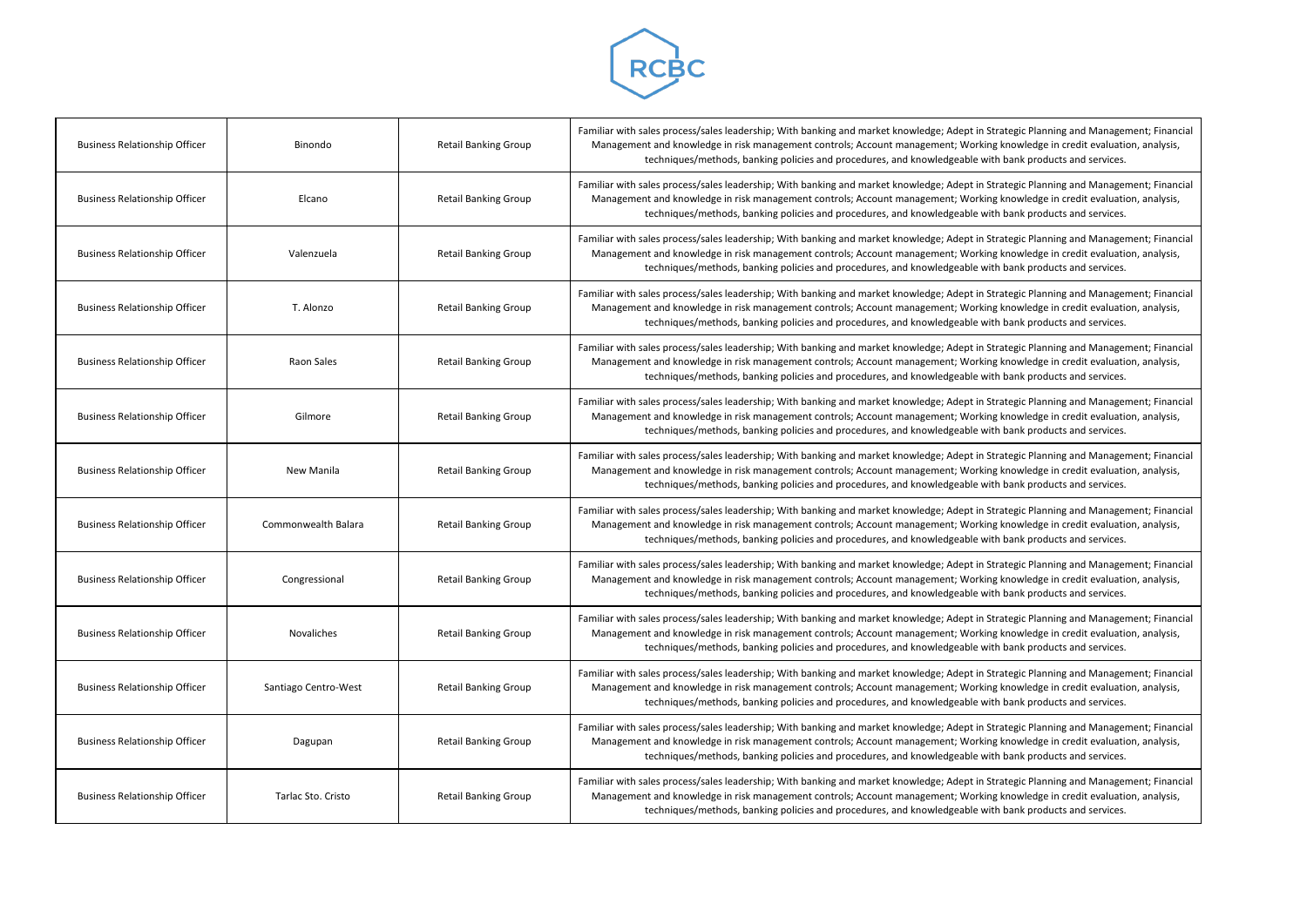

| <b>Business Relationship Officer</b> | Binondo              | <b>Retail Banking Group</b> | Familiar with sales process/sales leadership; With banking and market knowledge; Adept in !<br>Management and knowledge in risk management controls; Account management; Workin<br>techniques/methods, banking policies and procedures, and knowledgeable w |
|--------------------------------------|----------------------|-----------------------------|-------------------------------------------------------------------------------------------------------------------------------------------------------------------------------------------------------------------------------------------------------------|
| <b>Business Relationship Officer</b> | Elcano               | <b>Retail Banking Group</b> | Familiar with sales process/sales leadership; With banking and market knowledge; Adept in !<br>Management and knowledge in risk management controls; Account management; Worki<br>techniques/methods, banking policies and procedures, and knowledgeable w  |
| <b>Business Relationship Officer</b> | Valenzuela           | <b>Retail Banking Group</b> | Familiar with sales process/sales leadership; With banking and market knowledge; Adept in !<br>Management and knowledge in risk management controls; Account management; Worki<br>techniques/methods, banking policies and procedures, and knowledgeable w  |
| <b>Business Relationship Officer</b> | T. Alonzo            | <b>Retail Banking Group</b> | Familiar with sales process/sales leadership; With banking and market knowledge; Adept in !<br>Management and knowledge in risk management controls; Account management; Worki<br>techniques/methods, banking policies and procedures, and knowledgeable w  |
| <b>Business Relationship Officer</b> | Raon Sales           | <b>Retail Banking Group</b> | Familiar with sales process/sales leadership; With banking and market knowledge; Adept in !<br>Management and knowledge in risk management controls; Account management; Worki<br>techniques/methods, banking policies and procedures, and knowledgeable w  |
| <b>Business Relationship Officer</b> | Gilmore              | <b>Retail Banking Group</b> | Familiar with sales process/sales leadership; With banking and market knowledge; Adept in !<br>Management and knowledge in risk management controls; Account management; Worki<br>techniques/methods, banking policies and procedures, and knowledgeable w  |
| <b>Business Relationship Officer</b> | New Manila           | <b>Retail Banking Group</b> | Familiar with sales process/sales leadership; With banking and market knowledge; Adept in !<br>Management and knowledge in risk management controls; Account management; Worki<br>techniques/methods, banking policies and procedures, and knowledgeable w  |
| <b>Business Relationship Officer</b> | Commonwealth Balara  | <b>Retail Banking Group</b> | Familiar with sales process/sales leadership; With banking and market knowledge; Adept in !<br>Management and knowledge in risk management controls; Account management; Worki<br>techniques/methods, banking policies and procedures, and knowledgeable w  |
| <b>Business Relationship Officer</b> | Congressional        | <b>Retail Banking Group</b> | Familiar with sales process/sales leadership; With banking and market knowledge; Adept in !<br>Management and knowledge in risk management controls; Account management; Worki<br>techniques/methods, banking policies and procedures, and knowledgeable w  |
| <b>Business Relationship Officer</b> | Novaliches           | <b>Retail Banking Group</b> | Familiar with sales process/sales leadership; With banking and market knowledge; Adept in !<br>Management and knowledge in risk management controls; Account management; Worki<br>techniques/methods, banking policies and procedures, and knowledgeable w  |
| <b>Business Relationship Officer</b> | Santiago Centro-West | <b>Retail Banking Group</b> | Familiar with sales process/sales leadership; With banking and market knowledge; Adept in !<br>Management and knowledge in risk management controls; Account management; Workin<br>techniques/methods, banking policies and procedures, and knowledgeable w |
| <b>Business Relationship Officer</b> | Dagupan              | <b>Retail Banking Group</b> | Familiar with sales process/sales leadership; With banking and market knowledge; Adept in !<br>Management and knowledge in risk management controls; Account management; Workin<br>techniques/methods, banking policies and procedures, and knowledgeable w |
| <b>Business Relationship Officer</b> | Tarlac Sto. Cristo   | <b>Retail Banking Group</b> | Familiar with sales process/sales leadership; With banking and market knowledge; Adept in !<br>Management and knowledge in risk management controls; Account management; Worki<br>techniques/methods, banking policies and procedures, and knowledgeable w  |

Strategic Planning and Management; Financial ng knowledge in credit evaluation, analysis, ith bank products and services.

Strategic Planning and Management; Financial ng knowledge in credit evaluation, analysis, ith bank products and services.

Strategic Planning and Management; Financial ng knowledge in credit evaluation, analysis, ith bank products and services.

Strategic Planning and Management; Financial ng knowledge in credit evaluation, analysis, ith bank products and services.

Strategic Planning and Management; Financial ng knowledge in credit evaluation, analysis, ith bank products and services.

Strategic Planning and Management; Financial ng knowledge in credit evaluation, analysis, ith bank products and services.

Strategic Planning and Management; Financial ng knowledge in credit evaluation, analysis, ith bank products and services.

Strategic Planning and Management; Financial ng knowledge in credit evaluation, analysis, ith bank products and services.

Strategic Planning and Management; Financial ng knowledge in credit evaluation, analysis, ith bank products and services.

Strategic Planning and Management; Financial ng knowledge in credit evaluation, analysis, ith bank products and services.

Strategic Planning and Management; Financial ng knowledge in credit evaluation, analysis, ith bank products and services.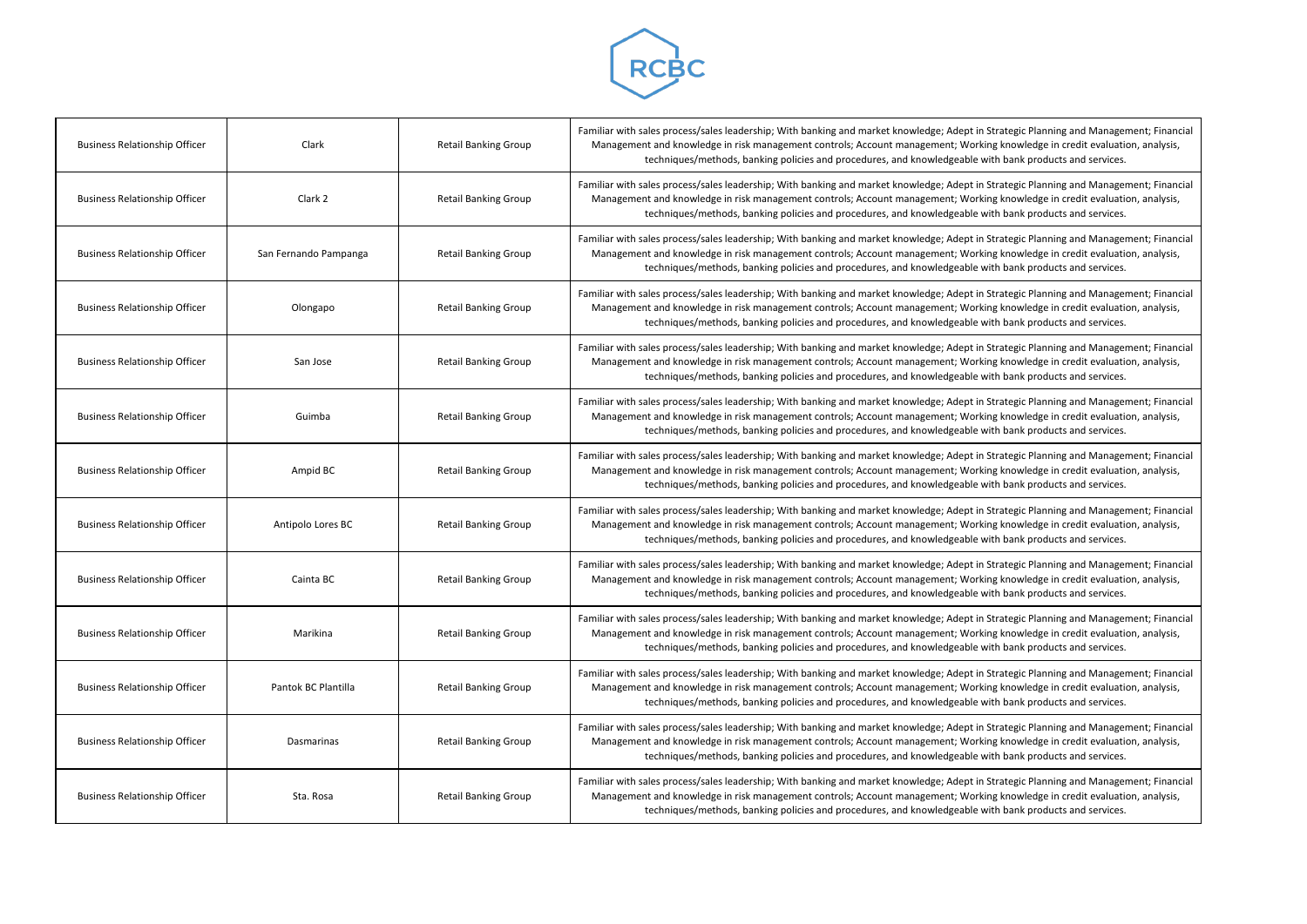

| <b>Business Relationship Officer</b> | Clark                 | <b>Retail Banking Group</b> | Familiar with sales process/sales leadership; With banking and market knowledge; Adept in !<br>Management and knowledge in risk management controls; Account management; Worki<br>techniques/methods, banking policies and procedures, and knowledgeable w  |
|--------------------------------------|-----------------------|-----------------------------|-------------------------------------------------------------------------------------------------------------------------------------------------------------------------------------------------------------------------------------------------------------|
| <b>Business Relationship Officer</b> | Clark 2               | <b>Retail Banking Group</b> | Familiar with sales process/sales leadership; With banking and market knowledge; Adept in !<br>Management and knowledge in risk management controls; Account management; Worki<br>techniques/methods, banking policies and procedures, and knowledgeable w  |
| <b>Business Relationship Officer</b> | San Fernando Pampanga | <b>Retail Banking Group</b> | Familiar with sales process/sales leadership; With banking and market knowledge; Adept in !<br>Management and knowledge in risk management controls; Account management; Worki<br>techniques/methods, banking policies and procedures, and knowledgeable w  |
| <b>Business Relationship Officer</b> | Olongapo              | <b>Retail Banking Group</b> | Familiar with sales process/sales leadership; With banking and market knowledge; Adept in !<br>Management and knowledge in risk management controls; Account management; Worki<br>techniques/methods, banking policies and procedures, and knowledgeable w  |
| <b>Business Relationship Officer</b> | San Jose              | <b>Retail Banking Group</b> | Familiar with sales process/sales leadership; With banking and market knowledge; Adept in !<br>Management and knowledge in risk management controls; Account management; Worki<br>techniques/methods, banking policies and procedures, and knowledgeable w  |
| <b>Business Relationship Officer</b> | Guimba                | <b>Retail Banking Group</b> | Familiar with sales process/sales leadership; With banking and market knowledge; Adept in !<br>Management and knowledge in risk management controls; Account management; Worki<br>techniques/methods, banking policies and procedures, and knowledgeable w  |
| <b>Business Relationship Officer</b> | Ampid BC              | <b>Retail Banking Group</b> | Familiar with sales process/sales leadership; With banking and market knowledge; Adept in !<br>Management and knowledge in risk management controls; Account management; Worki<br>techniques/methods, banking policies and procedures, and knowledgeable w  |
| <b>Business Relationship Officer</b> | Antipolo Lores BC     | <b>Retail Banking Group</b> | Familiar with sales process/sales leadership; With banking and market knowledge; Adept in !<br>Management and knowledge in risk management controls; Account management; Worki<br>techniques/methods, banking policies and procedures, and knowledgeable w  |
| <b>Business Relationship Officer</b> | Cainta BC             | <b>Retail Banking Group</b> | Familiar with sales process/sales leadership; With banking and market knowledge; Adept in !<br>Management and knowledge in risk management controls; Account management; Worki<br>techniques/methods, banking policies and procedures, and knowledgeable w  |
| <b>Business Relationship Officer</b> | Marikina              | <b>Retail Banking Group</b> | Familiar with sales process/sales leadership; With banking and market knowledge; Adept in !<br>Management and knowledge in risk management controls; Account management; Worki<br>techniques/methods, banking policies and procedures, and knowledgeable w  |
| <b>Business Relationship Officer</b> | Pantok BC Plantilla   | <b>Retail Banking Group</b> | Familiar with sales process/sales leadership; With banking and market knowledge; Adept in !<br>Management and knowledge in risk management controls; Account management; Workin<br>techniques/methods, banking policies and procedures, and knowledgeable w |
| <b>Business Relationship Officer</b> | Dasmarinas            | <b>Retail Banking Group</b> | Familiar with sales process/sales leadership; With banking and market knowledge; Adept in !<br>Management and knowledge in risk management controls; Account management; Worki<br>techniques/methods, banking policies and procedures, and knowledgeable w  |
| <b>Business Relationship Officer</b> | Sta. Rosa             | <b>Retail Banking Group</b> | Familiar with sales process/sales leadership; With banking and market knowledge; Adept in !<br>Management and knowledge in risk management controls; Account management; Worki<br>techniques/methods, banking policies and procedures, and knowledgeable w  |

Strategic Planning and Management; Financial ng knowledge in credit evaluation, analysis, ith bank products and services.

Strategic Planning and Management; Financial ng knowledge in credit evaluation, analysis, ith bank products and services.

Strategic Planning and Management; Financial ng knowledge in credit evaluation, analysis, ith bank products and services.

Strategic Planning and Management; Financial ng knowledge in credit evaluation, analysis, ith bank products and services.

Strategic Planning and Management; Financial ng knowledge in credit evaluation, analysis, ith bank products and services.

Strategic Planning and Management; Financial ng knowledge in credit evaluation, analysis, ith bank products and services.

Strategic Planning and Management; Financial ng knowledge in credit evaluation, analysis, ith bank products and services.

Strategic Planning and Management; Financial ng knowledge in credit evaluation, analysis, ith bank products and services.

Strategic Planning and Management; Financial ng knowledge in credit evaluation, analysis, ith bank products and services.

Strategic Planning and Management; Financial ng knowledge in credit evaluation, analysis, ith bank products and services.

Strategic Planning and Management; Financial ng knowledge in credit evaluation, analysis, ith bank products and services.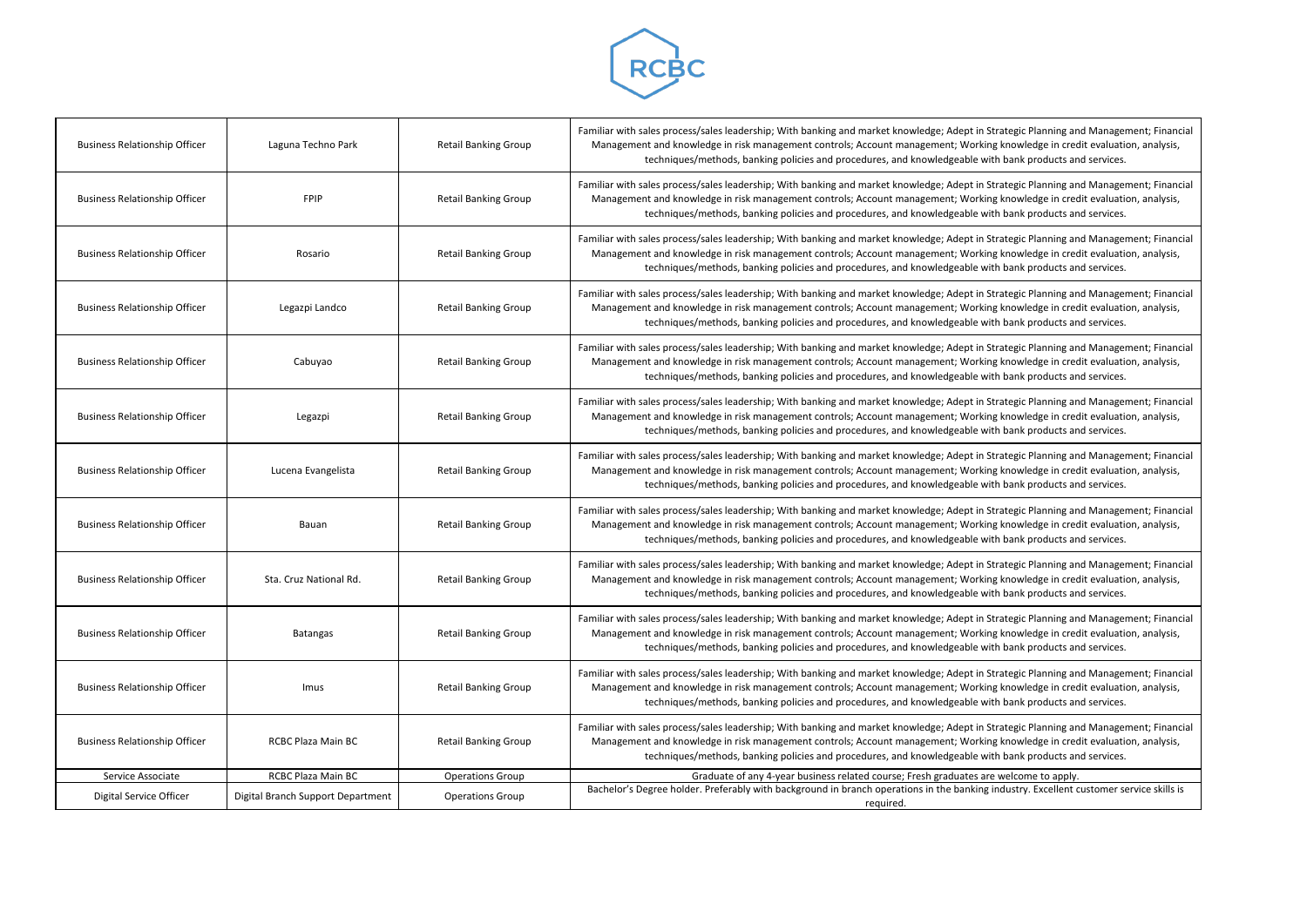

| <b>Business Relationship Officer</b> | Laguna Techno Park                | <b>Retail Banking Group</b> | Familiar with sales process/sales leadership; With banking and market knowledge; Adept in Strategic Planning ar<br>Management and knowledge in risk management controls; Account management; Working knowledge in cree<br>techniques/methods, banking policies and procedures, and knowledgeable with bank products ar  |
|--------------------------------------|-----------------------------------|-----------------------------|-------------------------------------------------------------------------------------------------------------------------------------------------------------------------------------------------------------------------------------------------------------------------------------------------------------------------|
| <b>Business Relationship Officer</b> | <b>FPIP</b>                       | <b>Retail Banking Group</b> | Familiar with sales process/sales leadership; With banking and market knowledge; Adept in Strategic Planning ar<br>Management and knowledge in risk management controls; Account management; Working knowledge in cred<br>techniques/methods, banking policies and procedures, and knowledgeable with bank products ar  |
| <b>Business Relationship Officer</b> | Rosario                           | <b>Retail Banking Group</b> | Familiar with sales process/sales leadership; With banking and market knowledge; Adept in Strategic Planning ar<br>Management and knowledge in risk management controls; Account management; Working knowledge in cred<br>techniques/methods, banking policies and procedures, and knowledgeable with bank products are |
| <b>Business Relationship Officer</b> | Legazpi Landco                    | <b>Retail Banking Group</b> | Familiar with sales process/sales leadership; With banking and market knowledge; Adept in Strategic Planning ar<br>Management and knowledge in risk management controls; Account management; Working knowledge in cree<br>techniques/methods, banking policies and procedures, and knowledgeable with bank products ar  |
| <b>Business Relationship Officer</b> | Cabuyao                           | <b>Retail Banking Group</b> | Familiar with sales process/sales leadership; With banking and market knowledge; Adept in Strategic Planning ar<br>Management and knowledge in risk management controls; Account management; Working knowledge in cred<br>techniques/methods, banking policies and procedures, and knowledgeable with bank products ar  |
| <b>Business Relationship Officer</b> | Legazpi                           | <b>Retail Banking Group</b> | Familiar with sales process/sales leadership; With banking and market knowledge; Adept in Strategic Planning ar<br>Management and knowledge in risk management controls; Account management; Working knowledge in cred<br>techniques/methods, banking policies and procedures, and knowledgeable with bank products ar  |
| <b>Business Relationship Officer</b> | Lucena Evangelista                | <b>Retail Banking Group</b> | Familiar with sales process/sales leadership; With banking and market knowledge; Adept in Strategic Planning ar<br>Management and knowledge in risk management controls; Account management; Working knowledge in cred<br>techniques/methods, banking policies and procedures, and knowledgeable with bank products ar  |
| <b>Business Relationship Officer</b> | Bauan                             | <b>Retail Banking Group</b> | Familiar with sales process/sales leadership; With banking and market knowledge; Adept in Strategic Planning ar<br>Management and knowledge in risk management controls; Account management; Working knowledge in cred<br>techniques/methods, banking policies and procedures, and knowledgeable with bank products ar  |
| <b>Business Relationship Officer</b> | Sta. Cruz National Rd.            | <b>Retail Banking Group</b> | Familiar with sales process/sales leadership; With banking and market knowledge; Adept in Strategic Planning ar<br>Management and knowledge in risk management controls; Account management; Working knowledge in cree<br>techniques/methods, banking policies and procedures, and knowledgeable with bank products ar  |
| <b>Business Relationship Officer</b> | Batangas                          | <b>Retail Banking Group</b> | Familiar with sales process/sales leadership; With banking and market knowledge; Adept in Strategic Planning ar<br>Management and knowledge in risk management controls; Account management; Working knowledge in cred<br>techniques/methods, banking policies and procedures, and knowledgeable with bank products ar  |
| <b>Business Relationship Officer</b> | Imus                              | <b>Retail Banking Group</b> | Familiar with sales process/sales leadership; With banking and market knowledge; Adept in Strategic Planning ar<br>Management and knowledge in risk management controls; Account management; Working knowledge in cred<br>techniques/methods, banking policies and procedures, and knowledgeable with bank products ar  |
| <b>Business Relationship Officer</b> | RCBC Plaza Main BC                | <b>Retail Banking Group</b> | Familiar with sales process/sales leadership; With banking and market knowledge; Adept in Strategic Planning ar<br>Management and knowledge in risk management controls; Account management; Working knowledge in cree<br>techniques/methods, banking policies and procedures, and knowledgeable with bank products ar  |
| Service Associate                    | RCBC Plaza Main BC                | <b>Operations Group</b>     | Graduate of any 4-year business related course; Fresh graduates are welcome to apply.                                                                                                                                                                                                                                   |
| Digital Service Officer              | Digital Branch Support Department | <b>Operations Group</b>     | Bachelor's Degree holder. Preferably with background in branch operations in the banking industry. Excellent o<br>required.                                                                                                                                                                                             |
|                                      |                                   |                             |                                                                                                                                                                                                                                                                                                                         |

Strategic Planning and Management; Financial ng knowledge in credit evaluation, analysis, ith bank products and services.

Strategic Planning and Management; Financial ng knowledge in credit evaluation, analysis, ith bank products and services.

Strategic Planning and Management; Financial ng knowledge in credit evaluation, analysis, ith bank products and services.

Strategic Planning and Management; Financial ng knowledge in credit evaluation, analysis, ith bank products and services.

Strategic Planning and Management; Financial ng knowledge in credit evaluation, analysis, ith bank products and services.

Strategic Planning and Management; Financial ng knowledge in credit evaluation, analysis, ith bank products and services.

Strategic Planning and Management; Financial ng knowledge in credit evaluation, analysis, ith bank products and services.

Strategic Planning and Management; Financial ng knowledge in credit evaluation, analysis, ith bank products and services.

Strategic Planning and Management; Financial ng knowledge in credit evaluation, analysis, ith bank products and services.

Strategic Planning and Management; Financial ng knowledge in credit evaluation, analysis, ith bank products and services.

Strategic Planning and Management; Financial ng knowledge in credit evaluation, analysis, ith bank products and services.

Bacheloris Degree holdstrage in background in branch in the banking in the banking in the banking is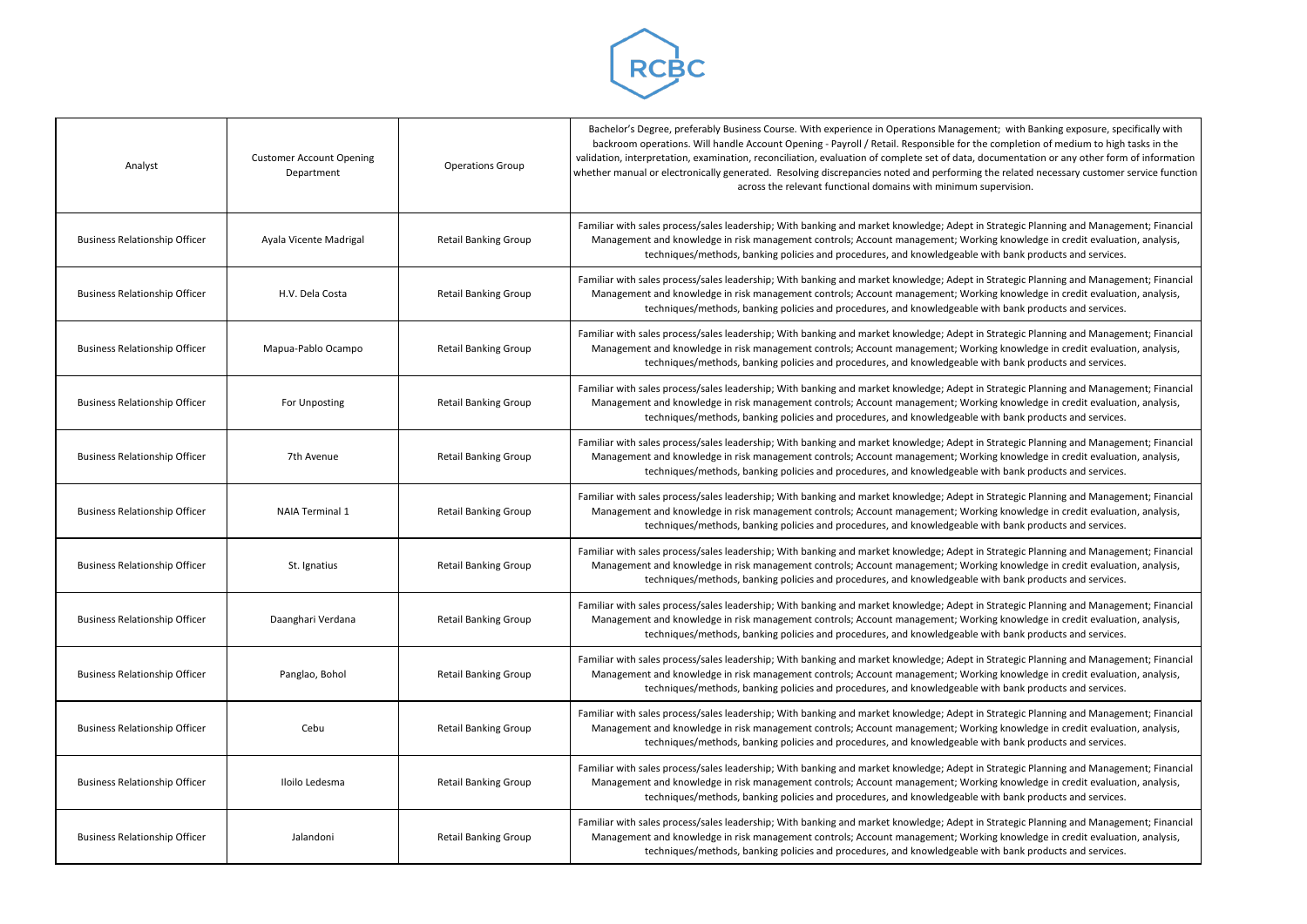

| Analyst                              | <b>Customer Account Opening</b><br>Department | <b>Operations Group</b>     | Bachelor's Degree, preferably Business Course. With experience in Operations Manageme<br>backroom operations. Will handle Account Opening - Payroll / Retail. Responsible for the<br>validation, interpretation, examination, reconciliation, evaluation of complete set of data, do<br>whether manual or electronically generated. Resolving discrepancies noted and performing t<br>across the relevant functional domains with minimum su |
|--------------------------------------|-----------------------------------------------|-----------------------------|----------------------------------------------------------------------------------------------------------------------------------------------------------------------------------------------------------------------------------------------------------------------------------------------------------------------------------------------------------------------------------------------------------------------------------------------|
| <b>Business Relationship Officer</b> | Ayala Vicente Madrigal                        | <b>Retail Banking Group</b> | Familiar with sales process/sales leadership; With banking and market knowledge; Adept in 9<br>Management and knowledge in risk management controls; Account management; Workir<br>techniques/methods, banking policies and procedures, and knowledgeable w                                                                                                                                                                                  |
| <b>Business Relationship Officer</b> | H.V. Dela Costa                               | <b>Retail Banking Group</b> | Familiar with sales process/sales leadership; With banking and market knowledge; Adept in 9<br>Management and knowledge in risk management controls; Account management; Workir<br>techniques/methods, banking policies and procedures, and knowledgeable w                                                                                                                                                                                  |
| <b>Business Relationship Officer</b> | Mapua-Pablo Ocampo                            | <b>Retail Banking Group</b> | Familiar with sales process/sales leadership; With banking and market knowledge; Adept in !<br>Management and knowledge in risk management controls; Account management; Workir<br>techniques/methods, banking policies and procedures, and knowledgeable w                                                                                                                                                                                  |
| <b>Business Relationship Officer</b> | For Unposting                                 | <b>Retail Banking Group</b> | Familiar with sales process/sales leadership; With banking and market knowledge; Adept in 9<br>Management and knowledge in risk management controls; Account management; Workir<br>techniques/methods, banking policies and procedures, and knowledgeable w                                                                                                                                                                                  |
| <b>Business Relationship Officer</b> | 7th Avenue                                    | <b>Retail Banking Group</b> | Familiar with sales process/sales leadership; With banking and market knowledge; Adept in 9<br>Management and knowledge in risk management controls; Account management; Workir<br>techniques/methods, banking policies and procedures, and knowledgeable w                                                                                                                                                                                  |
| <b>Business Relationship Officer</b> | <b>NAIA Terminal 1</b>                        | <b>Retail Banking Group</b> | Familiar with sales process/sales leadership; With banking and market knowledge; Adept in 9<br>Management and knowledge in risk management controls; Account management; Workir<br>techniques/methods, banking policies and procedures, and knowledgeable w                                                                                                                                                                                  |
| <b>Business Relationship Officer</b> | St. Ignatius                                  | <b>Retail Banking Group</b> | Familiar with sales process/sales leadership; With banking and market knowledge; Adept in 9<br>Management and knowledge in risk management controls; Account management; Workir<br>techniques/methods, banking policies and procedures, and knowledgeable w                                                                                                                                                                                  |
| <b>Business Relationship Officer</b> | Daanghari Verdana                             | <b>Retail Banking Group</b> | Familiar with sales process/sales leadership; With banking and market knowledge; Adept in 9<br>Management and knowledge in risk management controls; Account management; Workir<br>techniques/methods, banking policies and procedures, and knowledgeable w                                                                                                                                                                                  |
| <b>Business Relationship Officer</b> | Panglao, Bohol                                | <b>Retail Banking Group</b> | Familiar with sales process/sales leadership; With banking and market knowledge; Adept in 9<br>Management and knowledge in risk management controls; Account management; Workir<br>techniques/methods, banking policies and procedures, and knowledgeable w                                                                                                                                                                                  |
| <b>Business Relationship Officer</b> | Cebu                                          | <b>Retail Banking Group</b> | Familiar with sales process/sales leadership; With banking and market knowledge; Adept in 9<br>Management and knowledge in risk management controls; Account management; Workir<br>techniques/methods, banking policies and procedures, and knowledgeable w                                                                                                                                                                                  |
| <b>Business Relationship Officer</b> | Iloilo Ledesma                                | <b>Retail Banking Group</b> | Familiar with sales process/sales leadership; With banking and market knowledge; Adept in 9<br>Management and knowledge in risk management controls; Account management; Workir<br>techniques/methods, banking policies and procedures, and knowledgeable w                                                                                                                                                                                  |
| <b>Business Relationship Officer</b> | Jalandoni                                     | <b>Retail Banking Group</b> | Familiar with sales process/sales leadership; With banking and market knowledge; Adept in 9<br>Management and knowledge in risk management controls; Account management; Workir<br>techniques/methods, banking policies and procedures, and knowledgeable w                                                                                                                                                                                  |

ent; with Banking exposure, specifically with ecompletion of medium to high tasks in the ocumentation or any other form of information the related necessary customer service function upervision.

Strategic Planning and Management; Financial ng knowledge in credit evaluation, analysis, ith bank products and services.

Strategic Planning and Management; Financial ng knowledge in credit evaluation, analysis, ith bank products and services.

Strategic Planning and Management; Financial ng knowledge in credit evaluation, analysis, ith bank products and services.

Strategic Planning and Management; Financial management and knowledge in credit evaluation, analysis,  $\overline{\phantom{a}}$ ith bank products and services.

Strategic Planning and Management; Financial ng knowledge in credit evaluation, analysis, ith bank products and services.

Strategic Planning and Management; Financial ng knowledge in credit evaluation, analysis, ith bank products and services.

Strategic Planning and Management; Financial ng knowledge in credit evaluation, analysis, ith bank products and services.

Strategic Planning and Management; Financial ng knowledge in credit evaluation, analysis, ith bank products and services.

Strategic Planning and Management; Financial ng knowledge in credit evaluation, analysis, ith bank products and services.

Strategic Planning and Management; Financial ng knowledge in credit evaluation, analysis, ith bank products and services.

Strategic Planning and Management; Financial ng knowledge in credit evaluation, analysis, ith bank products and services.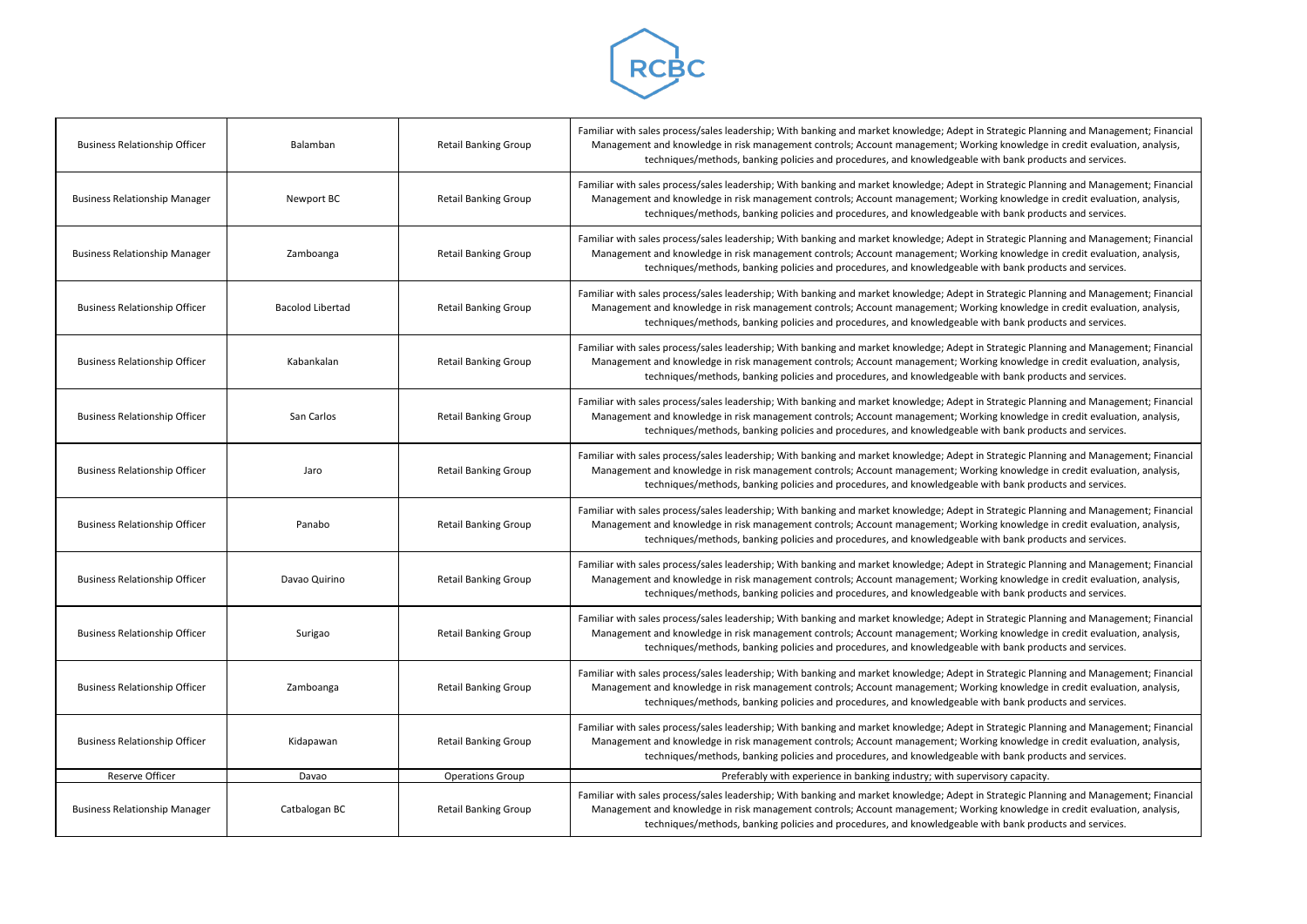

| <b>Business Relationship Officer</b> | Balamban                | <b>Retail Banking Group</b> | Familiar with sales process/sales leadership; With banking and market knowledge; Adept in Strategic Plan<br>Management and knowledge in risk management controls; Account management; Working knowledge<br>techniques/methods, banking policies and procedures, and knowledgeable with bank prod |
|--------------------------------------|-------------------------|-----------------------------|--------------------------------------------------------------------------------------------------------------------------------------------------------------------------------------------------------------------------------------------------------------------------------------------------|
| <b>Business Relationship Manager</b> | Newport BC              | <b>Retail Banking Group</b> | Familiar with sales process/sales leadership; With banking and market knowledge; Adept in Strategic Plan<br>Management and knowledge in risk management controls; Account management; Working knowledge<br>techniques/methods, banking policies and procedures, and knowledgeable with bank prod |
| <b>Business Relationship Manager</b> | Zamboanga               | <b>Retail Banking Group</b> | Familiar with sales process/sales leadership; With banking and market knowledge; Adept in Strategic Plan<br>Management and knowledge in risk management controls; Account management; Working knowledge<br>techniques/methods, banking policies and procedures, and knowledgeable with bank prod |
| <b>Business Relationship Officer</b> | <b>Bacolod Libertad</b> | <b>Retail Banking Group</b> | Familiar with sales process/sales leadership; With banking and market knowledge; Adept in Strategic Plan<br>Management and knowledge in risk management controls; Account management; Working knowledge<br>techniques/methods, banking policies and procedures, and knowledgeable with bank prod |
| <b>Business Relationship Officer</b> | Kabankalan              | <b>Retail Banking Group</b> | Familiar with sales process/sales leadership; With banking and market knowledge; Adept in Strategic Plan<br>Management and knowledge in risk management controls; Account management; Working knowledge<br>techniques/methods, banking policies and procedures, and knowledgeable with bank prod |
| <b>Business Relationship Officer</b> | San Carlos              | <b>Retail Banking Group</b> | Familiar with sales process/sales leadership; With banking and market knowledge; Adept in Strategic Plan<br>Management and knowledge in risk management controls; Account management; Working knowledge<br>techniques/methods, banking policies and procedures, and knowledgeable with bank prod |
| <b>Business Relationship Officer</b> | Jaro                    | <b>Retail Banking Group</b> | Familiar with sales process/sales leadership; With banking and market knowledge; Adept in Strategic Plan<br>Management and knowledge in risk management controls; Account management; Working knowledge<br>techniques/methods, banking policies and procedures, and knowledgeable with bank prod |
| <b>Business Relationship Officer</b> | Panabo                  | <b>Retail Banking Group</b> | Familiar with sales process/sales leadership; With banking and market knowledge; Adept in Strategic Plan<br>Management and knowledge in risk management controls; Account management; Working knowledge<br>techniques/methods, banking policies and procedures, and knowledgeable with bank prod |
| <b>Business Relationship Officer</b> | Davao Quirino           | <b>Retail Banking Group</b> | Familiar with sales process/sales leadership; With banking and market knowledge; Adept in Strategic Plan<br>Management and knowledge in risk management controls; Account management; Working knowledge<br>techniques/methods, banking policies and procedures, and knowledgeable with bank prod |
| <b>Business Relationship Officer</b> | Surigao                 | <b>Retail Banking Group</b> | Familiar with sales process/sales leadership; With banking and market knowledge; Adept in Strategic Plan<br>Management and knowledge in risk management controls; Account management; Working knowledge<br>techniques/methods, banking policies and procedures, and knowledgeable with bank prod |
| <b>Business Relationship Officer</b> | Zamboanga               | <b>Retail Banking Group</b> | Familiar with sales process/sales leadership; With banking and market knowledge; Adept in Strategic Plan<br>Management and knowledge in risk management controls; Account management; Working knowledge<br>techniques/methods, banking policies and procedures, and knowledgeable with bank prod |
| <b>Business Relationship Officer</b> | Kidapawan               | <b>Retail Banking Group</b> | Familiar with sales process/sales leadership; With banking and market knowledge; Adept in Strategic Plan<br>Management and knowledge in risk management controls; Account management; Working knowledge<br>techniques/methods, banking policies and procedures, and knowledgeable with bank prod |
| Reserve Officer                      | Davao                   | <b>Operations Group</b>     | Preferably with experience in banking industry; with supervisory capacity.                                                                                                                                                                                                                       |
| <b>Business Relationship Manager</b> | Catbalogan BC           | <b>Retail Banking Group</b> | Familiar with sales process/sales leadership; With banking and market knowledge; Adept in Strategic Plan<br>Management and knowledge in risk management controls; Account management; Working knowledge<br>techniques/methods, banking policies and procedures, and knowledgeable with bank prod |

Strategic Planning and Management; Financial ng knowledge in credit evaluation, analysis, ith bank products and services.

Strategic Planning and Management; Financial ng knowledge in credit evaluation, analysis, ith bank products and services.

Strategic Planning and Management; Financial ng knowledge in credit evaluation, analysis, ith bank products and services.

Strategic Planning and Management; Financial ng knowledge in credit evaluation, analysis, ith bank products and services.

Strategic Planning and Management; Financial ng knowledge in credit evaluation, analysis, ith bank products and services.

Strategic Planning and Management; Financial ng knowledge in credit evaluation, analysis, ith bank products and services.

Strategic Planning and Management; Financial ng knowledge in credit evaluation, analysis, ith bank products and services.

Strategic Planning and Management; Financial ng knowledge in credit evaluation, analysis, ith bank products and services.

Strategic Planning and Management; Financial ng knowledge in credit evaluation, analysis, ith bank products and services.

Strategic Planning and Management; Financial ng knowledge in credit evaluation, analysis, ith bank products and services.

Strategic Planning and Management; Financial ng knowledge in credit evaluation, analysis, ith bank products and services.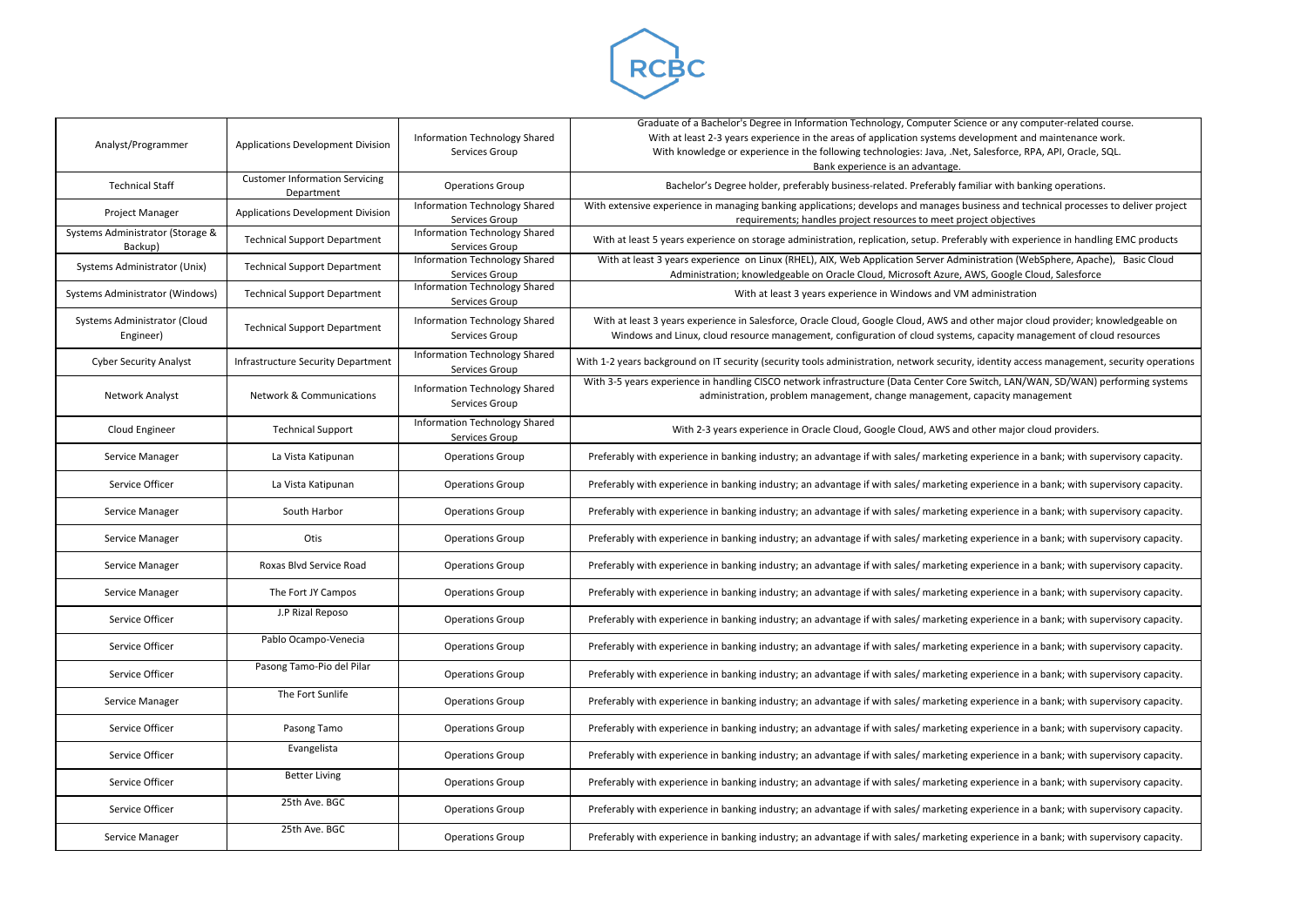

| Analyst/Programmer                          | Applications Development Division                   | Information Technology Shared<br>Services Group        | Graduate of a Bachelor's Degree in Information Technology, Computer Science<br>With at least 2-3 years experience in the areas of application systems develo<br>With knowledge or experience in the following technologies: Java, .Net, Sale<br>Bank experience is an advantage. |
|---------------------------------------------|-----------------------------------------------------|--------------------------------------------------------|----------------------------------------------------------------------------------------------------------------------------------------------------------------------------------------------------------------------------------------------------------------------------------|
| <b>Technical Staff</b>                      | <b>Customer Information Servicing</b><br>Department | <b>Operations Group</b>                                | Bachelor's Degree holder, preferably business-related. Preferably familia                                                                                                                                                                                                        |
| Project Manager                             | Applications Development Division                   | Information Technology Shared<br>Services Group        | With extensive experience in managing banking applications; develops and manages busine<br>requirements; handles project resources to meet project                                                                                                                               |
| Systems Administrator (Storage &<br>Backup) | <b>Technical Support Department</b>                 | <b>Information Technology Shared</b><br>Services Group | With at least 5 years experience on storage administration, replication, setup. Preferably                                                                                                                                                                                       |
| Systems Administrator (Unix)                | <b>Technical Support Department</b>                 | Information Technology Shared<br>Services Group        | With at least 3 years experience on Linux (RHEL), AIX, Web Application Server Administr<br>Administration; knowledgeable on Oracle Cloud, Microsoft Azure, AWS,                                                                                                                  |
| Systems Administrator (Windows)             | <b>Technical Support Department</b>                 | <b>Information Technology Shared</b><br>Services Group | With at least 3 years experience in Windows and VM adm                                                                                                                                                                                                                           |
| Systems Administrator (Cloud<br>Engineer)   | <b>Technical Support Department</b>                 | Information Technology Shared<br>Services Group        | With at least 3 years experience in Salesforce, Oracle Cloud, Google Cloud, AWS and othe<br>Windows and Linux, cloud resource management, configuration of cloud systems, ca                                                                                                     |
| <b>Cyber Security Analyst</b>               | Infrastructure Security Department                  | <b>Information Technology Shared</b><br>Services Group | With 1-2 years background on IT security (security tools administration, network security, ide                                                                                                                                                                                   |
| Network Analyst                             | <b>Network &amp; Communications</b>                 | Information Technology Shared<br>Services Group        | With 3-5 years experience in handling CISCO network infrastructure (Data Center Core Swit<br>administration, problem management, change management, cap                                                                                                                          |
| Cloud Engineer                              | <b>Technical Support</b>                            | Information Technology Shared<br>Services Group        | With 2-3 years experience in Oracle Cloud, Google Cloud, AWS and other                                                                                                                                                                                                           |
| Service Manager                             | La Vista Katipunan                                  | <b>Operations Group</b>                                | Preferably with experience in banking industry; an advantage if with sales/ marketing expe                                                                                                                                                                                       |
| Service Officer                             | La Vista Katipunan                                  | <b>Operations Group</b>                                | Preferably with experience in banking industry; an advantage if with sales/ marketing expe                                                                                                                                                                                       |
| Service Manager                             | South Harbor                                        | <b>Operations Group</b>                                | Preferably with experience in banking industry; an advantage if with sales/ marketing expe                                                                                                                                                                                       |
| Service Manager                             | Otis                                                | <b>Operations Group</b>                                | Preferably with experience in banking industry; an advantage if with sales/ marketing expe                                                                                                                                                                                       |
| Service Manager                             | Roxas Blvd Service Road                             | <b>Operations Group</b>                                | Preferably with experience in banking industry; an advantage if with sales/ marketing expe                                                                                                                                                                                       |
| Service Manager                             | The Fort JY Campos                                  | <b>Operations Group</b>                                | Preferably with experience in banking industry; an advantage if with sales/ marketing expe                                                                                                                                                                                       |
| Service Officer                             | J.P Rizal Reposo                                    | <b>Operations Group</b>                                | Preferably with experience in banking industry; an advantage if with sales/ marketing expe                                                                                                                                                                                       |
| Service Officer                             | Pablo Ocampo-Venecia                                | <b>Operations Group</b>                                | Preferably with experience in banking industry; an advantage if with sales/ marketing expe                                                                                                                                                                                       |
| Service Officer                             | Pasong Tamo-Pio del Pilar                           | <b>Operations Group</b>                                | Preferably with experience in banking industry; an advantage if with sales/ marketing expe                                                                                                                                                                                       |
| Service Manager                             | The Fort Sunlife                                    | <b>Operations Group</b>                                | Preferably with experience in banking industry; an advantage if with sales/ marketing expe                                                                                                                                                                                       |
| Service Officer                             | Pasong Tamo                                         | <b>Operations Group</b>                                | Preferably with experience in banking industry; an advantage if with sales/ marketing expe                                                                                                                                                                                       |
| Service Officer                             | Evangelista                                         | <b>Operations Group</b>                                | Preferably with experience in banking industry; an advantage if with sales/ marketing expe                                                                                                                                                                                       |
| Service Officer                             | <b>Better Living</b>                                | <b>Operations Group</b>                                | Preferably with experience in banking industry; an advantage if with sales/ marketing expe                                                                                                                                                                                       |
| Service Officer                             | 25th Ave. BGC                                       | <b>Operations Group</b>                                | Preferably with experience in banking industry; an advantage if with sales/ marketing expe                                                                                                                                                                                       |
| Service Manager                             | 25th Ave. BGC                                       | <b>Operations Group</b>                                | Preferably with experience in banking industry; an advantage if with sales/ marketing expe                                                                                                                                                                                       |

or any computer-related course. pment and maintenance work. esforce, RPA, API, Oracle, SQL.

oup Bachelor's Bacheloris Degree hores. Preferable and the banking operations.

ess and technical processes to deliver project robjectives

with experience in handling EMC products

ration (WebSphere, Apache), Basic Cloud , Google Cloud, Salesforce

ninistration

er major cloud provider; knowledgeable on pacity management of cloud resources

entity access management, security operations

tch, LAN/WAN, SD/WAN) performing systems pacity management

er major cloud providers.

erience in a bank; with supervisory capacity.

erience in a bank; with supervisory capacity.

erience in a bank; with supervisory capacity.

erience in a bank; with supervisory capacity.

erience in a bank; with supervisory capacity.

erience in a bank; with supervisory capacity.

erience in a bank; with supervisory capacity.

erience in a bank; with supervisory capacity.

erience in a bank; with supervisory capacity.

erience in a bank; with supervisory capacity.

erience in a bank; with supervisory capacity.

erience in a bank; with supervisory capacity.

erience in a bank; with supervisory capacity.

erience in a bank; with supervisory capacity.

erience in a bank; with supervisory capacity.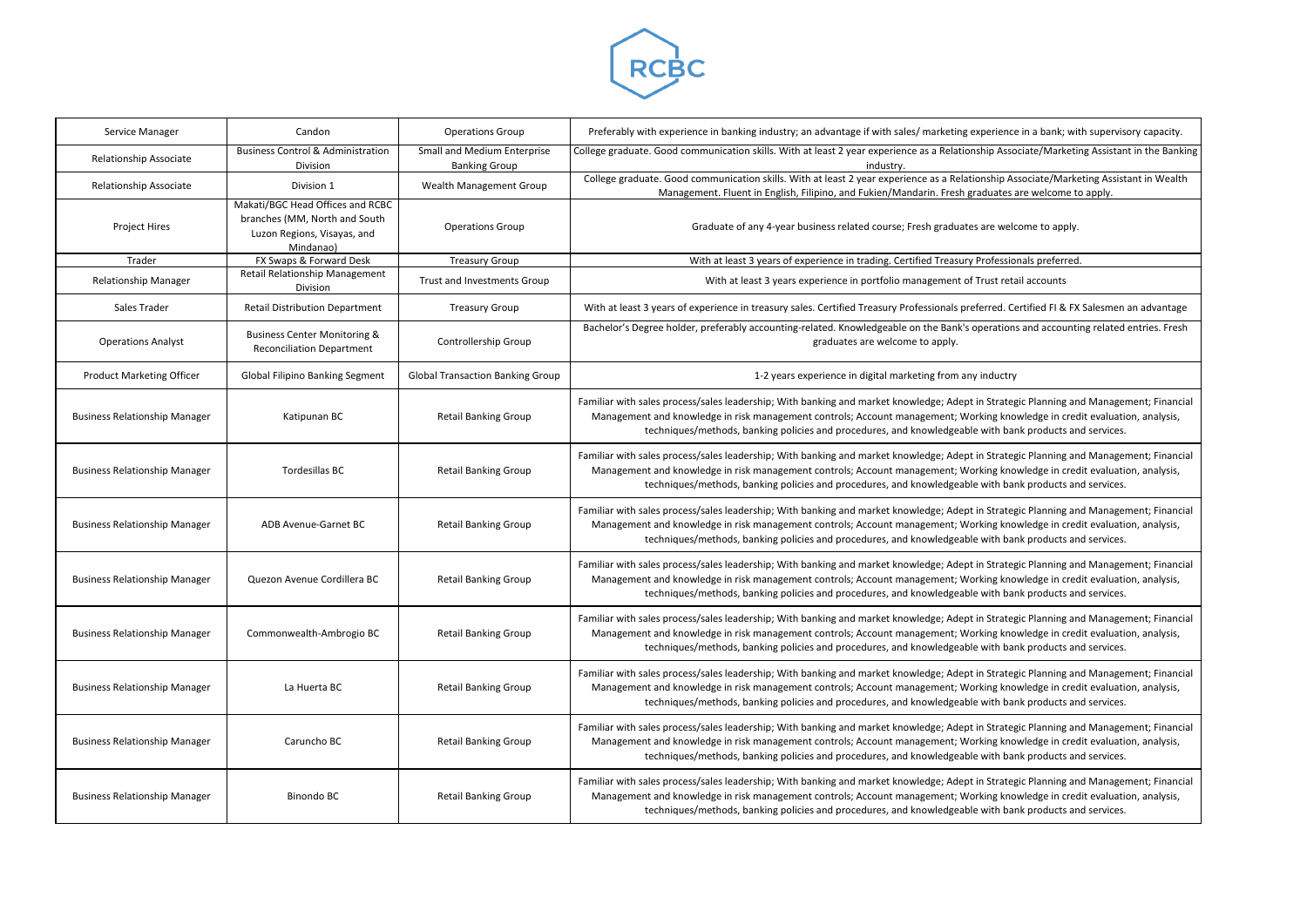

| Service Manager                      | Candon                                                                                                        | <b>Operations Group</b>                             | Preferably with experience in banking industry; an advantage if with sales/ marketing experience in a bank; wit                                                                                                                                                                                                        |
|--------------------------------------|---------------------------------------------------------------------------------------------------------------|-----------------------------------------------------|------------------------------------------------------------------------------------------------------------------------------------------------------------------------------------------------------------------------------------------------------------------------------------------------------------------------|
| Relationship Associate               | <b>Business Control &amp; Administration</b><br>Division                                                      | Small and Medium Enterprise<br><b>Banking Group</b> | College graduate. Good communication skills. With at least 2 year experience as a Relationship Associate/Marketir<br>industry.                                                                                                                                                                                         |
| Relationship Associate               | Division 1                                                                                                    | Wealth Management Group                             | College graduate. Good communication skills. With at least 2 year experience as a Relationship Associate/Marke<br>Management. Fluent in English, Filipino, and Fukien/Mandarin. Fresh graduates are welcome to                                                                                                         |
| Project Hires                        | Makati/BGC Head Offices and RCBC<br>branches (MM, North and South<br>Luzon Regions, Visayas, and<br>Mindanao) | <b>Operations Group</b>                             | Graduate of any 4-year business related course; Fresh graduates are welcome to apply.                                                                                                                                                                                                                                  |
| Trader                               | FX Swaps & Forward Desk                                                                                       | <b>Treasury Group</b>                               | With at least 3 years of experience in trading. Certified Treasury Professionals preferred                                                                                                                                                                                                                             |
| <b>Relationship Manager</b>          | Retail Relationship Management<br>Division                                                                    | Trust and Investments Group                         | With at least 3 years experience in portfolio management of Trust retail accounts                                                                                                                                                                                                                                      |
| Sales Trader                         | <b>Retail Distribution Department</b>                                                                         | <b>Treasury Group</b>                               | With at least 3 years of experience in treasury sales. Certified Treasury Professionals preferred. Certified FI & FX                                                                                                                                                                                                   |
| <b>Operations Analyst</b>            | <b>Business Center Monitoring &amp;</b><br><b>Reconciliation Department</b>                                   | Controllership Group                                | Bachelor's Degree holder, preferably accounting-related. Knowledgeable on the Bank's operations and accounti<br>graduates are welcome to apply.                                                                                                                                                                        |
| <b>Product Marketing Officer</b>     | <b>Global Filipino Banking Segment</b>                                                                        | <b>Global Transaction Banking Group</b>             | 1-2 years experience in digital marketing from any inductry                                                                                                                                                                                                                                                            |
| <b>Business Relationship Manager</b> | Katipunan BC                                                                                                  | <b>Retail Banking Group</b>                         | Familiar with sales process/sales leadership; With banking and market knowledge; Adept in Strategic Planning an<br>Management and knowledge in risk management controls; Account management; Working knowledge in cred<br>techniques/methods, banking policies and procedures, and knowledgeable with bank products an |
| <b>Business Relationship Manager</b> | Tordesillas BC                                                                                                | <b>Retail Banking Group</b>                         | Familiar with sales process/sales leadership; With banking and market knowledge; Adept in Strategic Planning an<br>Management and knowledge in risk management controls; Account management; Working knowledge in cred<br>techniques/methods, banking policies and procedures, and knowledgeable with bank products an |
| <b>Business Relationship Manager</b> | ADB Avenue-Garnet BC                                                                                          | <b>Retail Banking Group</b>                         | Familiar with sales process/sales leadership; With banking and market knowledge; Adept in Strategic Planning an<br>Management and knowledge in risk management controls; Account management; Working knowledge in cred<br>techniques/methods, banking policies and procedures, and knowledgeable with bank products an |
| <b>Business Relationship Manager</b> | Quezon Avenue Cordillera BC                                                                                   | <b>Retail Banking Group</b>                         | Familiar with sales process/sales leadership; With banking and market knowledge; Adept in Strategic Planning an<br>Management and knowledge in risk management controls; Account management; Working knowledge in cred<br>techniques/methods, banking policies and procedures, and knowledgeable with bank products an |
| <b>Business Relationship Manager</b> | Commonwealth-Ambrogio BC                                                                                      | <b>Retail Banking Group</b>                         | Familiar with sales process/sales leadership; With banking and market knowledge; Adept in Strategic Planning an<br>Management and knowledge in risk management controls; Account management; Working knowledge in cred<br>techniques/methods, banking policies and procedures, and knowledgeable with bank products an |
| <b>Business Relationship Manager</b> | La Huerta BC                                                                                                  | <b>Retail Banking Group</b>                         | Familiar with sales process/sales leadership; With banking and market knowledge; Adept in Strategic Planning an<br>Management and knowledge in risk management controls; Account management; Working knowledge in cred<br>techniques/methods, banking policies and procedures, and knowledgeable with bank products an |
| <b>Business Relationship Manager</b> | Caruncho BC                                                                                                   | <b>Retail Banking Group</b>                         | Familiar with sales process/sales leadership; With banking and market knowledge; Adept in Strategic Planning an<br>Management and knowledge in risk management controls; Account management; Working knowledge in cred<br>techniques/methods, banking policies and procedures, and knowledgeable with bank products an |
| <b>Business Relationship Manager</b> | Binondo BC                                                                                                    | <b>Retail Banking Group</b>                         | Familiar with sales process/sales leadership; With banking and market knowledge; Adept in Strategic Planning an<br>Management and knowledge in risk management controls; Account management; Working knowledge in cred<br>techniques/methods, banking policies and procedures, and knowledgeable with bank products an |

Serience in a bank; with supervisory capacity.

ip Associate/Marketing Assistant in the Banking

nship Associate/Marketing Assistant in Wealth duates are welcome to apply.

Prred. Certified FI & FX Salesmen an advantage

erations and accounting related entries. Fresh

**Strategic Planning and Management; Financial** ing knowledge in credit evaluation, analysis, with bank products and services.

**Strategic Planning and Management; Financial** ing knowledge in credit evaluation, analysis, vith bank products and services.

**Strategic Planning and Management; Financial** ing knowledge in credit evaluation, analysis, with bank products and services.

I Strategic Planning and Management; Financial ing knowledge in credit evaluation, analysis, with bank products and services.

**Strategic Planning and Management; Financial** ang knowledge in credit evaluation, analysis, vith bank products and services.

**Strategic Planning and Management; Financial** ing knowledge in credit evaluation, analysis, with bank products and services.

I Strategic Planning and Management; Financial Management in credit evaluation, analysis, anagement controls; working knowledge in credit evaluation, analysis, vith bank products and services.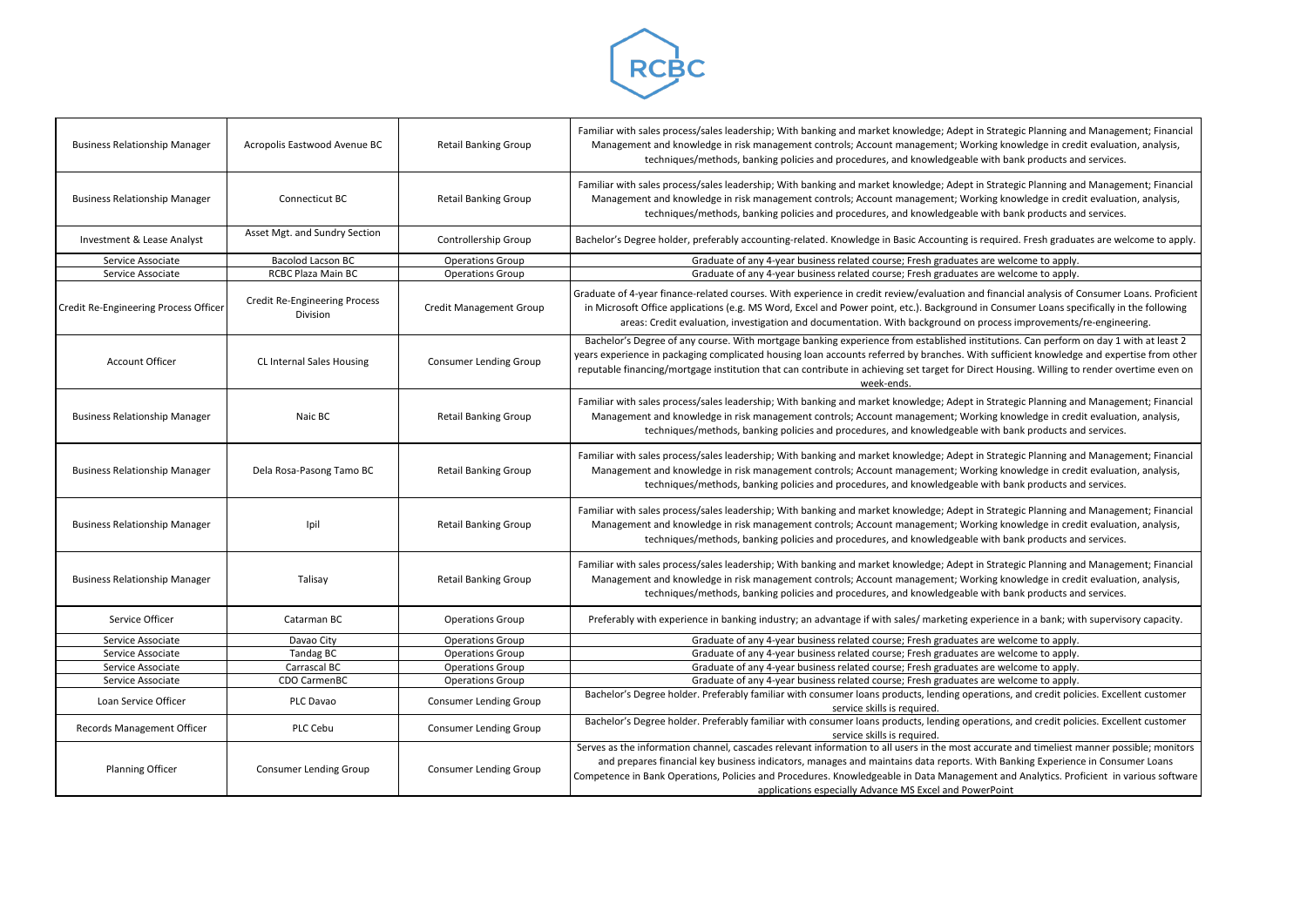

| <b>Business Relationship Manager</b>  | Acropolis Eastwood Avenue BC                     | <b>Retail Banking Group</b>    | Familiar with sales process/sales leadership; With banking and market knowledge; Adept in Strategic Planning ar<br>Management and knowledge in risk management controls; Account management; Working knowledge in cred<br>techniques/methods, banking policies and procedures, and knowledgeable with bank products ar                                                                                    |
|---------------------------------------|--------------------------------------------------|--------------------------------|-----------------------------------------------------------------------------------------------------------------------------------------------------------------------------------------------------------------------------------------------------------------------------------------------------------------------------------------------------------------------------------------------------------|
| <b>Business Relationship Manager</b>  | Connecticut BC                                   | <b>Retail Banking Group</b>    | Familiar with sales process/sales leadership; With banking and market knowledge; Adept in Strategic Planning ar<br>Management and knowledge in risk management controls; Account management; Working knowledge in cred<br>techniques/methods, banking policies and procedures, and knowledgeable with bank products ar                                                                                    |
| Investment & Lease Analyst            | Asset Mgt. and Sundry Section                    | Controllership Group           | Bachelor's Degree holder, preferably accounting-related. Knowledge in Basic Accounting is required. Fresh gradua                                                                                                                                                                                                                                                                                          |
| Service Associate                     | Bacolod Lacson BC                                | <b>Operations Group</b>        | Graduate of any 4-year business related course; Fresh graduates are welcome to apply.                                                                                                                                                                                                                                                                                                                     |
| Service Associate                     | RCBC Plaza Main BC                               | <b>Operations Group</b>        | Graduate of any 4-year business related course; Fresh graduates are welcome to apply.                                                                                                                                                                                                                                                                                                                     |
| Credit Re-Engineering Process Officer | <b>Credit Re-Engineering Process</b><br>Division | <b>Credit Management Group</b> | Graduate of 4-year finance-related courses. With experience in credit review/evaluation and financial analysis of (<br>in Microsoft Office applications (e.g. MS Word, Excel and Power point, etc.). Background in Consumer Loans sp<br>areas: Credit evaluation, investigation and documentation. With background on process improvements                                                                |
| <b>Account Officer</b>                | CL Internal Sales Housing                        | <b>Consumer Lending Group</b>  | Bachelor's Degree of any course. With mortgage banking experience from established institutions. Can perform<br>years experience in packaging complicated housing loan accounts referred by branches. With sufficient knowledg<br>reputable financing/mortgage institution that can contribute in achieving set target for Direct Housing. Willing to<br>week-ends.                                       |
| <b>Business Relationship Manager</b>  | Naic BC                                          | <b>Retail Banking Group</b>    | Familiar with sales process/sales leadership; With banking and market knowledge; Adept in Strategic Planning ar<br>Management and knowledge in risk management controls; Account management; Working knowledge in cree<br>techniques/methods, banking policies and procedures, and knowledgeable with bank products ar                                                                                    |
| <b>Business Relationship Manager</b>  | Dela Rosa-Pasong Tamo BC                         | <b>Retail Banking Group</b>    | Familiar with sales process/sales leadership; With banking and market knowledge; Adept in Strategic Planning ar<br>Management and knowledge in risk management controls; Account management; Working knowledge in cred<br>techniques/methods, banking policies and procedures, and knowledgeable with bank products ar                                                                                    |
| <b>Business Relationship Manager</b>  | Ipil                                             | <b>Retail Banking Group</b>    | Familiar with sales process/sales leadership; With banking and market knowledge; Adept in Strategic Planning ar<br>Management and knowledge in risk management controls; Account management; Working knowledge in cred<br>techniques/methods, banking policies and procedures, and knowledgeable with bank products ar                                                                                    |
| <b>Business Relationship Manager</b>  | Talisay                                          | <b>Retail Banking Group</b>    | Familiar with sales process/sales leadership; With banking and market knowledge; Adept in Strategic Planning ar<br>Management and knowledge in risk management controls; Account management; Working knowledge in cred<br>techniques/methods, banking policies and procedures, and knowledgeable with bank products ar                                                                                    |
| Service Officer                       | Catarman BC                                      | <b>Operations Group</b>        | Preferably with experience in banking industry; an advantage if with sales/ marketing experience in a bank; wi                                                                                                                                                                                                                                                                                            |
| Service Associate                     | Davao City                                       | <b>Operations Group</b>        | Graduate of any 4-year business related course; Fresh graduates are welcome to apply.                                                                                                                                                                                                                                                                                                                     |
| Service Associate                     | Tandag BC                                        | <b>Operations Group</b>        | Graduate of any 4-year business related course; Fresh graduates are welcome to apply.                                                                                                                                                                                                                                                                                                                     |
| Service Associate                     | Carrascal BC                                     | <b>Operations Group</b>        | Graduate of any 4-year business related course; Fresh graduates are welcome to apply.                                                                                                                                                                                                                                                                                                                     |
| Service Associate                     | CDO CarmenBC                                     | <b>Operations Group</b>        | Graduate of any 4-year business related course; Fresh graduates are welcome to apply.                                                                                                                                                                                                                                                                                                                     |
| Loan Service Officer                  | PLC Davao                                        | <b>Consumer Lending Group</b>  | Bachelor's Degree holder. Preferably familiar with consumer loans products, lending operations, and credit pol<br>service skills is required.                                                                                                                                                                                                                                                             |
| Records Management Officer            | PLC Cebu                                         | <b>Consumer Lending Group</b>  | Bachelor's Degree holder. Preferably familiar with consumer loans products, lending operations, and credit poli<br>service skills is required.                                                                                                                                                                                                                                                            |
| <b>Planning Officer</b>               | <b>Consumer Lending Group</b>                    | <b>Consumer Lending Group</b>  | Serves as the information channel, cascades relevant information to all users in the most accurate and timeliest r<br>and prepares financial key business indicators, manages and maintains data reports. With Banking Experien<br>Competence in Bank Operations, Policies and Procedures. Knowledgeable in Data Management and Analytics. Pro<br>applications especially Advance MS Excel and PowerPoint |

Strategic Planning and Management; Financial ng knowledge in credit evaluation, analysis, ith bank products and services.

equired. Fresh graduates are welcome to apply.

financial analysis of Consumer Loans. Proficient Consumer Loans specifically in the following ocess improvements/re-engineering.

itutions. Can perform on day 1 with at least 2 is ufficient knowledge and expertise from other ct Housing. Willing to render overtime even on

Strategic Planning and Management; Financial ng knowledge in credit evaluation, analysis, ith bank products and services.

Strategic Planning and Management; Financial ng knowledge in credit evaluation, analysis, ith bank products and services.

Strategic Planning and Management; Financial ng knowledge in credit evaluation, analysis, ith bank products and services.

Strategic Planning and Management; Financial ng knowledge in credit evaluation, analysis, ith bank products and services.

erience in a bank; with supervisory capacity.

ations, and credit policies. Excellent customer

Records Management Officies Consumer Lending Group Bacheloris Degree house holders. Preferably families and pr

curate and timeliest manner possible; monitors ith Banking Experience in Consumer Loans ent and Analytics. Proficient in various software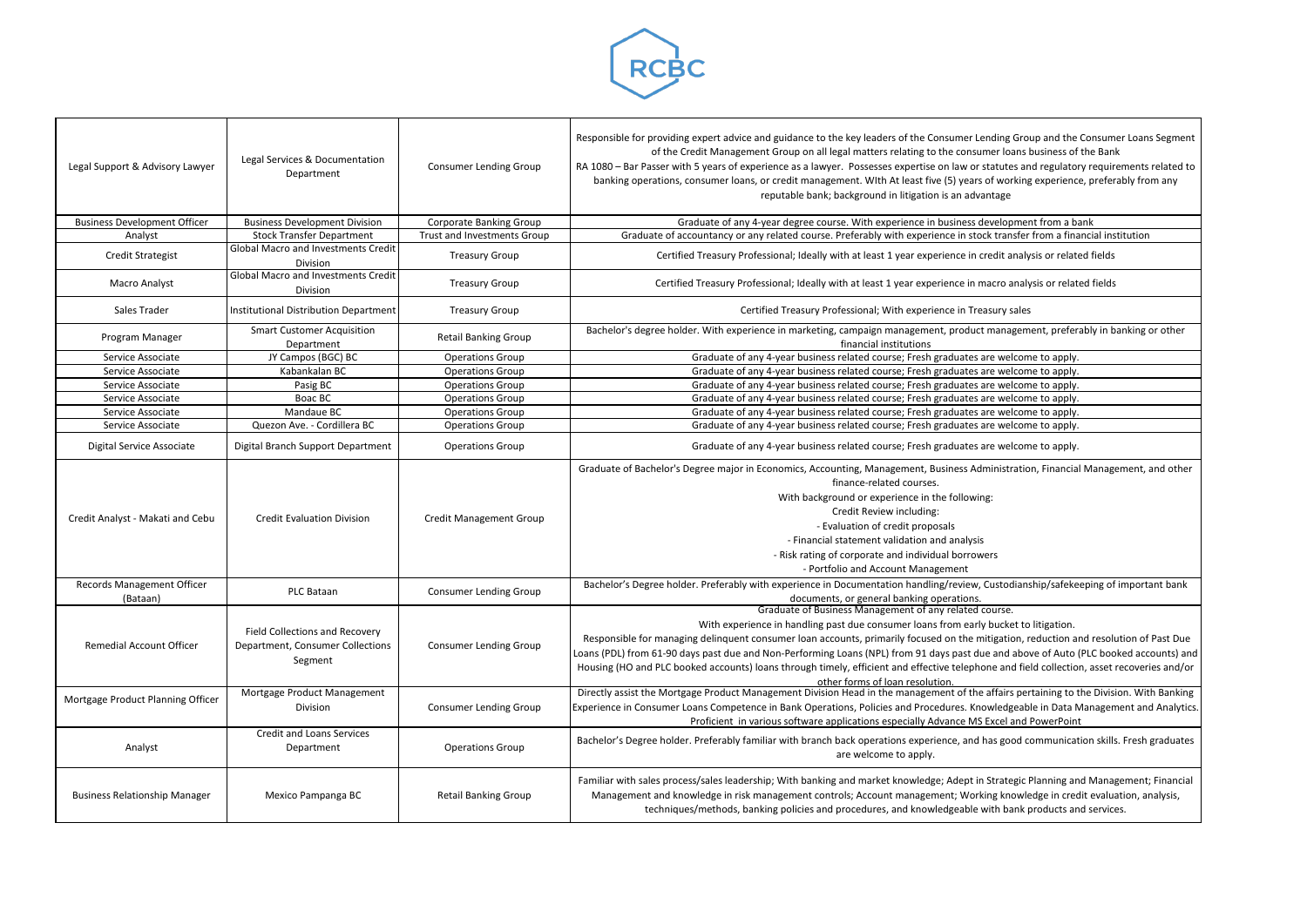

| Legal Support & Advisory Lawyer        | Legal Services & Documentation<br>Department                                  | <b>Consumer Lending Group</b>  | Responsible for providing expert advice and guidance to the key leaders of the Consumer Lending Group and the Consumer Loans Segment<br>of the Credit Management Group on all legal matters relating to the consumer loans business of the Bank<br>RA 1080 - Bar Passer with 5 years of experience as a lawyer. Possesses expertise on law or statutes and regulatory requirements related to<br>banking operations, consumer loans, or credit management. WIth At least five (5) years of working experience, preferably from any<br>reputable bank; background in litigation is an advantage                    |
|----------------------------------------|-------------------------------------------------------------------------------|--------------------------------|-------------------------------------------------------------------------------------------------------------------------------------------------------------------------------------------------------------------------------------------------------------------------------------------------------------------------------------------------------------------------------------------------------------------------------------------------------------------------------------------------------------------------------------------------------------------------------------------------------------------|
| <b>Business Development Officer</b>    | <b>Business Development Division</b>                                          | Corporate Banking Group        | Graduate of any 4-year degree course. With experience in business development from a bank                                                                                                                                                                                                                                                                                                                                                                                                                                                                                                                         |
| Analyst                                | <b>Stock Transfer Department</b>                                              | Trust and Investments Group    | Graduate of accountancy or any related course. Preferably with experience in stock transfer from a financial institution                                                                                                                                                                                                                                                                                                                                                                                                                                                                                          |
| <b>Credit Strategist</b>               | <b>Global Macro and Investments Credit</b><br>Division                        | <b>Treasury Group</b>          | Certified Treasury Professional; Ideally with at least 1 year experience in credit analysis or related fields                                                                                                                                                                                                                                                                                                                                                                                                                                                                                                     |
| <b>Macro Analyst</b>                   | <b>Global Macro and Investments Credit</b><br>Division                        | <b>Treasury Group</b>          | Certified Treasury Professional; Ideally with at least 1 year experience in macro analysis or related fields                                                                                                                                                                                                                                                                                                                                                                                                                                                                                                      |
| Sales Trader                           | <b>Institutional Distribution Department</b>                                  | <b>Treasury Group</b>          | Certified Treasury Professional; With experience in Treasury sales                                                                                                                                                                                                                                                                                                                                                                                                                                                                                                                                                |
| Program Manager                        | <b>Smart Customer Acquisition</b><br>Department                               | <b>Retail Banking Group</b>    | Bachelor's degree holder. With experience in marketing, campaign management, product management, preferably in banking or other<br>financial institutions                                                                                                                                                                                                                                                                                                                                                                                                                                                         |
| Service Associate                      | JY Campos (BGC) BC                                                            | <b>Operations Group</b>        | Graduate of any 4-year business related course; Fresh graduates are welcome to apply.                                                                                                                                                                                                                                                                                                                                                                                                                                                                                                                             |
| Service Associate                      | Kabankalan BC                                                                 | <b>Operations Group</b>        | Graduate of any 4-year business related course; Fresh graduates are welcome to apply.                                                                                                                                                                                                                                                                                                                                                                                                                                                                                                                             |
| Service Associate                      | Pasig BC                                                                      | <b>Operations Group</b>        | Graduate of any 4-year business related course; Fresh graduates are welcome to apply.                                                                                                                                                                                                                                                                                                                                                                                                                                                                                                                             |
| Service Associate                      | Boac BC                                                                       | <b>Operations Group</b>        | Graduate of any 4-year business related course; Fresh graduates are welcome to apply.                                                                                                                                                                                                                                                                                                                                                                                                                                                                                                                             |
| Service Associate                      | Mandaue BC                                                                    | <b>Operations Group</b>        | Graduate of any 4-year business related course; Fresh graduates are welcome to apply.                                                                                                                                                                                                                                                                                                                                                                                                                                                                                                                             |
| Service Associate                      | Quezon Ave. - Cordillera BC                                                   | <b>Operations Group</b>        | Graduate of any 4-year business related course; Fresh graduates are welcome to apply.                                                                                                                                                                                                                                                                                                                                                                                                                                                                                                                             |
| Digital Service Associate              | Digital Branch Support Department                                             | <b>Operations Group</b>        | Graduate of any 4-year business related course; Fresh graduates are welcome to apply.                                                                                                                                                                                                                                                                                                                                                                                                                                                                                                                             |
| Credit Analyst - Makati and Cebu       | <b>Credit Evaluation Division</b>                                             | <b>Credit Management Group</b> | Graduate of Bachelor's Degree major in Economics, Accounting, Management, Business Administration, Financial Management, and other<br>finance-related courses.<br>With background or experience in the following:<br>Credit Review including:<br>- Evaluation of credit proposals<br>- Financial statement validation and analysis<br>- Risk rating of corporate and individual borrowers<br>- Portfolio and Account Management                                                                                                                                                                                   |
| Records Management Officer<br>(Bataan) | PLC Bataan                                                                    | <b>Consumer Lending Group</b>  | Bachelor's Degree holder. Preferably with experience in Documentation handling/review, Custodianship/safekeeping of important bank<br>documents, or general banking operations.                                                                                                                                                                                                                                                                                                                                                                                                                                   |
| <b>Remedial Account Officer</b>        | Field Collections and Recovery<br>Department, Consumer Collections<br>Segment | <b>Consumer Lending Group</b>  | Graduate of Business Management of any related course.<br>With experience in handling past due consumer loans from early bucket to litigation.<br>Responsible for managing delinquent consumer loan accounts, primarily focused on the mitigation, reduction and resolution of Past Due<br>Loans (PDL) from 61-90 days past due and Non-Performing Loans (NPL) from 91 days past due and above of Auto (PLC booked accounts) and<br>Housing (HO and PLC booked accounts) loans through timely, efficient and effective telephone and field collection, asset recoveries and/or<br>other forms of loan resolution. |
| Mortgage Product Planning Officer      | Mortgage Product Management<br>Division                                       | <b>Consumer Lending Group</b>  | Directly assist the Mortgage Product Management Division Head in the management of the affairs pertaining to the Division. With Banking<br>Experience in Consumer Loans Competence in Bank Operations, Policies and Procedures. Knowledgeable in Data Management and Analytics.<br>Proficient in various software applications especially Advance MS Excel and PowerPoint                                                                                                                                                                                                                                         |
| Analyst                                | <b>Credit and Loans Services</b><br>Department                                | <b>Operations Group</b>        | Bachelor's Degree holder. Preferably familiar with branch back operations experience, and has good communication skills. Fresh graduates<br>are welcome to apply.                                                                                                                                                                                                                                                                                                                                                                                                                                                 |
| <b>Business Relationship Manager</b>   | Mexico Pampanga BC                                                            | <b>Retail Banking Group</b>    | Familiar with sales process/sales leadership; With banking and market knowledge; Adept in Strategic Planning and Management; Financial<br>Management and knowledge in risk management controls; Account management; Working knowledge in credit evaluation, analysis,<br>techniques/methods, banking policies and procedures, and knowledgeable with bank products and services.                                                                                                                                                                                                                                  |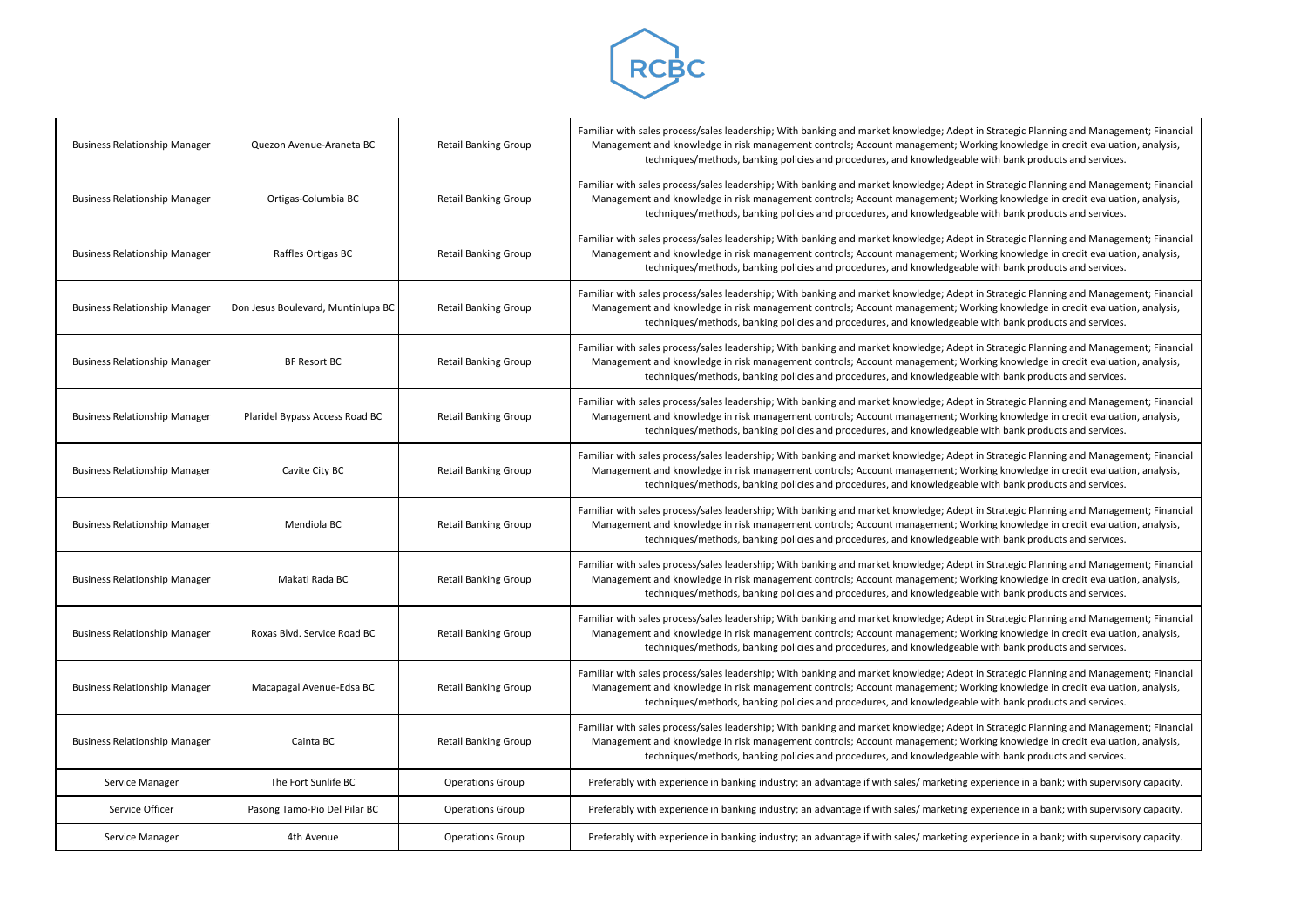

| <b>Business Relationship Manager</b> | Quezon Avenue-Araneta BC           | <b>Retail Banking Group</b> | Familiar with sales process/sales leadership; With banking and market knowledge; Adept in<br>Management and knowledge in risk management controls; Account management; Worki<br>techniques/methods, banking policies and procedures, and knowledgeable w |
|--------------------------------------|------------------------------------|-----------------------------|----------------------------------------------------------------------------------------------------------------------------------------------------------------------------------------------------------------------------------------------------------|
| <b>Business Relationship Manager</b> | Ortigas-Columbia BC                | <b>Retail Banking Group</b> | Familiar with sales process/sales leadership; With banking and market knowledge; Adept in<br>Management and knowledge in risk management controls; Account management; Worki<br>techniques/methods, banking policies and procedures, and knowledgeable w |
| <b>Business Relationship Manager</b> | Raffles Ortigas BC                 | <b>Retail Banking Group</b> | Familiar with sales process/sales leadership; With banking and market knowledge; Adept in<br>Management and knowledge in risk management controls; Account management; Worki<br>techniques/methods, banking policies and procedures, and knowledgeable w |
| <b>Business Relationship Manager</b> | Don Jesus Boulevard, Muntinlupa BC | <b>Retail Banking Group</b> | Familiar with sales process/sales leadership; With banking and market knowledge; Adept in<br>Management and knowledge in risk management controls; Account management; Worki<br>techniques/methods, banking policies and procedures, and knowledgeable w |
| <b>Business Relationship Manager</b> | <b>BF Resort BC</b>                | <b>Retail Banking Group</b> | Familiar with sales process/sales leadership; With banking and market knowledge; Adept in<br>Management and knowledge in risk management controls; Account management; Worki<br>techniques/methods, banking policies and procedures, and knowledgeable w |
| <b>Business Relationship Manager</b> | Plaridel Bypass Access Road BC     | <b>Retail Banking Group</b> | Familiar with sales process/sales leadership; With banking and market knowledge; Adept in<br>Management and knowledge in risk management controls; Account management; Worki<br>techniques/methods, banking policies and procedures, and knowledgeable w |
| <b>Business Relationship Manager</b> | Cavite City BC                     | <b>Retail Banking Group</b> | Familiar with sales process/sales leadership; With banking and market knowledge; Adept in<br>Management and knowledge in risk management controls; Account management; Worki<br>techniques/methods, banking policies and procedures, and knowledgeable w |
| <b>Business Relationship Manager</b> | Mendiola BC                        | <b>Retail Banking Group</b> | Familiar with sales process/sales leadership; With banking and market knowledge; Adept in<br>Management and knowledge in risk management controls; Account management; Worki<br>techniques/methods, banking policies and procedures, and knowledgeable w |
| <b>Business Relationship Manager</b> | Makati Rada BC                     | <b>Retail Banking Group</b> | Familiar with sales process/sales leadership; With banking and market knowledge; Adept in<br>Management and knowledge in risk management controls; Account management; Worki<br>techniques/methods, banking policies and procedures, and knowledgeable w |
| <b>Business Relationship Manager</b> | Roxas Blvd. Service Road BC        | <b>Retail Banking Group</b> | Familiar with sales process/sales leadership; With banking and market knowledge; Adept in<br>Management and knowledge in risk management controls; Account management; Worki<br>techniques/methods, banking policies and procedures, and knowledgeable w |
| <b>Business Relationship Manager</b> | Macapagal Avenue-Edsa BC           | <b>Retail Banking Group</b> | Familiar with sales process/sales leadership; With banking and market knowledge; Adept in<br>Management and knowledge in risk management controls; Account management; Worki<br>techniques/methods, banking policies and procedures, and knowledgeable w |
| <b>Business Relationship Manager</b> | Cainta BC                          | <b>Retail Banking Group</b> | Familiar with sales process/sales leadership; With banking and market knowledge; Adept in<br>Management and knowledge in risk management controls; Account management; Worki<br>techniques/methods, banking policies and procedures, and knowledgeable w |
| Service Manager                      | The Fort Sunlife BC                | <b>Operations Group</b>     | Preferably with experience in banking industry; an advantage if with sales/ marketing exp                                                                                                                                                                |
| Service Officer                      | Pasong Tamo-Pio Del Pilar BC       | <b>Operations Group</b>     | Preferably with experience in banking industry; an advantage if with sales/ marketing exp                                                                                                                                                                |
| Service Manager                      | 4th Avenue                         | <b>Operations Group</b>     | Preferably with experience in banking industry; an advantage if with sales/ marketing exp                                                                                                                                                                |

**Strategic Planning and Management; Financial** ang knowledge in credit evaluation, analysis, vith bank products and services.

**Strategic Planning and Management; Financial** ing knowledge in credit evaluation, analysis, vith bank products and services.

**Strategic Planning and Management; Financial** ing knowledge in credit evaluation, analysis, vith bank products and services.

**Strategic Planning and Management; Financial** ing knowledge in credit evaluation, analysis, vith bank products and services.

**Strategic Planning and Management; Financial** ing knowledge in credit evaluation, analysis, vith bank products and services.

**Strategic Planning and Management; Financial** ing knowledge in credit evaluation, analysis, vith bank products and services.

**Strategic Planning and Management; Financial** ing knowledge in credit evaluation, analysis, vith bank products and services.

**Strategic Planning and Management; Financial** ing knowledge in credit evaluation, analysis, vith bank products and services.

**Strategic Planning and Management; Financial** ang knowledge in credit evaluation, analysis, vith bank products and services.

**Strategic Planning and Management; Financial** ing knowledge in credit evaluation, analysis, vith bank products and services.

**Strategic Planning and Management; Financial** ing knowledge in credit evaluation, analysis, vith bank products and services.

Serience in a bank; with supervisory capacity.

Serience in a bank; with supervisory capacity.

Serience in a bank; with supervisory capacity.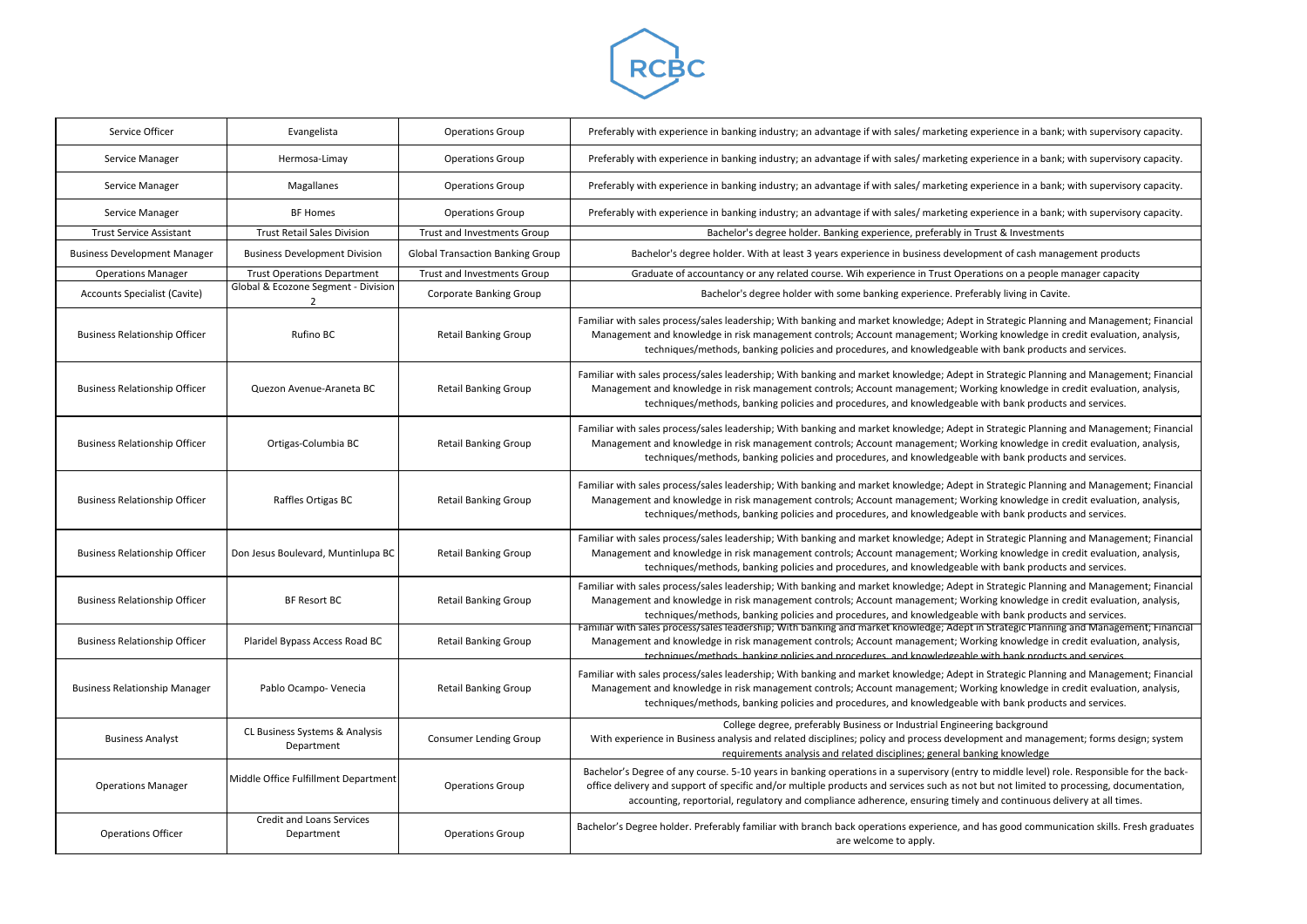

| Service Officer                      | Evangelista                                    | <b>Operations Group</b>                 | Preferably with experience in banking industry; an advantage if with sales/ marketing experience in a bank                                                                                                                                                                                                                         |
|--------------------------------------|------------------------------------------------|-----------------------------------------|------------------------------------------------------------------------------------------------------------------------------------------------------------------------------------------------------------------------------------------------------------------------------------------------------------------------------------|
| Service Manager                      | Hermosa-Limay                                  | <b>Operations Group</b>                 | Preferably with experience in banking industry; an advantage if with sales/ marketing experience in a bank                                                                                                                                                                                                                         |
| Service Manager                      | Magallanes                                     | <b>Operations Group</b>                 | Preferably with experience in banking industry; an advantage if with sales/ marketing experience in a bank                                                                                                                                                                                                                         |
| Service Manager                      | <b>BF Homes</b>                                | <b>Operations Group</b>                 | Preferably with experience in banking industry; an advantage if with sales/ marketing experience in a bank                                                                                                                                                                                                                         |
| <b>Trust Service Assistant</b>       | <b>Trust Retail Sales Division</b>             | Trust and Investments Group             | Bachelor's degree holder. Banking experience, preferably in Trust & Investments                                                                                                                                                                                                                                                    |
| <b>Business Development Manager</b>  | <b>Business Development Division</b>           | <b>Global Transaction Banking Group</b> | Bachelor's degree holder. With at least 3 years experience in business development of cash mana                                                                                                                                                                                                                                    |
| <b>Operations Manager</b>            | <b>Trust Operations Department</b>             | <b>Trust and Investments Group</b>      | Graduate of accountancy or any related course. Wih experience in Trust Operations on a people i                                                                                                                                                                                                                                    |
| <b>Accounts Specialist (Cavite)</b>  | Global & Ecozone Segment - Division<br>2       | Corporate Banking Group                 | Bachelor's degree holder with some banking experience. Preferably living in Cavit                                                                                                                                                                                                                                                  |
| <b>Business Relationship Officer</b> | Rufino BC                                      | <b>Retail Banking Group</b>             | Familiar with sales process/sales leadership; With banking and market knowledge; Adept in Strategic Plannin<br>Management and knowledge in risk management controls; Account management; Working knowledge in<br>techniques/methods, banking policies and procedures, and knowledgeable with bank product                          |
| <b>Business Relationship Officer</b> | Quezon Avenue-Araneta BC                       | <b>Retail Banking Group</b>             | Familiar with sales process/sales leadership; With banking and market knowledge; Adept in Strategic Planning<br>Management and knowledge in risk management controls; Account management; Working knowledge in<br>techniques/methods, banking policies and procedures, and knowledgeable with bank product                         |
| <b>Business Relationship Officer</b> | Ortigas-Columbia BC                            | <b>Retail Banking Group</b>             | Familiar with sales process/sales leadership; With banking and market knowledge; Adept in Strategic Planning<br>Management and knowledge in risk management controls; Account management; Working knowledge in<br>techniques/methods, banking policies and procedures, and knowledgeable with bank product                         |
| <b>Business Relationship Officer</b> | Raffles Ortigas BC                             | <b>Retail Banking Group</b>             | Familiar with sales process/sales leadership; With banking and market knowledge; Adept in Strategic Planning<br>Management and knowledge in risk management controls; Account management; Working knowledge in<br>techniques/methods, banking policies and procedures, and knowledgeable with bank product                         |
| <b>Business Relationship Officer</b> | Don Jesus Boulevard, Muntinlupa BC             | <b>Retail Banking Group</b>             | Familiar with sales process/sales leadership; With banking and market knowledge; Adept in Strategic Plannin<br>Management and knowledge in risk management controls; Account management; Working knowledge in<br>techniques/methods, banking policies and procedures, and knowledgeable with bank product                          |
| <b>Business Relationship Officer</b> | <b>BF Resort BC</b>                            | <b>Retail Banking Group</b>             | Familiar with sales process/sales leadership; With banking and market knowledge; Adept in Strategic Planning<br>Management and knowledge in risk management controls; Account management; Working knowledge in<br>techniques/methods, banking policies and procedures, and knowledgeable with bank product                         |
| <b>Business Relationship Officer</b> | Plaridel Bypass Access Road BC                 | <b>Retail Banking Group</b>             | Familiar with sales process/sales leadership; With banking and market knowledge; Adept in Strategic Planning<br>Management and knowledge in risk management controls; Account management; Working knowledge in<br>techniques/methods hanking nolicies and procedures and knowledgeable with hank product                           |
| <b>Business Relationship Manager</b> | Pablo Ocampo- Venecia                          | <b>Retail Banking Group</b>             | Familiar with sales process/sales leadership; With banking and market knowledge; Adept in Strategic Plannin<br>Management and knowledge in risk management controls; Account management; Working knowledge in<br>techniques/methods, banking policies and procedures, and knowledgeable with bank product                          |
| <b>Business Analyst</b>              | CL Business Systems & Analysis<br>Department   | <b>Consumer Lending Group</b>           | College degree, preferably Business or Industrial Engineering background<br>With experience in Business analysis and related disciplines; policy and process development and manager<br>requirements analysis and related disciplines; general banking knowledge                                                                   |
| <b>Operations Manager</b>            | Middle Office Fulfillment Department           | <b>Operations Group</b>                 | Bachelor's Degree of any course. 5-10 years in banking operations in a supervisory (entry to middle level) ro<br>office delivery and support of specific and/or multiple products and services such as not but not limited to p<br>accounting, reportorial, regulatory and compliance adherence, ensuring timely and continuous de |
| <b>Operations Officer</b>            | <b>Credit and Loans Services</b><br>Department | <b>Operations Group</b>                 | Bachelor's Degree holder. Preferably familiar with branch back operations experience, and has good commun<br>are welcome to apply.                                                                                                                                                                                                 |

erience in a bank; with supervisory capacity.

erience in a bank; with supervisory capacity.

erience in a bank; with supervisory capacity.

erience in a bank; with supervisory capacity.

ent of cash management products

ons on a people manager capacity

bly living in Cavite.

Strategic Planning and Management; Financial ng knowledge in credit evaluation, analysis, ith bank products and services.

Strategic Planning and Management; Financial ng knowledge in credit evaluation, analysis, ith bank products and services.

Strategic Planning and Management; Financial ng knowledge in credit evaluation, analysis, ith bank products and services.

Strategic Planning and Management; Financial ng knowledge in credit evaluation, analysis, ith bank products and services.

Strategic Planning and Management; Financial ng knowledge in credit evaluation, analysis, ith bank products and services.

Strategic Planning and Management; Financial ng knowledge in credit evaluation, analysis, ith bank products and services.

Strategic Planning and Management; Financial ng knowledge in credit evaluation, analysis, ith hank products and services.

Strategic Planning and Management; Financial ng knowledge in credit evaluation, analysis, vith bank products and services.

ent and management; forms design; system ing knowledge

bacheloris Degree of any cole. Find any consider for the backut not limited to processing, documentation, nd continuous delivery at all times.

as good communication skills. Fresh graduates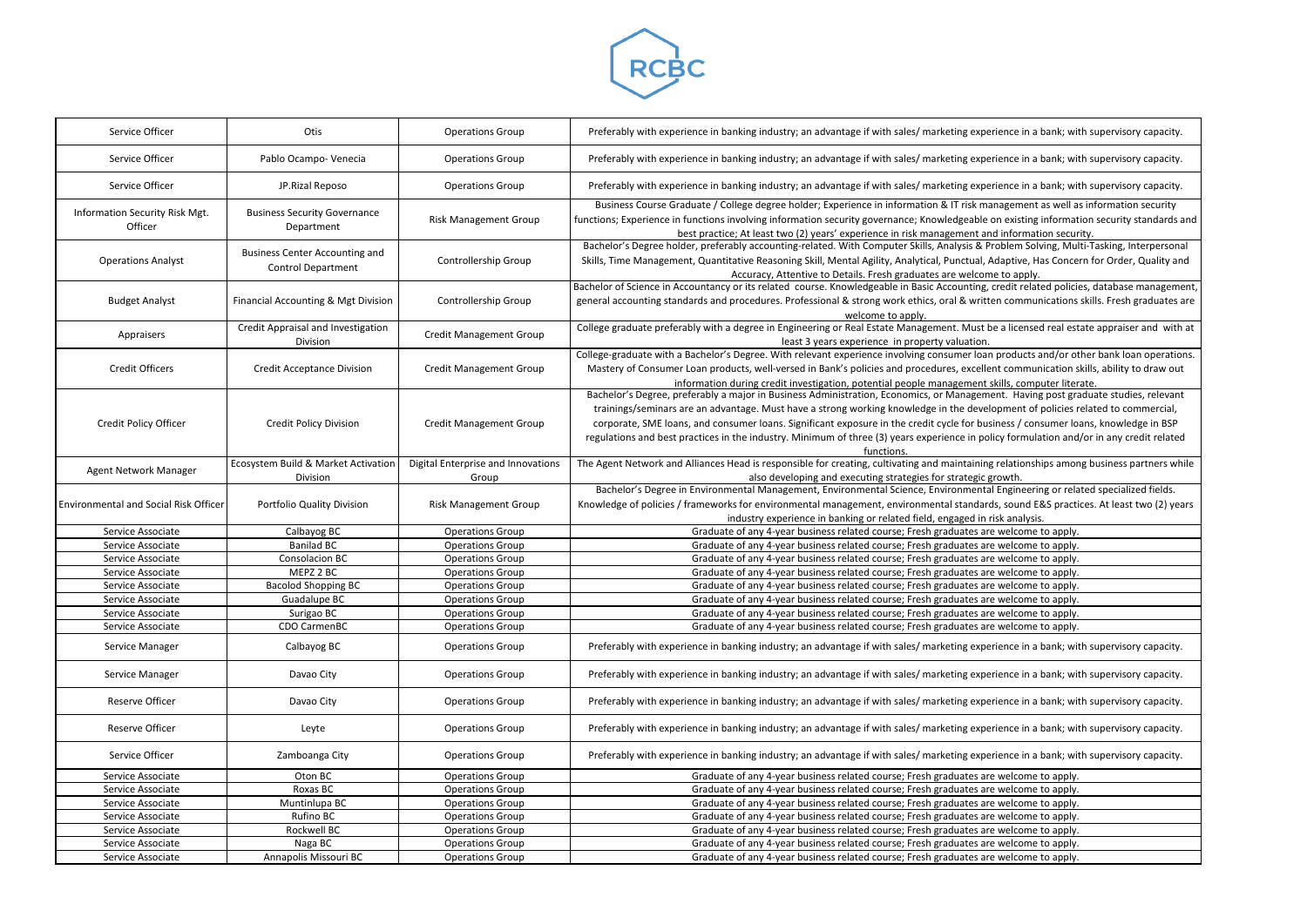

| Service Officer                              | Otis                                                               | <b>Operations Group</b>            | Preferably with experience in banking industry; an advantage if with sales/ marketing experience in a bank; wi                                                                                                                                                                                                                                                                                                                                                |
|----------------------------------------------|--------------------------------------------------------------------|------------------------------------|---------------------------------------------------------------------------------------------------------------------------------------------------------------------------------------------------------------------------------------------------------------------------------------------------------------------------------------------------------------------------------------------------------------------------------------------------------------|
| Service Officer                              | Pablo Ocampo- Venecia                                              | <b>Operations Group</b>            | Preferably with experience in banking industry; an advantage if with sales/ marketing experience in a bank; wi                                                                                                                                                                                                                                                                                                                                                |
| Service Officer                              | JP.Rizal Reposo                                                    | <b>Operations Group</b>            | Preferably with experience in banking industry; an advantage if with sales/ marketing experience in a bank; wi                                                                                                                                                                                                                                                                                                                                                |
| Information Security Risk Mgt.<br>Officer    | <b>Business Security Governance</b><br>Department                  | <b>Risk Management Group</b>       | Business Course Graduate / College degree holder; Experience in information & IT risk management as well a<br>functions; Experience in functions involving information security governance; Knowledgeable on existing informat<br>best practice; At least two (2) years' experience in risk management and information secur                                                                                                                                  |
| <b>Operations Analyst</b>                    | <b>Business Center Accounting and</b><br><b>Control Department</b> | Controllership Group               | Bachelor's Degree holder, preferably accounting-related. With Computer Skills, Analysis & Problem Solving, Mu<br>Skills, Time Management, Quantitative Reasoning Skill, Mental Agility, Analytical, Punctual, Adaptive, Has Conce<br>Accuracy, Attentive to Details. Fresh graduates are welcome to apply.                                                                                                                                                    |
| <b>Budget Analyst</b>                        | Financial Accounting & Mgt Division                                | Controllership Group               | Bachelor of Science in Accountancy or its related course. Knowledgeable in Basic Accounting, credit related polici<br>general accounting standards and procedures. Professional & strong work ethics, oral & written communications<br>welcome to apply.                                                                                                                                                                                                      |
| Appraisers                                   | Credit Appraisal and Investigation<br>Division                     | <b>Credit Management Group</b>     | College graduate preferably with a degree in Engineering or Real Estate Management. Must be a licensed real est<br>least 3 years experience in property valuation.                                                                                                                                                                                                                                                                                            |
| <b>Credit Officers</b>                       | <b>Credit Acceptance Division</b>                                  | <b>Credit Management Group</b>     | College-graduate with a Bachelor's Degree. With relevant experience involving consumer loan products and/or of<br>Mastery of Consumer Loan products, well-versed in Bank's policies and procedures, excellent communication s<br>information during credit investigation, potential people management skills, computer liter                                                                                                                                  |
| Credit Policy Officer                        | <b>Credit Policy Division</b>                                      | <b>Credit Management Group</b>     | Bachelor's Degree, preferably a major in Business Administration, Economics, or Management. Having post gra<br>trainings/seminars are an advantage. Must have a strong working knowledge in the development of policies i<br>corporate, SME loans, and consumer loans. Significant exposure in the credit cycle for business / consumer lo<br>regulations and best practices in the industry. Minimum of three (3) years experience in policy formulation and |
|                                              | Ecosystem Build & Market Activation                                | Digital Enterprise and Innovations | functions.<br>The Agent Network and Alliances Head is responsible for creating, cultivating and maintaining relationships amor                                                                                                                                                                                                                                                                                                                                |
| Agent Network Manager                        | Division                                                           | Group                              | also developing and executing strategies for strategic growth.                                                                                                                                                                                                                                                                                                                                                                                                |
| <b>Environmental and Social Risk Officer</b> | Portfolio Quality Division                                         | <b>Risk Management Group</b>       | Bachelor's Degree in Environmental Management, Environmental Science, Environmental Engineering or rela<br>Knowledge of policies / frameworks for environmental management, environmental standards, sound E&S pract<br>industry experience in banking or related field, engaged in risk analysis.                                                                                                                                                            |
| Service Associate                            | Calbayog BC                                                        | <b>Operations Group</b>            | Graduate of any 4-year business related course; Fresh graduates are welcome to apply.                                                                                                                                                                                                                                                                                                                                                                         |
| Service Associate                            | <b>Banilad BC</b>                                                  | <b>Operations Group</b>            | Graduate of any 4-year business related course; Fresh graduates are welcome to apply.                                                                                                                                                                                                                                                                                                                                                                         |
| Service Associate                            | Consolacion BC                                                     | <b>Operations Group</b>            | Graduate of any 4-year business related course; Fresh graduates are welcome to apply.                                                                                                                                                                                                                                                                                                                                                                         |
| Service Associate                            | MEPZ 2 BC                                                          | <b>Operations Group</b>            | Graduate of any 4-year business related course; Fresh graduates are welcome to apply.                                                                                                                                                                                                                                                                                                                                                                         |
| Service Associate                            | <b>Bacolod Shopping BC</b>                                         | <b>Operations Group</b>            | Graduate of any 4-year business related course; Fresh graduates are welcome to apply.                                                                                                                                                                                                                                                                                                                                                                         |
| Service Associate                            | Guadalupe BC                                                       | <b>Operations Group</b>            | Graduate of any 4-year business related course; Fresh graduates are welcome to apply.                                                                                                                                                                                                                                                                                                                                                                         |
| Service Associate                            | Surigao BC                                                         | <b>Operations Group</b>            | Graduate of any 4-year business related course; Fresh graduates are welcome to apply.                                                                                                                                                                                                                                                                                                                                                                         |
| Service Associate                            | CDO CarmenBC                                                       | <b>Operations Group</b>            | Graduate of any 4-year business related course; Fresh graduates are welcome to apply.                                                                                                                                                                                                                                                                                                                                                                         |
| Service Manager                              | Calbayog BC                                                        | <b>Operations Group</b>            | Preferably with experience in banking industry; an advantage if with sales/ marketing experience in a bank; wi                                                                                                                                                                                                                                                                                                                                                |
| Service Manager                              | Davao City                                                         | <b>Operations Group</b>            | Preferably with experience in banking industry; an advantage if with sales/ marketing experience in a bank; wi                                                                                                                                                                                                                                                                                                                                                |
| Reserve Officer                              | Davao City                                                         | <b>Operations Group</b>            | Preferably with experience in banking industry; an advantage if with sales/ marketing experience in a bank; wi                                                                                                                                                                                                                                                                                                                                                |
| Reserve Officer                              | Leyte                                                              | <b>Operations Group</b>            | Preferably with experience in banking industry; an advantage if with sales/ marketing experience in a bank; wi                                                                                                                                                                                                                                                                                                                                                |
| Service Officer                              | Zamboanga City                                                     | <b>Operations Group</b>            | Preferably with experience in banking industry; an advantage if with sales/ marketing experience in a bank; wi                                                                                                                                                                                                                                                                                                                                                |
| Service Associate                            | Oton BC                                                            | <b>Operations Group</b>            | Graduate of any 4-year business related course; Fresh graduates are welcome to apply.                                                                                                                                                                                                                                                                                                                                                                         |
| Service Associate                            | Roxas BC                                                           | <b>Operations Group</b>            | Graduate of any 4-year business related course; Fresh graduates are welcome to apply.                                                                                                                                                                                                                                                                                                                                                                         |
| Service Associate                            | Muntinlupa BC                                                      | <b>Operations Group</b>            | Graduate of any 4-year business related course; Fresh graduates are welcome to apply.                                                                                                                                                                                                                                                                                                                                                                         |
| Service Associate                            | Rufino BC                                                          | <b>Operations Group</b>            | Graduate of any 4-year business related course; Fresh graduates are welcome to apply.                                                                                                                                                                                                                                                                                                                                                                         |
| Service Associate                            | Rockwell BC                                                        | <b>Operations Group</b>            | Graduate of any 4-year business related course; Fresh graduates are welcome to apply.                                                                                                                                                                                                                                                                                                                                                                         |
| Service Associate                            | Naga BC                                                            | <b>Operations Group</b>            | Graduate of any 4-year business related course; Fresh graduates are welcome to apply.                                                                                                                                                                                                                                                                                                                                                                         |
| Service Associate                            | Annapolis Missouri BC                                              | <b>Operations Group</b>            | Graduate of any 4-year business related course; Fresh graduates are welcome to apply.                                                                                                                                                                                                                                                                                                                                                                         |
|                                              |                                                                    |                                    |                                                                                                                                                                                                                                                                                                                                                                                                                                                               |

erience in a bank; with supervisory capacity.

erience in a bank; with supervisory capacity.

erience in a bank; with supervisory capacity.

anagement as well as information security e on existing information security standards and nd information security.

Problem Solving, Multi-Tasking, Interpersonal Adaptive, Has Concern for Order, Quality and me to apply.

, credit related policies, database management, ten communications skills. Fresh graduates are

be a licensed real estate appraiser and with at

In products and/or other bank loan operations. ent communication skills, ability to draw out iskills, computer literate.

nent. Having post graduate studies, relevant elopment of policies related to commercial, isiness / consumer loans, knowledge in BSP plicy formulation and/or in any credit related

Ig relationships among business partners while growth.

al Engineering or related specialized fields. rds, sound E&S practices. At least two (2) years risk analysis.

erience in a bank; with supervisory capacity.

erience in a bank; with supervisory capacity.

erience in a bank; with supervisory capacity.

erience in a bank; with supervisory capacity.

erience in a bank; with supervisory capacity.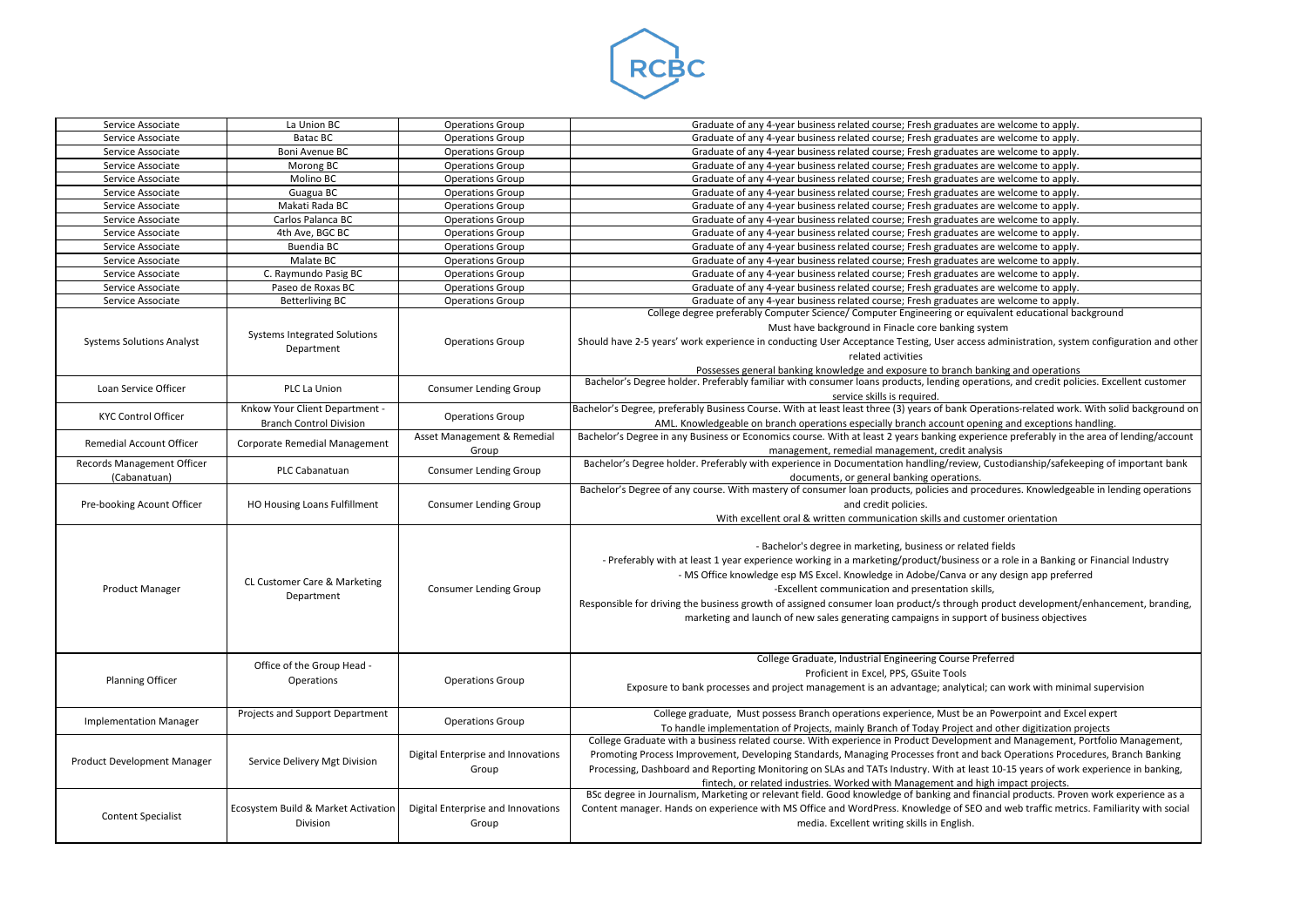

| Service Associate                | La Union BC                                                | <b>Operations Group</b>                     | Graduate of any 4-year business related course; Fresh graduates are welcome to apply.                                                                                                                                        |
|----------------------------------|------------------------------------------------------------|---------------------------------------------|------------------------------------------------------------------------------------------------------------------------------------------------------------------------------------------------------------------------------|
| Service Associate                | <b>Batac BC</b>                                            | <b>Operations Group</b>                     | Graduate of any 4-year business related course; Fresh graduates are welcome to apply.                                                                                                                                        |
| Service Associate                | Boni Avenue BC                                             | <b>Operations Group</b>                     | Graduate of any 4-year business related course; Fresh graduates are welcome to apply.                                                                                                                                        |
| Service Associate                | Morong BC                                                  | <b>Operations Group</b>                     | Graduate of any 4-year business related course; Fresh graduates are welcome to apply.                                                                                                                                        |
| Service Associate                | Molino BC                                                  | <b>Operations Group</b>                     | Graduate of any 4-year business related course; Fresh graduates are welcome to apply.                                                                                                                                        |
| Service Associate                | Guagua BC                                                  | <b>Operations Group</b>                     | Graduate of any 4-year business related course; Fresh graduates are welcome to apply.                                                                                                                                        |
| Service Associate                | Makati Rada BC                                             | <b>Operations Group</b>                     | Graduate of any 4-year business related course; Fresh graduates are welcome to apply.                                                                                                                                        |
| Service Associate                | Carlos Palanca BC                                          | <b>Operations Group</b>                     | Graduate of any 4-year business related course; Fresh graduates are welcome to apply.                                                                                                                                        |
| Service Associate                | 4th Ave, BGC BC                                            | <b>Operations Group</b>                     | Graduate of any 4-year business related course; Fresh graduates are welcome to apply.                                                                                                                                        |
| Service Associate                | <b>Buendia BC</b>                                          | <b>Operations Group</b>                     | Graduate of any 4-year business related course; Fresh graduates are welcome to apply.                                                                                                                                        |
| Service Associate                | Malate BC                                                  | <b>Operations Group</b>                     | Graduate of any 4-year business related course; Fresh graduates are welcome to apply.                                                                                                                                        |
| Service Associate                | C. Raymundo Pasig BC                                       | <b>Operations Group</b>                     | Graduate of any 4-year business related course; Fresh graduates are welcome to apply.                                                                                                                                        |
| Service Associate                | Paseo de Roxas BC                                          | <b>Operations Group</b>                     | Graduate of any 4-year business related course; Fresh graduates are welcome to apply.                                                                                                                                        |
| Service Associate                | <b>Betterliving BC</b>                                     | <b>Operations Group</b>                     | Graduate of any 4-year business related course; Fresh graduates are welcome to apply.                                                                                                                                        |
|                                  |                                                            |                                             | College degree preferably Computer Science/ Computer Engineering or equivalent educational background                                                                                                                        |
|                                  |                                                            |                                             | Must have background in Finacle core banking system                                                                                                                                                                          |
| <b>Systems Solutions Analyst</b> | Systems Integrated Solutions                               | <b>Operations Group</b>                     | Should have 2-5 years' work experience in conducting User Acceptance Testing, User access administration, system configuration and other                                                                                     |
|                                  | Department                                                 |                                             | related activities                                                                                                                                                                                                           |
|                                  |                                                            |                                             |                                                                                                                                                                                                                              |
|                                  |                                                            |                                             | Possesses general banking knowledge and exposure to branch banking and operations<br>Bachelor's Degree holder. Preferably familiar with consumer loans products, lending operations, and credit policies. Excellent customer |
| Loan Service Officer             | PLC La Union                                               | <b>Consumer Lending Group</b>               | service skills is required.                                                                                                                                                                                                  |
|                                  | Knkow Your Client Department -                             |                                             | Bachelor's Degree, preferably Business Course. With at least least three (3) years of bank Operations-related work. With solid background on                                                                                 |
| <b>KYC Control Officer</b>       | <b>Branch Control Division</b>                             | <b>Operations Group</b>                     | AML. Knowledgeable on branch operations especially branch account opening and exceptions handling.                                                                                                                           |
|                                  |                                                            | Asset Management & Remedial                 | Bachelor's Degree in any Business or Economics course. With at least 2 years banking experience preferably in the area of lending/account                                                                                    |
| Remedial Account Officer         | Corporate Remedial Management                              |                                             | management, remedial management, credit analysis                                                                                                                                                                             |
| Records Management Officer       |                                                            | Group                                       | Bachelor's Degree holder. Preferably with experience in Documentation handling/review, Custodianship/safekeeping of important bank                                                                                           |
| (Cabanatuan)                     | PLC Cabanatuan                                             | <b>Consumer Lending Group</b>               | documents, or general banking operations.                                                                                                                                                                                    |
|                                  |                                                            |                                             | Bachelor's Degree of any course. With mastery of consumer loan products, policies and procedures. Knowledgeable in lending operations                                                                                        |
| Pre-booking Acount Officer       | HO Housing Loans Fulfillment                               | <b>Consumer Lending Group</b>               | and credit policies.                                                                                                                                                                                                         |
|                                  |                                                            |                                             | With excellent oral & written communication skills and customer orientation                                                                                                                                                  |
|                                  |                                                            |                                             |                                                                                                                                                                                                                              |
|                                  |                                                            |                                             | - Bachelor's degree in marketing, business or related fields                                                                                                                                                                 |
|                                  |                                                            |                                             |                                                                                                                                                                                                                              |
|                                  |                                                            |                                             | - Preferably with at least 1 year experience working in a marketing/product/business or a role in a Banking or Financial Industry                                                                                            |
|                                  | CL Customer Care & Marketing                               |                                             | - MS Office knowledge esp MS Excel. Knowledge in Adobe/Canva or any design app preferred                                                                                                                                     |
| <b>Product Manager</b>           | Department                                                 | <b>Consumer Lending Group</b>               | -Excellent communication and presentation skills,                                                                                                                                                                            |
|                                  |                                                            |                                             | Responsible for driving the business growth of assigned consumer loan product/s through product development/enhancement, branding,                                                                                           |
|                                  |                                                            |                                             | marketing and launch of new sales generating campaigns in support of business objectives                                                                                                                                     |
|                                  |                                                            |                                             |                                                                                                                                                                                                                              |
|                                  |                                                            |                                             |                                                                                                                                                                                                                              |
|                                  | Office of the Group Head -                                 |                                             | College Graduate, Industrial Engineering Course Preferred                                                                                                                                                                    |
| <b>Planning Officer</b>          | Operations                                                 | <b>Operations Group</b>                     | Proficient in Excel, PPS, GSuite Tools                                                                                                                                                                                       |
|                                  |                                                            |                                             | Exposure to bank processes and project management is an advantage; analytical; can work with minimal supervision                                                                                                             |
|                                  |                                                            |                                             |                                                                                                                                                                                                                              |
| <b>Implementation Manager</b>    | Projects and Support Department                            | <b>Operations Group</b>                     | College graduate, Must possess Branch operations experience, Must be an Powerpoint and Excel expert                                                                                                                          |
|                                  |                                                            |                                             | To handle implementation of Projects, mainly Branch of Today Project and other digitization projects                                                                                                                         |
| Product Development Manager      |                                                            |                                             | College Graduate with a business related course. With experience in Product Development and Management, Portfolio Management,                                                                                                |
|                                  | Service Delivery Mgt Division                              | Digital Enterprise and Innovations          | Promoting Process Improvement, Developing Standards, Managing Processes front and back Operations Procedures, Branch Banking                                                                                                 |
|                                  |                                                            | Group                                       | Processing, Dashboard and Reporting Monitoring on SLAs and TATs Industry. With at least 10-15 years of work experience in banking,                                                                                           |
|                                  |                                                            |                                             | fintech, or related industries. Worked with Management and high impact projects.                                                                                                                                             |
|                                  |                                                            |                                             | BSc degree in Journalism, Marketing or relevant field. Good knowledge of banking and financial products. Proven work experience as a                                                                                         |
|                                  | <b>Ecosystem Build &amp; Market Activation</b><br>Division | Digital Enterprise and Innovations<br>Group | Content manager. Hands on experience with MS Office and WordPress. Knowledge of SEO and web traffic metrics. Familiarity with social                                                                                         |
| <b>Content Specialist</b>        |                                                            |                                             | media. Excellent writing skills in English.                                                                                                                                                                                  |
|                                  |                                                            |                                             |                                                                                                                                                                                                                              |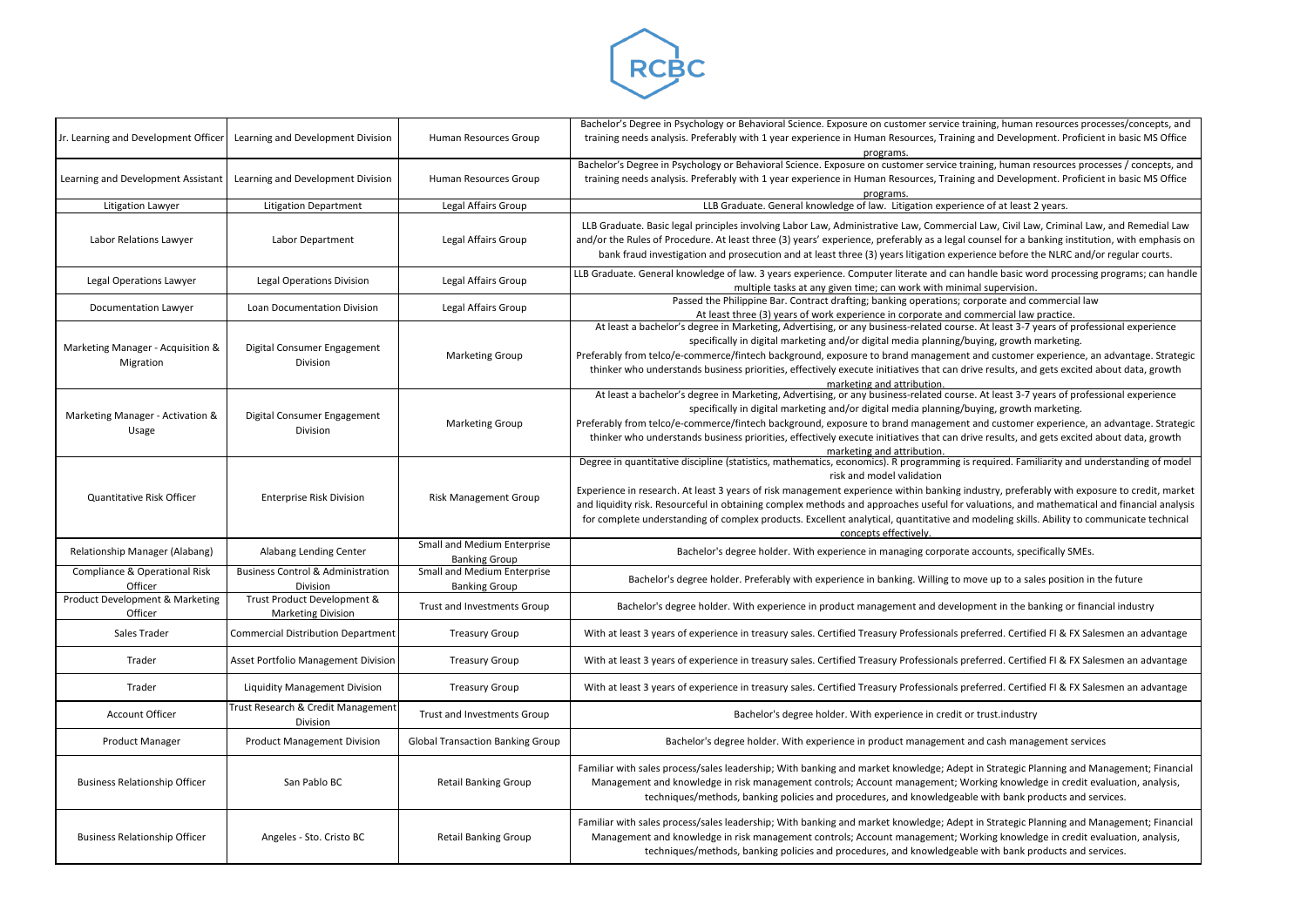

| Jr. Learning and Development Officer           | Learning and Development Division                        | Human Resources Group                               | Bachelor's Degree in Psychology or Behavioral Science. Exposure on customer service training, human resources processes/conce<br>training needs analysis. Preferably with 1 year experience in Human Resources, Training and Development. Proficient in basic M<br>programs.                                                                                                                                                                                                                                                                                                                         |
|------------------------------------------------|----------------------------------------------------------|-----------------------------------------------------|------------------------------------------------------------------------------------------------------------------------------------------------------------------------------------------------------------------------------------------------------------------------------------------------------------------------------------------------------------------------------------------------------------------------------------------------------------------------------------------------------------------------------------------------------------------------------------------------------|
| Learning and Development Assistant             | Learning and Development Division                        | Human Resources Group                               | Bachelor's Degree in Psychology or Behavioral Science. Exposure on customer service training, human resources processes / conc<br>training needs analysis. Preferably with 1 year experience in Human Resources, Training and Development. Proficient in basic M<br>programs.                                                                                                                                                                                                                                                                                                                        |
| Litigation Lawyer                              | <b>Litigation Department</b>                             | Legal Affairs Group                                 | LLB Graduate. General knowledge of law. Litigation experience of at least 2 years.                                                                                                                                                                                                                                                                                                                                                                                                                                                                                                                   |
| Labor Relations Lawyer                         | Labor Department                                         | Legal Affairs Group                                 | LLB Graduate. Basic legal principles involving Labor Law, Administrative Law, Commercial Law, Civil Law, Criminal Law, and Reme<br>and/or the Rules of Procedure. At least three (3) years' experience, preferably as a legal counsel for a banking institution, with em<br>bank fraud investigation and prosecution and at least three (3) years litigation experience before the NLRC and/or regular co                                                                                                                                                                                            |
| Legal Operations Lawyer                        | <b>Legal Operations Division</b>                         | Legal Affairs Group                                 | LLB Graduate. General knowledge of law. 3 years experience. Computer literate and can handle basic word processing programs; c<br>multiple tasks at any given time; can work with minimal supervision.                                                                                                                                                                                                                                                                                                                                                                                               |
| Documentation Lawyer                           | Loan Documentation Division                              | Legal Affairs Group                                 | Passed the Philippine Bar. Contract drafting; banking operations; corporate and commercial law<br>At least three (3) years of work experience in corporate and commercial law practice.                                                                                                                                                                                                                                                                                                                                                                                                              |
| Marketing Manager - Acquisition &<br>Migration | Digital Consumer Engagement<br>Division                  | <b>Marketing Group</b>                              | At least a bachelor's degree in Marketing, Advertising, or any business-related course. At least 3-7 years of professional exper<br>specifically in digital marketing and/or digital media planning/buying, growth marketing.<br>Preferably from telco/e-commerce/fintech background, exposure to brand management and customer experience, an advantage.<br>thinker who understands business priorities, effectively execute initiatives that can drive results, and gets excited about data, g<br>marketing and attribution.                                                                       |
| Marketing Manager - Activation &<br>Usage      | Digital Consumer Engagement<br>Division                  | <b>Marketing Group</b>                              | At least a bachelor's degree in Marketing, Advertising, or any business-related course. At least 3-7 years of professional exper<br>specifically in digital marketing and/or digital media planning/buying, growth marketing.<br>Preferably from telco/e-commerce/fintech background, exposure to brand management and customer experience, an advantage.<br>thinker who understands business priorities, effectively execute initiatives that can drive results, and gets excited about data, g<br>marketing and attribution.                                                                       |
| Quantitative Risk Officer                      | <b>Enterprise Risk Division</b>                          | <b>Risk Management Group</b>                        | Degree in quantitative discipline (statistics, mathematics, economics). R programming is required. Familiarity and understanding<br>risk and model validation<br>Experience in research. At least 3 years of risk management experience within banking industry, preferably with exposure to credi<br>and liquidity risk. Resourceful in obtaining complex methods and approaches useful for valuations, and mathematical and financial<br>for complete understanding of complex products. Excellent analytical, quantitative and modeling skills. Ability to communicate t<br>concepts effectively. |
| Relationship Manager (Alabang)                 | Alabang Lending Center                                   | Small and Medium Enterprise<br><b>Banking Group</b> | Bachelor's degree holder. With experience in managing corporate accounts, specifically SMEs.                                                                                                                                                                                                                                                                                                                                                                                                                                                                                                         |
| Compliance & Operational Risk<br>Officer       | <b>Business Control &amp; Administration</b><br>Division | Small and Medium Enterprise<br><b>Banking Group</b> | Bachelor's degree holder. Preferably with experience in banking. Willing to move up to a sales position in the future                                                                                                                                                                                                                                                                                                                                                                                                                                                                                |
| Product Development & Marketing<br>Officer     | Trust Product Development &<br><b>Marketing Division</b> | Trust and Investments Group                         | Bachelor's degree holder. With experience in product management and development in the banking or financial industry                                                                                                                                                                                                                                                                                                                                                                                                                                                                                 |
| Sales Trader                                   | <b>Commercial Distribution Department</b>                | <b>Treasury Group</b>                               | With at least 3 years of experience in treasury sales. Certified Treasury Professionals preferred. Certified FI & FX Salesmen an ad                                                                                                                                                                                                                                                                                                                                                                                                                                                                  |
| Trader                                         | Asset Portfolio Management Division                      | <b>Treasury Group</b>                               | With at least 3 years of experience in treasury sales. Certified Treasury Professionals preferred. Certified FI & FX Salesmen an ad                                                                                                                                                                                                                                                                                                                                                                                                                                                                  |
| Trader                                         | <b>Liquidity Management Division</b>                     | <b>Treasury Group</b>                               | With at least 3 years of experience in treasury sales. Certified Treasury Professionals preferred. Certified FI & FX Salesmen an ad                                                                                                                                                                                                                                                                                                                                                                                                                                                                  |
| <b>Account Officer</b>                         | Trust Research & Credit Management<br>Division           | Trust and Investments Group                         | Bachelor's degree holder. With experience in credit or trust.industry                                                                                                                                                                                                                                                                                                                                                                                                                                                                                                                                |
| <b>Product Manager</b>                         | <b>Product Management Division</b>                       | <b>Global Transaction Banking Group</b>             | Bachelor's degree holder. With experience in product management and cash management services                                                                                                                                                                                                                                                                                                                                                                                                                                                                                                         |
| <b>Business Relationship Officer</b>           | San Pablo BC                                             | <b>Retail Banking Group</b>                         | Familiar with sales process/sales leadership; With banking and market knowledge; Adept in Strategic Planning and Management;<br>Management and knowledge in risk management controls; Account management; Working knowledge in credit evaluation, an<br>techniques/methods, banking policies and procedures, and knowledgeable with bank products and services.                                                                                                                                                                                                                                      |
| <b>Business Relationship Officer</b>           | Angeles - Sto. Cristo BC                                 | <b>Retail Banking Group</b>                         | Familiar with sales process/sales leadership; With banking and market knowledge; Adept in Strategic Planning and Management;<br>Management and knowledge in risk management controls; Account management; Working knowledge in credit evaluation, an<br>techniques/methods, banking policies and procedures, and knowledgeable with bank products and services.                                                                                                                                                                                                                                      |

ing, human resources processes/concepts, and nd Development. Proficient in basic MS Office

ag, human resources processes / concepts, and nd Development. Proficient in basic MS Office

aw, Civil Law, Criminal Law, and Remedial Law nsel for a banking institution, with emphasis on ice before the NLRC and/or regular courts.

dle basic word processing programs; can handle supervision.

t least 3-7 years of professional experience ng, growth marketing.

d customer experience, an advantage. Strategic results, and gets excited about data, growth

t least 3-7 years of professional experience ng, growth marketing.

d customer experience, an advantage. Strategic results, and gets excited about data, growth

quired. Familiarity and understanding of model

stry, preferably with exposure to credit, market ations, and mathematical and financial analysis odeling skills. Ability to communicate technical

Fred. Certified FI & FX Salesmen an advantage

rred. Certified FI & FX Salesmen an advantage

rred. Certified FI & FX Salesmen an advantage

**Strategic Planning and Management; Financial** ng knowledge in credit evaluation, analysis, ith bank products and services.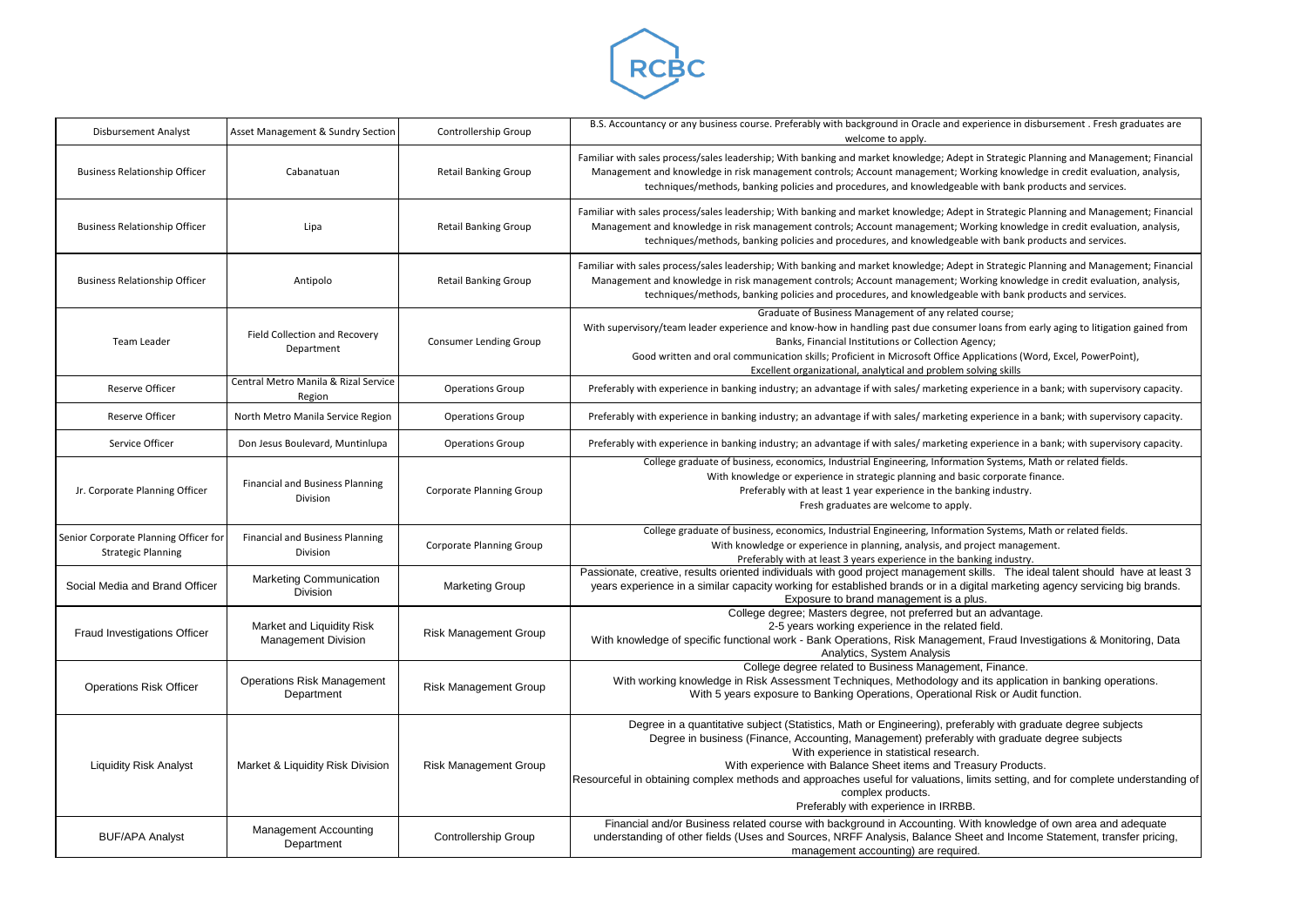

| <b>Disbursement Analyst</b>                                        | Asset Management & Sundry Section                       | Controllership Group          | B.S. Accountancy or any business course. Preferably with background in Oracle and experience in disbursement. Fresh graduates are<br>welcome to apply.                                                                                                                                                                                                                                                                                                                                                                        |
|--------------------------------------------------------------------|---------------------------------------------------------|-------------------------------|-------------------------------------------------------------------------------------------------------------------------------------------------------------------------------------------------------------------------------------------------------------------------------------------------------------------------------------------------------------------------------------------------------------------------------------------------------------------------------------------------------------------------------|
| <b>Business Relationship Officer</b>                               | Cabanatuan                                              | <b>Retail Banking Group</b>   | Familiar with sales process/sales leadership; With banking and market knowledge; Adept in Strategic Planning and Management; Financial<br>Management and knowledge in risk management controls; Account management; Working knowledge in credit evaluation, analysis,<br>techniques/methods, banking policies and procedures, and knowledgeable with bank products and services.                                                                                                                                              |
| <b>Business Relationship Officer</b>                               | Lipa                                                    | <b>Retail Banking Group</b>   | Familiar with sales process/sales leadership; With banking and market knowledge; Adept in Strategic Planning and Management; Financial<br>Management and knowledge in risk management controls; Account management; Working knowledge in credit evaluation, analysis,<br>techniques/methods, banking policies and procedures, and knowledgeable with bank products and services.                                                                                                                                              |
| <b>Business Relationship Officer</b>                               | Antipolo                                                | <b>Retail Banking Group</b>   | Familiar with sales process/sales leadership; With banking and market knowledge; Adept in Strategic Planning and Management; Financial<br>Management and knowledge in risk management controls; Account management; Working knowledge in credit evaluation, analysis,<br>techniques/methods, banking policies and procedures, and knowledgeable with bank products and services.                                                                                                                                              |
| Team Leader                                                        | Field Collection and Recovery<br>Department             | <b>Consumer Lending Group</b> | Graduate of Business Management of any related course;<br>With supervisory/team leader experience and know-how in handling past due consumer loans from early aging to litigation gained from<br>Banks, Financial Institutions or Collection Agency;<br>Good written and oral communication skills; Proficient in Microsoft Office Applications (Word, Excel, PowerPoint),<br>Excellent organizational, analytical and problem solving skills                                                                                 |
| <b>Reserve Officer</b>                                             | Central Metro Manila & Rizal Service<br>Region          | <b>Operations Group</b>       | Preferably with experience in banking industry; an advantage if with sales/ marketing experience in a bank; with supervisory capacity.                                                                                                                                                                                                                                                                                                                                                                                        |
| <b>Reserve Officer</b>                                             | North Metro Manila Service Region                       | <b>Operations Group</b>       | Preferably with experience in banking industry; an advantage if with sales/ marketing experience in a bank; with supervisory capacity.                                                                                                                                                                                                                                                                                                                                                                                        |
| Service Officer                                                    | Don Jesus Boulevard, Muntinlupa                         | <b>Operations Group</b>       | Preferably with experience in banking industry; an advantage if with sales/ marketing experience in a bank; with supervisory capacity.                                                                                                                                                                                                                                                                                                                                                                                        |
| Jr. Corporate Planning Officer                                     | <b>Financial and Business Planning</b><br>Division      | Corporate Planning Group      | College graduate of business, economics, Industrial Engineering, Information Systems, Math or related fields.<br>With knowledge or experience in strategic planning and basic corporate finance.<br>Preferably with at least 1 year experience in the banking industry.<br>Fresh graduates are welcome to apply.                                                                                                                                                                                                              |
| Senior Corporate Planning Officer for<br><b>Strategic Planning</b> | <b>Financial and Business Planning</b><br>Division      | Corporate Planning Group      | College graduate of business, economics, Industrial Engineering, Information Systems, Math or related fields.<br>With knowledge or experience in planning, analysis, and project management.<br>Preferably with at least 3 years experience in the banking industry.                                                                                                                                                                                                                                                          |
| Social Media and Brand Officer                                     | <b>Marketing Communication</b><br>Division              | <b>Marketing Group</b>        | Passionate, creative, results oriented individuals with good project management skills. The ideal talent should have at least 3<br>years experience in a similar capacity working for established brands or in a digital marketing agency servicing big brands.<br>Exposure to brand management is a plus.                                                                                                                                                                                                                    |
| Fraud Investigations Officer                                       | Market and Liquidity Risk<br><b>Management Division</b> | <b>Risk Management Group</b>  | College degree; Masters degree, not preferred but an advantage.<br>2-5 years working experience in the related field.<br>With knowledge of specific functional work - Bank Operations, Risk Management, Fraud Investigations & Monitoring, Data<br>Analytics, System Analysis                                                                                                                                                                                                                                                 |
| <b>Operations Risk Officer</b>                                     | <b>Operations Risk Management</b><br>Department         | <b>Risk Management Group</b>  | College degree related to Business Management, Finance.<br>With working knowledge in Risk Assessment Techniques, Methodology and its application in banking operations.<br>With 5 years exposure to Banking Operations, Operational Risk or Audit function.                                                                                                                                                                                                                                                                   |
| <b>Liquidity Risk Analyst</b>                                      | Market & Liquidity Risk Division                        | <b>Risk Management Group</b>  | Degree in a quantitative subject (Statistics, Math or Engineering), preferably with graduate degree subjects<br>Degree in business (Finance, Accounting, Management) preferably with graduate degree subjects<br>With experience in statistical research.<br>With experience with Balance Sheet items and Treasury Products.<br>Resourceful in obtaining complex methods and approaches useful for valuations, limits setting, and for complete understanding or<br>complex products.<br>Preferably with experience in IRRBB. |
| <b>BUF/APA Analyst</b>                                             | <b>Management Accounting</b><br>Department              | <b>Controllership Group</b>   | Financial and/or Business related course with background in Accounting. With knowledge of own area and adequate<br>understanding of other fields (Uses and Sources, NRFF Analysis, Balance Sheet and Income Statement, transfer pricing,<br>management accounting) are required.                                                                                                                                                                                                                                              |